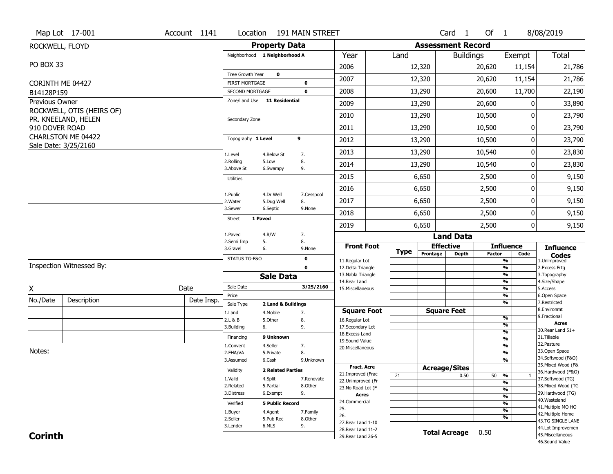|                                | Map Lot 17-001            | Account 1141 | Location                                 |                               | 191 MAIN STREET  |                                          |             |                          | Card 1               | Of 1          |                                           | 8/08/2019                              |
|--------------------------------|---------------------------|--------------|------------------------------------------|-------------------------------|------------------|------------------------------------------|-------------|--------------------------|----------------------|---------------|-------------------------------------------|----------------------------------------|
| ROCKWELL, FLOYD                |                           |              |                                          | <b>Property Data</b>          |                  |                                          |             | <b>Assessment Record</b> |                      |               |                                           |                                        |
|                                |                           |              |                                          | Neighborhood 1 Neighborhood A |                  | Year                                     | Land        |                          | <b>Buildings</b>     |               | Exempt                                    | Total                                  |
| PO BOX 33                      |                           |              |                                          |                               |                  | 2006                                     |             | 12,320                   |                      | 20,620        | 11,154                                    | 21,786                                 |
|                                |                           |              | Tree Growth Year                         | $\mathbf 0$                   |                  | 2007                                     |             | 12,320                   |                      | 20,620        | 11,154                                    | 21,786                                 |
| CORINTH ME 04427<br>B14128P159 |                           |              | <b>FIRST MORTGAGE</b><br>SECOND MORTGAGE |                               | 0<br>$\mathbf 0$ | 2008                                     |             | 13,290                   |                      | 20,600        | 11,700                                    | 22,190                                 |
| Previous Owner                 |                           |              |                                          | Zone/Land Use 11 Residential  |                  | 2009                                     |             | 13,290                   |                      | 20,600        | 0                                         | 33,890                                 |
|                                | ROCKWELL, OTIS (HEIRS OF) |              |                                          |                               |                  | 2010                                     |             |                          |                      | 10,500        | 0                                         | 23,790                                 |
|                                | PR. KNEELAND, HELEN       |              | Secondary Zone                           |                               |                  |                                          |             | 13,290                   |                      |               |                                           |                                        |
| 910 DOVER ROAD                 | CHARLSTON ME 04422        |              |                                          |                               |                  | 2011                                     |             | 13,290                   |                      | 10,500        | 0                                         | 23,790                                 |
|                                | Sale Date: 3/25/2160      |              | Topography 1 Level                       |                               | 9                | 2012                                     |             | 13,290                   |                      | 10,500        | 0                                         | 23,790                                 |
|                                |                           |              | 1.Level                                  | 4.Below St                    | 7.               | 2013                                     |             | 13,290                   |                      | 10,540        | 0                                         | 23,830                                 |
|                                |                           |              | 2.Rolling<br>3.Above St                  | 5.Low<br>6.Swampy             | 8.<br>9.         | 2014                                     |             | 13,290                   |                      | 10,540        | 0                                         | 23,830                                 |
|                                |                           |              | <b>Utilities</b>                         |                               |                  | 2015                                     |             | 6,650                    |                      | 2,500         | 0                                         | 9,150                                  |
|                                |                           |              | 1.Public                                 | 4.Dr Well                     | 7.Cesspool       | 2016                                     |             | 6,650                    |                      | 2,500         | 0                                         | 9,150                                  |
|                                |                           |              | 2. Water                                 | 5.Dug Well                    | 8.               | 2017                                     |             | 6,650                    |                      | 2,500         | 0                                         | 9,150                                  |
|                                |                           |              | 3.Sewer                                  | 6.Septic                      | 9.None           | 2018                                     |             | 6,650                    |                      | 2,500         | 0                                         | 9,150                                  |
|                                |                           |              | <b>Street</b>                            | 1 Paved                       |                  | 2019                                     |             | 6,650                    |                      | 2,500         | 0                                         | 9,150                                  |
|                                |                           |              | 1.Paved                                  | 4.R/W                         | 7.               |                                          |             |                          | <b>Land Data</b>     |               |                                           |                                        |
|                                |                           |              | 2.Semi Imp<br>3.Gravel                   | 5.<br>6.                      | 8.<br>9.None     | <b>Front Foot</b>                        |             |                          | <b>Effective</b>     |               | <b>Influence</b>                          | <b>Influence</b>                       |
|                                |                           |              | STATUS TG-F&O                            |                               | $\mathbf 0$      | 11.Regular Lot                           | <b>Type</b> | Frontage                 | <b>Depth</b>         | <b>Factor</b> | Code<br>$\overline{\frac{9}{6}}$          | <b>Codes</b><br>1.Unimproved           |
|                                | Inspection Witnessed By:  |              |                                          |                               | $\mathbf{0}$     | 12.Delta Triangle                        |             |                          |                      |               | $\frac{9}{6}$                             | 2. Excess Frtg                         |
|                                |                           |              |                                          | <b>Sale Data</b>              |                  | 13. Nabla Triangle<br>14. Rear Land      |             |                          |                      |               | $\overline{\frac{9}{6}}$<br>$\frac{9}{6}$ | 3. Topography<br>4.Size/Shape          |
| X                              |                           | Date         | Sale Date                                |                               | 3/25/2160        | 15. Miscellaneous                        |             |                          |                      |               | $\overline{\frac{9}{6}}$                  | 5.Access                               |
| No./Date                       | Description               | Date Insp.   | Price<br>Sale Type                       | 2 Land & Buildings            |                  |                                          |             |                          |                      |               | %<br>%                                    | 6.Open Space<br>7.Restricted           |
|                                |                           |              | 1.Land                                   | 4. Mobile                     | 7.               | <b>Square Foot</b>                       |             |                          | <b>Square Feet</b>   |               |                                           | 8.Environmt                            |
|                                |                           |              | 2.L & B                                  | 5.0ther                       | 8.               | 16.Regular Lot                           |             |                          |                      |               | $\frac{9}{6}$                             | 9. Fractional<br><b>Acres</b>          |
|                                |                           |              | 3.Building                               | 6.                            | 9.               | 17.Secondary Lot<br>18.Excess Land       |             |                          |                      |               | %<br>$\frac{9}{6}$                        | 30. Rear Land 51+                      |
|                                |                           |              | Financing                                | 9 Unknown                     |                  | 19.Sound Value                           |             |                          |                      |               | $\frac{9}{6}$                             | 31.Tillable                            |
| Notes:                         |                           |              | 1.Convent                                | 4.Seller                      | 7.               | 20.Miscellaneous                         |             |                          |                      |               | $\frac{9}{6}$                             | 32. Pasture<br>33.Open Space           |
|                                |                           |              | 2.FHA/VA                                 | 5.Private                     | 8.               |                                          |             |                          |                      |               | $\frac{9}{6}$                             | 34.Softwood (F&O)                      |
|                                |                           |              | 3.Assumed                                | 6.Cash                        | 9.Unknown        | <b>Fract. Acre</b>                       |             |                          |                      |               | %                                         | 35. Mixed Wood (F&                     |
|                                |                           |              | Validity                                 | <b>2 Related Parties</b>      |                  |                                          |             |                          | <b>Acreage/Sites</b> |               |                                           | 36.Hardwood (F&O)                      |
|                                |                           |              |                                          |                               |                  |                                          |             |                          |                      |               |                                           |                                        |
|                                |                           |              | 1.Valid                                  | 4.Split                       | 7.Renovate       | 21.Improved (Frac                        | 21          |                          | 0.50                 | 50            | %<br>$\mathbf{1}$                         | 37.Softwood (TG)                       |
|                                |                           |              | 2.Related                                | 5.Partial                     | 8.Other          | 22.Unimproved (Fr<br>23.No Road Lot (F   |             |                          |                      |               | $\frac{9}{6}$                             | 38. Mixed Wood (TG                     |
|                                |                           |              | 3.Distress                               | 6.Exempt                      | 9.               | <b>Acres</b>                             |             |                          |                      |               | $\frac{9}{6}$<br>$\frac{9}{6}$            | 39.Hardwood (TG)                       |
|                                |                           |              | Verified                                 | <b>5 Public Record</b>        |                  | 24.Commercial                            |             |                          |                      |               | $\frac{9}{6}$                             | 40. Wasteland                          |
|                                |                           |              | 1.Buyer                                  | 4.Agent                       | 7.Family         | 25.                                      |             |                          |                      |               | $\overline{\frac{9}{6}}$                  | 41. Multiple MO HO                     |
|                                |                           |              | 2.Seller                                 | 5.Pub Rec                     | 8.Other          | 26.                                      |             |                          |                      |               | %                                         | 42. Multiple Home<br>43.TG SINGLE LANE |
|                                |                           |              | 3.Lender                                 | 6.MLS                         | 9.               | 27. Rear Land 1-10                       |             |                          |                      |               |                                           | 44.Lot Improvemen                      |
| <b>Corinth</b>                 |                           |              |                                          |                               |                  | 28. Rear Land 11-2<br>29. Rear Land 26-5 |             |                          | <b>Total Acreage</b> | 0.50          |                                           | 45. Miscellaneous<br>46.Sound Value    |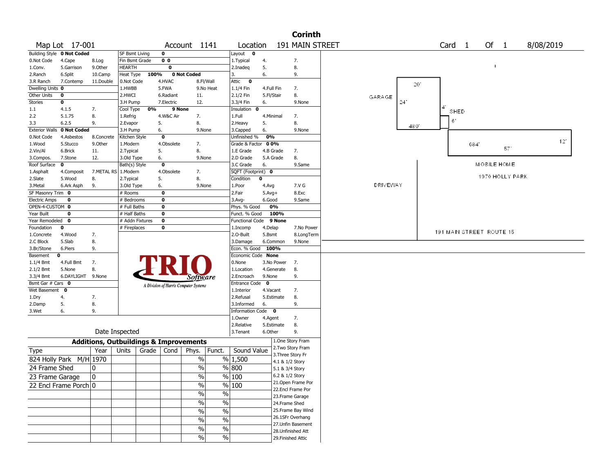|                       |                            |                                                   |                 |       |                |                                       |                          |                        |             | <b>Corinth</b>                         |                 |              |                          |     |                 |     |           |  |
|-----------------------|----------------------------|---------------------------------------------------|-----------------|-------|----------------|---------------------------------------|--------------------------|------------------------|-------------|----------------------------------------|-----------------|--------------|--------------------------|-----|-----------------|-----|-----------|--|
|                       | Map Lot 17-001             |                                                   |                 |       |                | Account 1141                          |                          | Location               |             | 191 MAIN STREET                        |                 |              | Card <sub>1</sub>        |     | Of 1            |     | 8/08/2019 |  |
|                       | Building Style 0 Not Coded |                                                   | SF Bsmt Living  |       | 0              |                                       |                          | Layout<br>$\mathbf{0}$ |             |                                        |                 |              |                          |     |                 |     |           |  |
| 0.Not Code            | 4.Cape                     | 8.Log                                             | Fin Bsmt Grade  |       | 0 <sub>0</sub> |                                       |                          | 1. Typical             | 4.          | 7.                                     |                 |              |                          |     |                 |     |           |  |
| 1.Conv.               | 5.Garrison                 | 9.0ther                                           | HEARTH          |       | $\bf{0}$       |                                       |                          | 2.Inadeq               | 5.          | 8.                                     |                 |              |                          |     | $\mathbf{I}$    |     |           |  |
| 2.Ranch               | 6.Split                    | 10.Camp                                           | Heat Type       | 100%  |                | 0 Not Coded                           |                          | 3.                     | 6.          | 9.                                     |                 |              |                          |     |                 |     |           |  |
| 3.R Ranch             | 7.Contemp                  | 11.Double                                         | 0.Not Code      |       | 4.HVAC         |                                       | 8.Fl/Wall                | Attic<br>$\bullet$     |             |                                        |                 | $20^{\circ}$ |                          |     |                 |     |           |  |
| Dwelling Units 0      |                            |                                                   | 1.HWBB          |       | 5.FWA          |                                       | 9.No Heat                | 1.1/4 Fin              | 4.Full Fin  | 7.                                     |                 |              |                          |     |                 |     |           |  |
| Other Units           | 0                          |                                                   | 2.HWCI          |       | 6.Radiant      | 11.                                   |                          | 2.1/2 Fin              | 5.Fl/Stair  | 8.                                     | GARAGE          |              |                          |     |                 |     |           |  |
| <b>Stories</b>        | 0                          |                                                   | 3.H Pump        |       | 7. Electric    | 12.                                   |                          | 3.3/4 Fin              | 6.          | 9.None                                 |                 | 24'          |                          |     |                 |     |           |  |
| 1.1                   | 4.1.5                      | 7.                                                | Cool Type       | 0%    | 9 None         |                                       |                          | Insulation 0           |             |                                        |                 |              | SHED                     |     |                 |     |           |  |
| 2.2                   | 5.1.75                     | 8.                                                | 1.Refrig        |       | 4.W&C Air      | 7.                                    |                          | 1.Full                 | 4.Minimal   | 7.                                     |                 |              |                          |     |                 |     |           |  |
| 3.3                   | 6.2.5                      | 9.                                                | 2.Evapor        |       | 5.             | 8.                                    |                          | 2. Heavy               | 5.          | 8.                                     |                 | 480          | 6                        |     |                 |     |           |  |
| <b>Exterior Walls</b> | 0 Not Coded                |                                                   | 3.H Pump        |       | 6.             | 9.None                                |                          | 3.Capped               | 6.          | 9.None                                 |                 |              |                          |     |                 |     |           |  |
| 0.Not Code            | 4.Asbestos                 | 8.Concrete                                        | Kitchen Style   |       | $\mathbf 0$    |                                       |                          | Unfinished %           | 0%          |                                        |                 |              |                          |     |                 |     |           |  |
| 1.Wood                | 5.Stucco                   | 9.0ther                                           | 1.Modern        |       | 4.Obsolete     | 7.                                    |                          | Grade & Factor         | 00%         |                                        |                 |              |                          | 684 |                 |     | 12'       |  |
| 2.Vin/Al              | 6.Brick                    | 11.                                               | 2. Typical      |       | 5.             | 8.                                    |                          | 1.E Grade              | 4.B Grade   | 7.                                     |                 |              |                          |     |                 | 571 |           |  |
| 3.Compos.             | 7.Stone                    | 12.                                               | 3.Old Type      |       | 6.             | 9.None                                |                          | 2.D Grade              | 5.A Grade   | 8.                                     |                 |              |                          |     |                 |     |           |  |
| Roof Surface          | $\mathbf{o}$               |                                                   | Bath(s) Style   |       | $\mathbf 0$    |                                       |                          | 3.C Grade              | 6.          | 9.Same                                 |                 |              |                          |     | MOBILE HOME     |     |           |  |
| 1.Asphalt             | 4.Composit                 | 7.METAL RS                                        | 1.Modern        |       | 4.Obsolete     | 7.                                    |                          | SQFT (Footprint) 0     |             |                                        |                 |              |                          |     |                 |     |           |  |
| 2.Slate               | 5.Wood                     | 8.                                                | 2. Typical      |       | 5.             | 8.                                    |                          | Condition              | 0           |                                        |                 |              |                          |     | 1970 HOLLY PARK |     |           |  |
| 3.Metal               | 6.Ark Asph                 | 9.                                                | 3.Old Type      |       | 6.             | 9.None                                |                          | 1.Poor                 | 4.Avg       | 7.V G                                  | <b>DRIVEWAY</b> |              |                          |     |                 |     |           |  |
| SF Masonry Trim 0     |                            |                                                   | # Rooms         |       | 0              |                                       |                          | 2.Fair                 | $5.Avg+$    | 8.Exc                                  |                 |              |                          |     |                 |     |           |  |
| <b>Electric Amps</b>  | 0                          |                                                   | # Bedrooms      |       | 0              |                                       |                          | $3.$ Avg-              | 6.Good      | 9.Same                                 |                 |              |                          |     |                 |     |           |  |
| OPEN-4-CUSTOM 0       |                            |                                                   | # Full Baths    |       | 0              |                                       |                          | Phys. % Good           | 0%          |                                        |                 |              |                          |     |                 |     |           |  |
| Year Built            | 0                          |                                                   | # Half Baths    |       | 0              |                                       |                          | Funct. % Good          | 100%        |                                        |                 |              |                          |     |                 |     |           |  |
| Year Remodeled 0      |                            |                                                   | # Addn Fixtures |       | $\mathbf 0$    |                                       |                          | <b>Functional Code</b> | 9 None      |                                        |                 |              |                          |     |                 |     |           |  |
| Foundation            | 0                          |                                                   | # Fireplaces    |       | 0              |                                       |                          | 1.Incomp               | 4.Delap     | 7.No Power                             |                 |              |                          |     |                 |     |           |  |
| 1.Concrete            | 4.Wood                     | 7.                                                |                 |       |                |                                       |                          | 2.0-Built              | 5.Bsmt      | 8.LongTerm                             |                 |              | 191 MAIN STREET ROUTE 15 |     |                 |     |           |  |
| 2.C Block             | 5.Slab                     | 8.                                                |                 |       |                |                                       |                          | 3.Damage               | 6.Common    | 9.None                                 |                 |              |                          |     |                 |     |           |  |
| 3.Br/Stone            | 6.Piers                    | 9.                                                |                 |       |                |                                       |                          | Econ. % Good 100%      |             |                                        |                 |              |                          |     |                 |     |           |  |
| Basement              | 0                          |                                                   |                 |       |                |                                       |                          | Economic Code None     |             |                                        |                 |              |                          |     |                 |     |           |  |
| 1.1/4 Bmt             | 4.Full Bmt                 | 7.                                                |                 |       |                |                                       |                          | 0.None                 | 3.No Power  | 7.                                     |                 |              |                          |     |                 |     |           |  |
| 2.1/2 Bmt             | 5.None                     | 8.                                                |                 |       |                |                                       |                          | 1.Location             | 4.Generate  | 8.                                     |                 |              |                          |     |                 |     |           |  |
| 3.3/4 Bmt             | 6.DAYLIGHT 9.None          |                                                   |                 |       |                | Software                              |                          | 2.Encroach             | 9.None      | 9.                                     |                 |              |                          |     |                 |     |           |  |
| Bsmt Gar # Cars 0     |                            |                                                   |                 |       |                | A Division of Harris Computer Systems |                          | <b>Entrance Code</b>   | $\mathbf 0$ |                                        |                 |              |                          |     |                 |     |           |  |
| Wet Basement          | $\mathbf 0$                |                                                   |                 |       |                |                                       |                          | 1.Interior             | 4.Vacant    | 7.                                     |                 |              |                          |     |                 |     |           |  |
| 1.Dry                 | 4.                         | 7.                                                |                 |       |                |                                       |                          | 2.Refusal              | 5.Estimate  | 8.                                     |                 |              |                          |     |                 |     |           |  |
| 2.Damp                | 5.                         | 8.                                                |                 |       |                |                                       |                          | 3.Informed             | 6.          | 9.                                     |                 |              |                          |     |                 |     |           |  |
| 3.Wet                 | 6.                         | 9.                                                |                 |       |                |                                       |                          | Information Code 0     |             |                                        |                 |              |                          |     |                 |     |           |  |
|                       |                            |                                                   |                 |       |                |                                       |                          | 1.Owner                | 4.Agent     | 7.                                     |                 |              |                          |     |                 |     |           |  |
|                       |                            |                                                   |                 |       |                |                                       |                          | 2.Relative             | 5.Estimate  | 8.                                     |                 |              |                          |     |                 |     |           |  |
|                       |                            | Date Inspected                                    |                 |       |                |                                       |                          | 3.Tenant               | 6.Other     | 9.                                     |                 |              |                          |     |                 |     |           |  |
|                       |                            | <b>Additions, Outbuildings &amp; Improvements</b> |                 |       |                |                                       |                          |                        |             | 1.One Story Fram                       |                 |              |                          |     |                 |     |           |  |
| <b>Type</b>           |                            | Year                                              | Units           | Grade | Cond           | Phys.                                 | Funct.                   | Sound Value            |             | 2. Two Story Fram                      |                 |              |                          |     |                 |     |           |  |
|                       | 824 Holly Park M/H 1970    |                                                   |                 |       |                | $\%$                                  |                          | % 1,500                |             | 3. Three Story Fr                      |                 |              |                          |     |                 |     |           |  |
| 24 Frame Shed         |                            |                                                   |                 |       |                | $\%$                                  |                          | % 800                  |             | 4.1 & 1/2 Story                        |                 |              |                          |     |                 |     |           |  |
|                       |                            | 0                                                 |                 |       |                |                                       |                          |                        |             | 5.1 & 3/4 Story                        |                 |              |                          |     |                 |     |           |  |
| 23 Frame Garage       |                            | $\Omega$                                          |                 |       |                | $\sqrt{6}$                            |                          | % 100                  |             | 6.2 & 1/2 Story                        |                 |              |                          |     |                 |     |           |  |
|                       | 22 Encl Frame Porch 0      |                                                   |                 |       |                | $\%$                                  |                          | $\frac{9}{6}$ 100      |             | 21.Open Frame Por                      |                 |              |                          |     |                 |     |           |  |
|                       |                            |                                                   |                 |       |                | $\frac{1}{2}$                         | $\overline{\frac{0}{0}}$ |                        |             | 22.Encl Frame Por<br>23. Frame Garage  |                 |              |                          |     |                 |     |           |  |
|                       |                            |                                                   |                 |       |                | $\sqrt{0}$                            | $\overline{\frac{0}{6}}$ |                        |             |                                        |                 |              |                          |     |                 |     |           |  |
|                       |                            |                                                   |                 |       |                |                                       |                          |                        |             | 24.Frame Shed                          |                 |              |                          |     |                 |     |           |  |
|                       |                            |                                                   |                 |       |                | $\sqrt{6}$                            | $\overline{\frac{0}{6}}$ |                        |             | 25. Frame Bay Wind                     |                 |              |                          |     |                 |     |           |  |
|                       |                            |                                                   |                 |       |                | $\sqrt{6}$                            | $\overline{\frac{0}{6}}$ |                        |             | 26.1SFr Overhang<br>27. Unfin Basement |                 |              |                          |     |                 |     |           |  |
|                       |                            |                                                   |                 |       |                | $\sqrt{6}$                            | $\frac{0}{6}$            |                        |             | 28. Unfinished Att                     |                 |              |                          |     |                 |     |           |  |
|                       |                            |                                                   |                 |       |                | $\sqrt{0}$                            | $\%$                     |                        |             | 29. Finished Attic                     |                 |              |                          |     |                 |     |           |  |
|                       |                            |                                                   |                 |       |                |                                       |                          |                        |             |                                        |                 |              |                          |     |                 |     |           |  |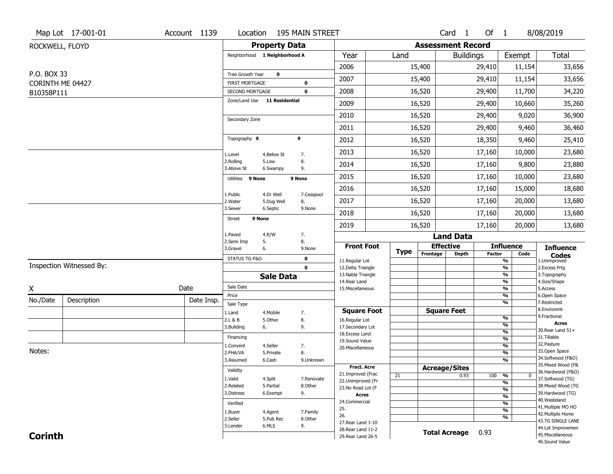|                                | Map Lot 17-001-01        | Account 1139 | Location                                 |                         | 195 MAIN STREET     |                                          |             |          | Card <sub>1</sub>        | Of 1   |                                           | 8/08/2019                                                   |
|--------------------------------|--------------------------|--------------|------------------------------------------|-------------------------|---------------------|------------------------------------------|-------------|----------|--------------------------|--------|-------------------------------------------|-------------------------------------------------------------|
| ROCKWELL, FLOYD                |                          |              |                                          | <b>Property Data</b>    |                     |                                          |             |          | <b>Assessment Record</b> |        |                                           |                                                             |
|                                |                          |              | Neighborhood 1 Neighborhood A            |                         |                     | Year                                     | Land        |          | <b>Buildings</b>         |        | Exempt                                    | Total                                                       |
|                                |                          |              |                                          |                         |                     | 2006                                     |             | 15,400   |                          | 29,410 | 11,154                                    | 33,656                                                      |
| P.O. BOX 33                    |                          |              | Tree Growth Year                         | 0                       |                     | 2007                                     |             | 15,400   |                          | 29,410 | 11,154                                    | 33,656                                                      |
| CORINTH ME 04427<br>B10358P111 |                          |              | <b>FIRST MORTGAGE</b><br>SECOND MORTGAGE |                         | 0<br>$\mathbf 0$    | 2008                                     |             | 16,520   |                          | 29,400 | 11,700                                    | 34,220                                                      |
|                                |                          |              | Zone/Land Use 11 Residential             |                         |                     | 2009                                     |             | 16,520   |                          | 29,400 | 10,660                                    | 35,260                                                      |
|                                |                          |              |                                          |                         |                     | 2010                                     |             | 16,520   |                          | 29,400 | 9,020                                     | 36,900                                                      |
|                                |                          |              | Secondary Zone                           |                         |                     | 2011                                     |             | 16,520   |                          | 29,400 | 9,460                                     | 36,460                                                      |
|                                |                          |              | Topography 9                             |                         | 9                   | 2012                                     |             | 16,520   |                          | 18,350 | 9,460                                     | 25,410                                                      |
|                                |                          |              |                                          |                         |                     | 2013                                     |             | 16,520   |                          | 17,160 | 10,000                                    | 23,680                                                      |
|                                |                          |              | 1.Level<br>2.Rolling                     | 4.Below St<br>5.Low     | 7.<br>8.            | 2014                                     |             | 16,520   |                          | 17,160 | 9,800                                     | 23,880                                                      |
|                                |                          |              | 3.Above St                               | 6.Swampy                | 9.                  | 2015                                     |             | 16,520   |                          | 17,160 | 10,000                                    | 23,680                                                      |
|                                |                          |              | Utilities 9 None                         |                         | 9 None              | 2016                                     |             | 16,520   |                          | 17,160 | 15,000                                    | 18,680                                                      |
|                                |                          |              | 1.Public<br>2. Water                     | 4.Dr Well<br>5.Dug Well | 7.Cesspool<br>8.    | 2017                                     |             | 16,520   |                          | 17,160 | 20,000                                    | 13,680                                                      |
|                                |                          |              | 3.Sewer                                  | 6.Septic                | 9.None              | 2018                                     |             | 16,520   |                          |        | 20,000                                    | 13,680                                                      |
|                                |                          |              | 9 None<br><b>Street</b>                  |                         |                     |                                          |             |          |                          | 17,160 |                                           |                                                             |
|                                |                          |              | 1.Paved                                  | 4.R/W                   | 7.                  | 2019                                     |             | 16,520   | <b>Land Data</b>         | 17,160 | 20,000                                    | 13,680                                                      |
|                                |                          |              | 2.Semi Imp<br>3.Gravel                   | 5.<br>6.                | 8.<br>9.None        | <b>Front Foot</b>                        |             |          | <b>Effective</b>         |        | <b>Influence</b>                          | <b>Influence</b>                                            |
|                                |                          |              | STATUS TG-F&O                            |                         | 0                   |                                          | <b>Type</b> | Frontage | <b>Depth</b>             | Factor | Code                                      | $\mathop{{\textbf{Codes}}}\limits_{\text{1.Uniformproved}}$ |
|                                | Inspection Witnessed By: |              |                                          |                         | $\mathbf 0$         | 11.Regular Lot<br>12.Delta Triangle      |             |          |                          |        | $\frac{9}{6}$<br>$\frac{9}{6}$            | 2.Excess Frtg                                               |
|                                |                          |              |                                          | <b>Sale Data</b>        |                     | 13. Nabla Triangle                       |             |          |                          |        | $\overline{\frac{9}{6}}$                  | 3. Topography                                               |
| X                              |                          | Date         | Sale Date                                |                         |                     | 14. Rear Land<br>15. Miscellaneous       |             |          |                          |        | $\frac{9}{6}$<br>$\overline{\frac{9}{6}}$ | 4.Size/Shape<br>5.Access                                    |
| No./Date                       | Description              | Date Insp.   | Price                                    |                         |                     |                                          |             |          |                          |        | $\frac{9}{6}$                             | 6.Open Space                                                |
|                                |                          |              | Sale Type                                |                         |                     | <b>Square Foot</b>                       |             |          | <b>Square Feet</b>       |        | $\overline{\frac{9}{6}}$                  | 7.Restricted<br>8.Environmt                                 |
|                                |                          |              | 1.Land<br>2.L & B                        | 4. Mobile<br>5.Other    | 7.<br>8.            | 16.Regular Lot                           |             |          |                          |        | $\frac{9}{6}$                             | 9. Fractional                                               |
|                                |                          |              | 3.Building                               | 6.                      | 9.                  | 17.Secondary Lot                         |             |          |                          |        | %                                         | <b>Acres</b><br>30. Rear Land 51+                           |
|                                |                          |              | Financing                                |                         |                     | 18. Excess Land                          |             |          |                          |        | $\frac{9}{6}$<br>$\frac{9}{6}$            | 31.Tillable                                                 |
|                                |                          |              | 1.Convent                                | 4.Seller                | 7.                  | 19.Sound Value<br>20.Miscellaneous       |             |          |                          |        | $\frac{9}{6}$                             | 32.Pasture                                                  |
| Notes:                         |                          |              | 2.FHA/VA                                 | 5.Private               | 8.                  |                                          |             |          |                          |        | $\frac{9}{6}$                             | 33.Open Space                                               |
|                                |                          |              | 3.Assumed                                | 6.Cash                  | 9.Unknown           |                                          |             |          |                          |        | $\frac{9}{6}$                             | 34.Softwood (F&O)                                           |
|                                |                          |              | Validity                                 |                         |                     | <b>Fract. Acre</b>                       |             |          | <b>Acreage/Sites</b>     |        |                                           | 35. Mixed Wood (F&<br>36.Hardwood (F&O)                     |
|                                |                          |              | 1.Valid                                  | 4.Split                 | 7.Renovate          | 21.Improved (Frac<br>22.Unimproved (Fr   | 21          |          | 0.93                     | 100    | %<br>$\bf{0}$                             | 37.Softwood (TG)                                            |
|                                |                          |              | 2.Related                                | 5.Partial               | 8.Other             | 23.No Road Lot (F                        |             |          |                          |        | %<br>%                                    | 38. Mixed Wood (TG                                          |
|                                |                          |              | 3.Distress                               | 6.Exempt                | 9.                  | <b>Acres</b>                             |             |          |                          |        | $\frac{9}{6}$                             | 39.Hardwood (TG)                                            |
|                                |                          |              | Verified                                 |                         |                     | 24.Commercial                            |             |          |                          |        | $\frac{9}{6}$                             | 40. Wasteland                                               |
|                                |                          |              |                                          |                         |                     |                                          |             |          |                          |        |                                           | 41. Multiple MO HO                                          |
|                                |                          |              |                                          |                         |                     | 25.                                      |             |          |                          |        | $\overline{\frac{9}{6}}$                  |                                                             |
|                                |                          |              | 1.Buyer<br>2.Seller                      | 4.Agent<br>5.Pub Rec    | 7.Family<br>8.Other | 26.                                      |             |          |                          |        | %                                         | 42. Multiple Home                                           |
|                                |                          |              | 3.Lender                                 | 6.MLS                   | 9.                  | 27. Rear Land 1-10                       |             |          |                          |        |                                           | 43.TG SINGLE LANE<br>44.Lot Improvemen                      |
| <b>Corinth</b>                 |                          |              |                                          |                         |                     | 28. Rear Land 11-2<br>29. Rear Land 26-5 |             |          | <b>Total Acreage</b>     | 0.93   |                                           | 45. Miscellaneous<br>46.Sound Value                         |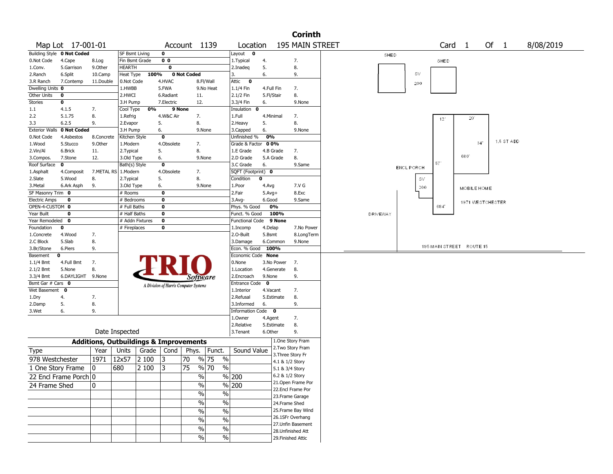|                              |                            |                                                   |                       |                 |                 |                                       |           |                          |              |            | <b>Corinth</b>         |          |                   |                          |                    |                 |            |           |  |
|------------------------------|----------------------------|---------------------------------------------------|-----------------------|-----------------|-----------------|---------------------------------------|-----------|--------------------------|--------------|------------|------------------------|----------|-------------------|--------------------------|--------------------|-----------------|------------|-----------|--|
|                              | Map Lot 17-001-01          |                                                   |                       |                 |                 | Account 1139                          |           | Location                 |              |            | 195 MAIN STREET        |          |                   | Card                     | $\mathbf{1}$       |                 | Of 1       | 8/08/2019 |  |
|                              | Building Style 0 Not Coded |                                                   | <b>SF Bsmt Living</b> |                 | 0               |                                       |           | Layout 0                 |              |            |                        | SHED     |                   |                          |                    |                 |            |           |  |
| 0.Not Code                   | 4.Cape                     | 8.Log                                             | Fin Bsmt Grade        |                 | 0 <sub>0</sub>  |                                       |           | 1. Typical               | 4.           |            | 7.                     |          |                   | <b>SHED</b>              |                    |                 |            |           |  |
| 1.Conv.                      | 5.Garrison                 | 9.0ther                                           | <b>HEARTH</b>         |                 | $\mathbf 0$     |                                       |           | 2.Inadeg                 | 5.           |            | 8.                     |          |                   |                          |                    |                 |            |           |  |
| 2.Ranch                      | 6.Split                    | 10.Camp                                           | Heat Type             | 100%            |                 | 0 Not Coded                           |           | 3.                       | 6.           |            | 9.                     |          | <b>SV</b>         |                          |                    |                 |            |           |  |
| 3.R Ranch                    | 7.Contemp                  | 11.Double                                         | 0.Not Code            |                 | 4.HVAC          |                                       | 8.Fl/Wall | Attic 0                  |              |            |                        |          | 200               |                          |                    |                 |            |           |  |
| Dwelling Units 0             |                            |                                                   | 1.HWBB                |                 | 5.FWA           |                                       | 9.No Heat | 1.1/4 Fin                |              | 4.Full Fin | 7.                     |          |                   |                          |                    |                 |            |           |  |
| Other Units                  | 0                          |                                                   | 2.HWCI                |                 | 6.Radiant       | 11.                                   |           | 2.1/2 Fin                |              | 5.Fl/Stair | 8.                     |          |                   |                          |                    |                 |            |           |  |
| <b>Stories</b>               | 0                          |                                                   | 3.H Pump              |                 | 7.Electric      | 12.                                   |           | 3.3/4 Fin                | 6.           |            | 9.None                 |          |                   |                          |                    |                 |            |           |  |
| 1.1                          | 4.1.5                      | 7.                                                | Cool Type             | 0%              |                 | 9 None                                |           | Insulation 0             |              |            |                        |          |                   |                          |                    |                 |            |           |  |
| 2.2                          | 5.1.75<br>6.2.5            | 8.<br>9.                                          | 1.Refrig              |                 | 4.W&C Air<br>5. | 7.                                    |           | 1.Full                   |              | 4.Minimal  | 7.<br>8.               |          |                   | 12'                      | 20                 |                 |            |           |  |
| 3.3<br><b>Exterior Walls</b> | 0 Not Coded                |                                                   | 2.Evapor<br>3.H Pump  |                 | 6.              | 8.                                    | 9.None    | 2.Heavy<br>3.Capped      | 5.<br>6.     |            | 9.None                 |          |                   |                          |                    |                 |            |           |  |
| 0.Not Code                   | 4.Asbestos                 | 8.Concrete                                        | Kitchen Style         |                 | $\mathbf 0$     |                                       |           | Unfinished %             | 0%           |            |                        |          |                   |                          |                    |                 |            |           |  |
| 1.Wood                       | 5.Stucco                   | 9.0ther                                           | 1.Modern              |                 | 4.Obsolete      | 7.                                    |           | Grade & Factor           |              | 00%        |                        |          |                   |                          |                    | 34 <sup>°</sup> | 1.5 ST ADD |           |  |
| 2.Vin/Al                     | 6.Brick                    | 11.                                               | 2. Typical            |                 | 5.              | 8.                                    |           | 1.E Grade                |              | 4.B Grade  | 7.                     |          |                   |                          |                    |                 |            |           |  |
| 3.Compos.                    | 7.Stone                    | 12.                                               | 3.Old Type            |                 | 6.              |                                       | 9.None    | 2.D Grade                |              | 5.A Grade  | 8.                     |          |                   |                          | 680                |                 |            |           |  |
| Roof Surface                 | $\mathbf 0$                |                                                   | Bath(s) Style         |                 | 0               |                                       |           | 3.C Grade                | 6.           |            | 9.Same                 |          |                   | 571                      |                    |                 |            |           |  |
| 1.Asphalt                    | 4.Composit                 | 7.METAL RS   1.Modern                             |                       |                 | 4.Obsolete      | 7.                                    |           | SQFT (Footprint) 0       |              |            |                        |          | <b>ENCL PORCH</b> |                          |                    |                 |            |           |  |
| 2.Slate                      | 5.Wood                     | 8.                                                | 2. Typical            |                 | 5.              | 8.                                    |           | Condition                | $\mathbf 0$  |            |                        |          | $\mathbb{SV}$     |                          |                    |                 |            |           |  |
| 3.Metal                      | 6.Ark Asph                 | 9.                                                | 3.Old Type            |                 | 6.              |                                       | 9.None    | 1.Poor                   | 4.Avg        |            | 7.V G                  |          | 200               |                          |                    |                 |            |           |  |
| SF Masonry Trim 0            |                            |                                                   | # Rooms               |                 | 0               |                                       |           | 2.Fair                   | $5.$ Avg $+$ |            | 8.Exc                  |          |                   |                          | <b>MOBILE HOME</b> |                 |            |           |  |
| Electric Amps                | 0                          |                                                   | # Bedrooms            |                 | 0               |                                       |           | 3.Avg-                   | 6.Good       |            | 9.Same                 |          |                   |                          |                    |                 |            |           |  |
| OPEN-4-CUSTOM 0              |                            |                                                   | # Full Baths          |                 | 0               |                                       |           | Phys. % Good             |              | 0%         |                        |          |                   | 684                      | 1971 WESTCHESTER   |                 |            |           |  |
| Year Built                   | 0                          |                                                   | # Half Baths          |                 | 0               |                                       |           | Funct. % Good            |              | 100%       |                        | DRIVEWAY |                   |                          |                    |                 |            |           |  |
| Year Remodeled 0             |                            |                                                   |                       | # Addn Fixtures | 0               |                                       |           | Functional Code 9 None   |              |            |                        |          |                   |                          |                    |                 |            |           |  |
| Foundation                   | 0                          |                                                   | # Fireplaces          |                 | 0               |                                       |           | 1.Incomp                 | 4.Delap      |            | 7.No Power             |          |                   |                          |                    |                 |            |           |  |
| 1.Concrete                   | 4.Wood                     | 7.                                                |                       |                 |                 |                                       |           | 2.0-Built                | 5.Bsmt       |            | 8.LongTerm             |          |                   |                          |                    |                 |            |           |  |
| 2.C Block                    | 5.Slab                     | 8.                                                |                       |                 |                 |                                       |           | 3.Damage                 |              | 6.Common   | 9.None                 |          |                   |                          |                    |                 |            |           |  |
| 3.Br/Stone                   | 6.Piers                    | 9.                                                |                       |                 |                 |                                       |           | Econ. % Good             |              | 100%       |                        |          |                   | 195 MAIN STREET ROUTE 15 |                    |                 |            |           |  |
| Basement                     | 0                          |                                                   |                       |                 |                 |                                       |           | Economic Code None       |              |            |                        |          |                   |                          |                    |                 |            |           |  |
| 1.1/4 Bmt                    | 4.Full Bmt                 | 7.                                                |                       |                 |                 |                                       |           | 0.None                   |              | 3.No Power | 7.                     |          |                   |                          |                    |                 |            |           |  |
| 2.1/2 Bmt                    | 5.None                     | 8.                                                |                       |                 |                 |                                       |           | 1.Location               |              | 4.Generate | 8.                     |          |                   |                          |                    |                 |            |           |  |
| 3.3/4 Bmt                    | 6.DAYLIGHT 9.None          |                                                   |                       |                 |                 | Software                              |           | 2.Encroach               | 9.None       |            | 9.                     |          |                   |                          |                    |                 |            |           |  |
| Bsmt Gar # Cars 0            |                            |                                                   |                       |                 |                 | A Division of Harris Computer Systems |           | Entrance Code            | $\mathbf{0}$ |            |                        |          |                   |                          |                    |                 |            |           |  |
| Wet Basement 0               |                            |                                                   |                       |                 |                 |                                       |           | 1.Interior               |              | 4.Vacant   | 7.                     |          |                   |                          |                    |                 |            |           |  |
| 1.Dry                        | 4.                         | 7.                                                |                       |                 |                 |                                       |           | 2.Refusal                |              | 5.Estimate | 8.                     |          |                   |                          |                    |                 |            |           |  |
| 2.Damp                       | 5.                         | 8.                                                |                       |                 |                 |                                       |           | 3.Informed               | 6.           |            | 9.                     |          |                   |                          |                    |                 |            |           |  |
| 3.Wet                        | 6.                         | 9.                                                |                       |                 |                 |                                       |           | Information Code 0       |              |            |                        |          |                   |                          |                    |                 |            |           |  |
|                              |                            |                                                   |                       |                 |                 |                                       |           | 1.0wner                  | 4.Agent      |            | 7.                     |          |                   |                          |                    |                 |            |           |  |
|                              |                            |                                                   |                       |                 |                 |                                       |           | 2.Relative               |              | 5.Estimate | 8.                     |          |                   |                          |                    |                 |            |           |  |
|                              |                            |                                                   | Date Inspected        |                 |                 |                                       |           | 3. Tenant                | 6.Other      |            | 9.<br>1.One Story Fram |          |                   |                          |                    |                 |            |           |  |
|                              |                            | <b>Additions, Outbuildings &amp; Improvements</b> |                       |                 | Grade   Cond    | Phys.                                 |           | Sound Value              |              |            | 2. Two Story Fram      |          |                   |                          |                    |                 |            |           |  |
| <b>Type</b>                  |                            | Year                                              | Units                 |                 |                 |                                       | Funct.    |                          |              |            | 3. Three Story Fr      |          |                   |                          |                    |                 |            |           |  |
| 978 Westchester              |                            | 1971                                              | 12x57                 | 2 100           | 3               | 70                                    | % 75      | $\%$                     |              |            | 4.1 & 1/2 Story        |          |                   |                          |                    |                 |            |           |  |
| 1 One Story Frame            |                            | 0                                                 | 680                   | 2 100           | 13              | 75                                    | % 70      | $\frac{0}{0}$            |              |            | 5.1 & 3/4 Story        |          |                   |                          |                    |                 |            |           |  |
|                              | 22 Encl Frame Porch 0      |                                                   |                       |                 |                 | $\sqrt{6}$                            |           | $\frac{9}{6}$ 200        |              |            | 6.2 & 1/2 Story        |          |                   |                          |                    |                 |            |           |  |
| 24 Frame Shed                |                            | 10                                                |                       |                 |                 | %                                     |           | $\sqrt{6}$ 200           |              |            | 21. Open Frame Por     |          |                   |                          |                    |                 |            |           |  |
|                              |                            |                                                   |                       |                 |                 | $\%$                                  |           | $\sqrt{6}$               |              |            | 22.Encl Frame Por      |          |                   |                          |                    |                 |            |           |  |
|                              |                            |                                                   |                       |                 |                 |                                       |           |                          |              |            | 23. Frame Garage       |          |                   |                          |                    |                 |            |           |  |
|                              |                            |                                                   |                       |                 |                 | $\frac{0}{0}$                         |           | $\frac{0}{0}$            |              |            | 24.Frame Shed          |          |                   |                          |                    |                 |            |           |  |
|                              |                            |                                                   |                       |                 |                 | $\%$                                  |           | $\%$                     |              |            | 25. Frame Bay Wind     |          |                   |                          |                    |                 |            |           |  |
|                              |                            |                                                   |                       |                 |                 | $\%$                                  |           | $\sqrt{6}$               |              |            | 26.1SFr Overhang       |          |                   |                          |                    |                 |            |           |  |
|                              |                            |                                                   |                       |                 |                 | $\%$                                  |           | $\overline{\frac{0}{0}}$ |              |            | 27. Unfin Basement     |          |                   |                          |                    |                 |            |           |  |
|                              |                            |                                                   |                       |                 |                 |                                       |           |                          |              |            | 28. Unfinished Att     |          |                   |                          |                    |                 |            |           |  |
|                              |                            |                                                   |                       |                 |                 | $\frac{1}{2}$                         |           | $\frac{9}{6}$            |              |            | 29. Finished Attic     |          |                   |                          |                    |                 |            |           |  |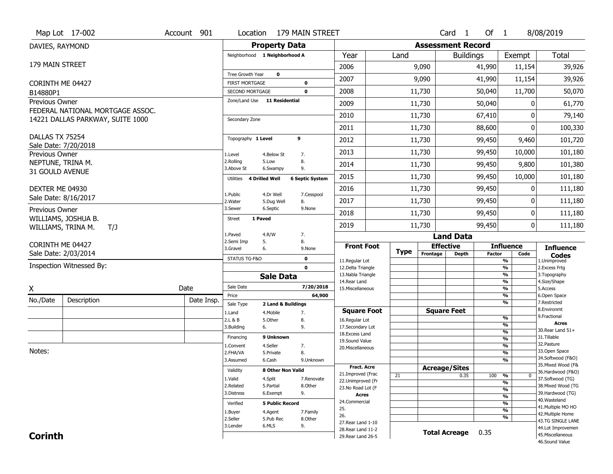|                                     | Map Lot 17-002                   | Account 901 | Location                                               |                          | 179 MAIN STREET        |                                         |             |                              | Card 1           | Of 1          |                               | 8/08/2019                              |
|-------------------------------------|----------------------------------|-------------|--------------------------------------------------------|--------------------------|------------------------|-----------------------------------------|-------------|------------------------------|------------------|---------------|-------------------------------|----------------------------------------|
| DAVIES, RAYMOND                     |                                  |             |                                                        | <b>Property Data</b>     |                        |                                         |             | <b>Assessment Record</b>     |                  |               |                               |                                        |
|                                     |                                  |             | Neighborhood 1 Neighborhood A                          |                          |                        | Year                                    | Land        |                              | <b>Buildings</b> |               | Exempt                        | <b>Total</b>                           |
| 179 MAIN STREET                     |                                  |             |                                                        |                          |                        | 2006                                    |             | 9,090                        |                  | 41,990        | 11,154                        | 39,926                                 |
|                                     |                                  |             | Tree Growth Year                                       | 0                        |                        | 2007                                    |             | 9,090                        |                  | 41,990        | 11,154                        | 39,926                                 |
| CORINTH ME 04427                    |                                  |             | <b>FIRST MORTGAGE</b>                                  |                          | $\mathbf 0$            | 2008                                    |             | 11,730                       |                  | 50,040        | 11,700                        |                                        |
| B14880P1<br>Previous Owner          |                                  |             | <b>SECOND MORTGAGE</b><br>Zone/Land Use 11 Residential |                          | 0                      |                                         |             |                              |                  |               |                               | 50,070                                 |
|                                     | FEDERAL NATIONAL MORTGAGE ASSOC. |             |                                                        |                          |                        | 2009                                    |             | 11,730                       |                  | 50,040        | 0                             | 61,770                                 |
|                                     | 14221 DALLAS PARKWAY, SUITE 1000 |             | Secondary Zone                                         |                          |                        | 2010                                    |             | 11,730                       |                  | 67,410        | 0                             | 79,140                                 |
|                                     |                                  |             |                                                        |                          |                        | 2011                                    |             | 11,730                       |                  | 88,600        | 0                             | 100,330                                |
| DALLAS TX 75254                     |                                  |             | Topography 1 Level                                     |                          | 9                      | 2012                                    |             | 11,730                       |                  | 99,450        | 9,460                         | 101,720                                |
|                                     | Sale Date: 7/20/2018             |             |                                                        |                          |                        | 2013                                    |             | 11,730                       |                  | 99,450        | 10,000                        | 101,180                                |
| Previous Owner<br>NEPTUNE, TRINA M. |                                  |             | 1.Level<br>2.Rolling                                   | 4.Below St<br>5.Low      | 7.<br>8.               |                                         |             |                              |                  |               |                               |                                        |
| 31 GOULD AVENUE                     |                                  |             | 3.Above St                                             | 6.Swampy                 | 9.                     | 2014                                    |             | 11,730                       |                  | 99,450        | 9,800                         | 101,380                                |
|                                     |                                  |             | Utilities<br><b>4 Drilled Well</b>                     |                          | <b>6 Septic System</b> | 2015                                    |             | 11,730                       |                  | 99,450        | 10,000                        | 101,180                                |
| DEXTER ME 04930                     |                                  |             |                                                        |                          |                        | 2016                                    |             | 11,730                       |                  | 99,450        | 0                             | 111,180                                |
|                                     | Sale Date: 8/16/2017             |             | 1.Public<br>2.Water                                    | 4.Dr Well<br>5.Dug Well  | 7.Cesspool<br>8.       | 2017                                    |             | 11,730                       |                  | 99,450        | 0                             | 111,180                                |
| Previous Owner                      |                                  |             | 3.Sewer                                                | 6.Septic                 | 9.None                 | 2018                                    |             | 11,730                       |                  | 99,450        | 0                             | 111,180                                |
|                                     | WILLIAMS, JOSHUA B.              |             | 1 Paved<br>Street                                      |                          |                        |                                         |             |                              |                  |               |                               |                                        |
|                                     | WILLIAMS, TRINA M.<br>T/J        |             | 1.Paved                                                | 4.R/W                    | 7.                     | 2019                                    |             | 11,730                       |                  | 99,450        | 0                             | 111,180                                |
| CORINTH ME 04427                    |                                  |             | 2.Semi Imp<br>5.                                       |                          | 8.                     |                                         |             |                              | <b>Land Data</b> |               |                               |                                        |
|                                     | Sale Date: 2/03/2014             |             | 3.Gravel<br>6.                                         |                          | 9.None                 | <b>Front Foot</b>                       | <b>Type</b> | <b>Effective</b><br>Frontage | Depth            | <b>Factor</b> | <b>Influence</b><br>Code      | <b>Influence</b><br><b>Codes</b>       |
|                                     | Inspection Witnessed By:         |             | STATUS TG-F&O                                          |                          | 0                      | 11.Regular Lot                          |             |                              |                  |               | %                             | 1.Unimproved                           |
|                                     |                                  |             |                                                        |                          | $\mathbf{0}$           | 12.Delta Triangle<br>13. Nabla Triangle |             |                              |                  |               | %<br>%                        | 2. Excess Frtg<br>3. Topography        |
|                                     |                                  |             |                                                        | <b>Sale Data</b>         |                        | 14. Rear Land                           |             |                              |                  |               | %                             | 4.Size/Shape                           |
| X                                   |                                  | Date        | Sale Date                                              |                          | 7/20/2018              | 15. Miscellaneous                       |             |                              |                  |               | %                             | 5.Access                               |
| No./Date                            | Description                      | Date Insp.  | Price<br>Sale Type                                     | 2 Land & Buildings       | 64,900                 |                                         |             |                              |                  |               | %<br>%                        | 6.Open Space<br>7.Restricted           |
|                                     |                                  |             | 1.Land                                                 | 4. Mobile                | 7.                     | <b>Square Foot</b>                      |             | <b>Square Feet</b>           |                  |               |                               | 8.Environmt                            |
|                                     |                                  |             | 2.L & B                                                | 5.Other                  | 8.                     | 16.Regular Lot                          |             |                              |                  |               | %                             | 9. Fractional<br><b>Acres</b>          |
|                                     |                                  |             | 3.Building                                             | 6.                       | 9.                     | 17.Secondary Lot<br>18.Excess Land      |             |                              |                  |               | %<br>%                        | 30.Rear Land 51+                       |
|                                     |                                  |             | Financing                                              | 9 Unknown                |                        | 19.Sound Value                          |             |                              |                  |               | %                             | 31.Tillable<br>32.Pasture              |
| Notes:                              |                                  |             | L.Convent                                              | 4.Seller                 | 7.                     | 20.Miscellaneous                        |             |                              |                  |               | %<br>$\overline{\frac{9}{6}}$ | 33.Open Space                          |
|                                     |                                  |             | 2.FHA/VA<br>3.Assumed                                  | 5.Private<br>6.Cash      | 8.<br>9.Unknown        |                                         |             |                              |                  |               | %                             | 34.Softwood (F&O)                      |
|                                     |                                  |             |                                                        |                          |                        | <b>Fract, Acre</b>                      |             | <b>Acreage/Sites</b>         |                  |               |                               | 35. Mixed Wood (F&                     |
|                                     |                                  |             | Validity                                               | <b>8 Other Non Valid</b> |                        | 21.Improved (Frac                       | 21          |                              | 0.35             | 100           | %<br>$\bf{0}$                 | 36.Hardwood (F&O)                      |
|                                     |                                  |             | 1.Valid<br>2.Related                                   | 4.Split<br>5.Partial     | 7.Renovate<br>8.Other  | 22.Unimproved (Fr                       |             |                              |                  |               | %                             | 37.Softwood (TG)<br>38. Mixed Wood (TG |
|                                     |                                  |             | 3.Distress                                             | 6.Exempt                 | 9.                     | 23.No Road Lot (F                       |             |                              |                  |               | %                             | 39.Hardwood (TG)                       |
|                                     |                                  |             |                                                        |                          |                        | <b>Acres</b><br>24.Commercial           |             |                              |                  |               | $\frac{9}{6}$                 | 40. Wasteland                          |
|                                     |                                  |             | Verified                                               | <b>5 Public Record</b>   |                        | 25.                                     |             |                              |                  |               | %                             | 41. Multiple MO HO                     |
|                                     |                                  |             | 1.Buyer                                                | 4.Agent                  | 7.Family               | 26.                                     |             |                              |                  |               | %<br>%                        | 42. Multiple Home                      |
|                                     |                                  |             | 2.Seller                                               | 5.Pub Rec                | 8.Other                | 27. Rear Land 1-10                      |             |                              |                  |               |                               | 43.TG SINGLE LANE                      |
|                                     |                                  |             | 3.Lender                                               | 6.MLS                    | 9.                     | 28. Rear Land 11-2                      |             | <b>Total Acreage</b>         |                  | 0.35          |                               | 44.Lot Improvemen                      |
| <b>Corinth</b>                      |                                  |             |                                                        |                          |                        | 29. Rear Land 26-5                      |             |                              |                  |               |                               | 45. Miscellaneous<br>46.Sound Value    |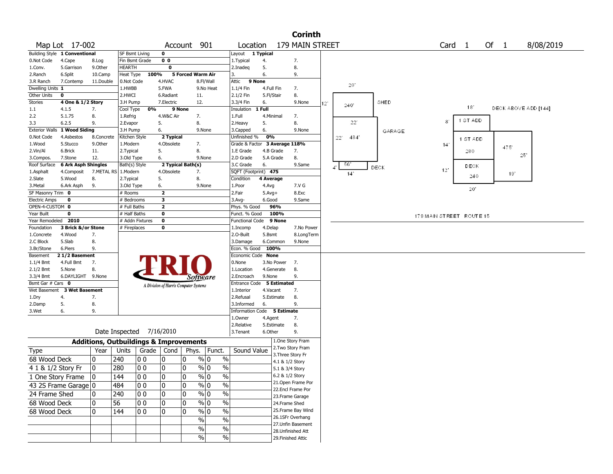|                          |                                            |                                                   |                           |                          |                                       |                |                          |               |                  |                      |                                        | <b>Corinth</b> |                 |                     |             |        |                          |                   |                      |           |  |
|--------------------------|--------------------------------------------|---------------------------------------------------|---------------------------|--------------------------|---------------------------------------|----------------|--------------------------|---------------|------------------|----------------------|----------------------------------------|----------------|-----------------|---------------------|-------------|--------|--------------------------|-------------------|----------------------|-----------|--|
|                          | Map Lot 17-002                             |                                                   |                           |                          | Account                               |                | 901                      |               | Location         |                      | 179 MAIN STREET                        |                |                 |                     |             |        |                          | Card <sub>1</sub> | Of $1$               | 8/08/2019 |  |
|                          | Building Style 1 Conventional              |                                                   | <b>SF Bsmt Living</b>     |                          | $\mathbf 0$                           |                |                          |               | Layout 1 Typical |                      |                                        |                |                 |                     |             |        |                          |                   |                      |           |  |
| 0.Not Code               | 4.Cape                                     | 8.Log                                             | Fin Bsmt Grade            |                          | 0 <sub>0</sub>                        |                |                          | 1. Typical    |                  | 4.                   | 7.                                     |                |                 |                     |             |        |                          |                   |                      |           |  |
| 1.Conv.                  | 5.Garrison                                 | 9.0ther                                           | <b>HEARTH</b>             |                          | $\mathbf 0$                           |                |                          | 2.Inadeg      |                  | 5.                   | 8.                                     |                |                 |                     |             |        |                          |                   |                      |           |  |
| 2.Ranch                  | 6.Split                                    | 10.Camp                                           | Heat Type                 | 100%                     |                                       |                | <b>5 Forced Warm Air</b> | 3.            |                  | 6.                   | 9.                                     |                |                 |                     |             |        |                          |                   |                      |           |  |
| 3.R Ranch                | 7.Contemp                                  | 11.Double                                         | 0.Not Code                |                          | 4.HVAC                                |                | 8.Fl/Wall                | Attic         | 9 None           |                      |                                        |                |                 | 20                  |             |        |                          |                   |                      |           |  |
| Dwelling Units 1         |                                            |                                                   | 1.HWBB                    |                          | 5.FWA                                 |                | 9.No Heat                | 1.1/4 Fin     |                  | 4.Full Fin           | 7.                                     |                |                 |                     |             |        |                          |                   |                      |           |  |
| Other Units              | 0                                          |                                                   | 2.HWCI                    |                          | 6.Radiant                             |                | 11.                      | 2.1/2 Fin     |                  | 5.Fl/Stair           | 8.                                     |                |                 |                     |             |        |                          |                   |                      |           |  |
| Stories                  | 4 One & 1/2 Story                          |                                                   | 3.H Pump                  |                          | 7.Electric                            |                | 12.                      | 3.3/4 Fin     |                  | 6.                   |                                        | 9.None         | 12 <sup>°</sup> | $240^{\circ}$       |             | SHED   |                          | 18                |                      |           |  |
| $1.1\,$                  | 4.1.5                                      | 7.                                                | Cool Type                 | 0%                       |                                       | 9 None         |                          | Insulation    |                  | 1 Full               |                                        |                |                 |                     |             |        |                          |                   | DECK ABOVE ADD [144] |           |  |
| 2.2                      | 5.1.75                                     | 8.                                                | 1.Refrig                  |                          | 4.W&C Air                             |                | 7.                       | 1.Full        |                  | 4.Minimal            | 7.                                     |                |                 | 22"                 |             |        | $8^{\circ}$              | 1 ST ADD          |                      |           |  |
| 3.3                      | 6.2.5                                      | 9.                                                | 2.Evapor                  |                          | 5.                                    |                | 8.                       | 2. Heavy      |                  | 5.                   | 8.                                     |                |                 |                     |             |        |                          |                   |                      |           |  |
| 0.Not Code               | Exterior Walls 1 Wood Siding<br>4.Asbestos |                                                   | 3.H Pump                  |                          | 6.                                    |                | 9.None                   | 3.Capped      | Unfinished %     | 6.<br>0%             |                                        | 9.None         |                 |                     |             | GARAGE |                          |                   |                      |           |  |
| 1.Wood                   | 5.Stucco                                   | 8.Concrete<br>9.Other                             | Kitchen Style<br>1.Modern |                          | 2 Typical<br>4.Obsolete               |                | 7.                       |               |                  |                      | Grade & Factor 3 Average 118%          |                |                 | $22^{\circ}$<br>484 |             |        |                          | 1 ST ADD          |                      |           |  |
| 2.Vin/Al                 | 6.Brick                                    | 11.                                               | 2.Typical                 |                          | 5.                                    |                | 8.                       |               | 1.E Grade        | 4.B Grade            | 7.                                     |                |                 |                     |             |        | 14 <sup>°</sup>          | 280               | 475                  |           |  |
| 3.Compos.                | 7.Stone                                    | 12.                                               | 3.Old Type                |                          | 6.                                    |                | 9.None                   |               | 2.D Grade        | 5.A Grade            | 8.                                     |                |                 |                     |             |        |                          |                   | $25^{\circ}$         |           |  |
| Roof Surface             | <b>6 Ark Asph Shingles</b>                 |                                                   | Bath(s) Style             |                          | 2 Typical Bath(s)                     |                |                          |               | 3.C Grade        | 6.                   |                                        | 9.Same         |                 | 56.                 |             |        |                          | DECK              |                      |           |  |
| 1.Asphalt                | 4.Composit                                 | 7.METAL RS 1.Modern                               |                           |                          | 4.Obsolete                            |                | 7.                       |               |                  | SQFT (Footprint) 475 |                                        |                |                 | 14'                 | <b>DECK</b> |        | 12"                      |                   |                      |           |  |
| 2.Slate                  | 5.Wood                                     | 8.                                                | 2.Typical                 |                          | 5.                                    |                | 8.                       | Condition     |                  | 4 Average            |                                        |                |                 |                     |             |        |                          | 240               | 191                  |           |  |
| 3.Metal                  | 6.Ark Asph                                 | 9.                                                | 3.Old Type                |                          | 6.                                    |                | 9.None                   | 1.Poor        |                  | 4.Avg                |                                        | 7.V G          |                 |                     |             |        |                          |                   |                      |           |  |
| SF Masonry Trim 0        |                                            |                                                   | # Rooms                   |                          | $\overline{\mathbf{2}}$               |                |                          | 2.Fair        |                  | $5.$ Avg $+$         |                                        | 8.Exc          |                 |                     |             |        |                          | 20'               |                      |           |  |
| <b>Electric Amps</b>     | 0                                          |                                                   | # Bedrooms                |                          | 3                                     |                |                          | $3.$ Avg-     |                  | 6.Good               |                                        | 9.Same         |                 |                     |             |        |                          |                   |                      |           |  |
| OPEN-4-CUSTOM 0          |                                            |                                                   | # Full Baths              |                          | $\overline{\mathbf{2}}$               |                |                          |               | Phys. % Good     | 96%                  |                                        |                |                 |                     |             |        |                          |                   |                      |           |  |
| Year Built               | 0                                          |                                                   | # Half Baths              |                          | 0                                     |                |                          |               | Funct. % Good    |                      | 100%                                   |                |                 |                     |             |        | 179 MAIN STREET ROUTE 15 |                   |                      |           |  |
| Year Remodeled 2010      |                                            |                                                   |                           | # Addn Fixtures          | 0                                     |                |                          |               | Functional Code  |                      | 9 None                                 |                |                 |                     |             |        |                          |                   |                      |           |  |
| Foundation               | 3 Brick &/or Stone                         |                                                   | # Fireplaces              |                          | 0                                     |                |                          | 1.Incomp      |                  | 4.Delap              |                                        | 7.No Power     |                 |                     |             |        |                          |                   |                      |           |  |
| 1.Concrete               | 4.Wood                                     | 7.                                                |                           |                          |                                       |                |                          | 2.0-Built     |                  | 5.Bsmt               |                                        | 8.LongTerm     |                 |                     |             |        |                          |                   |                      |           |  |
| 2.C Block                | 5.Slab                                     | 8.                                                |                           |                          |                                       |                |                          |               | 3.Damage         | 6.Common             |                                        | 9.None         |                 |                     |             |        |                          |                   |                      |           |  |
| 3.Br/Stone               | 6.Piers                                    | 9.                                                |                           |                          |                                       |                |                          |               |                  | Econ. % Good 100%    |                                        |                |                 |                     |             |        |                          |                   |                      |           |  |
| Basement                 | 21/2 Basement                              |                                                   |                           |                          |                                       |                |                          |               |                  | Economic Code None   |                                        |                |                 |                     |             |        |                          |                   |                      |           |  |
| $1.1/4$ Bmt              | 4.Full Bmt                                 | 7.                                                |                           |                          |                                       |                |                          | 0.None        |                  | 3.No Power           | 7.                                     |                |                 |                     |             |        |                          |                   |                      |           |  |
| $2.1/2$ Bmt<br>3.3/4 Bmt | 5.None                                     | 8.                                                |                           |                          |                                       |                |                          |               | 1.Location       | 4.Generate<br>9.None | 8.<br>9.                               |                |                 |                     |             |        |                          |                   |                      |           |  |
| Bsmt Gar # Cars 0        | 6.DAYLIGHT 9.None                          |                                                   |                           |                          |                                       |                | Software                 |               | 2.Encroach       |                      | Entrance Code 5 Estimated              |                |                 |                     |             |        |                          |                   |                      |           |  |
| Wet Basement             | <b>3 Wet Basement</b>                      |                                                   |                           |                          | A Division of Harris Computer Systems |                |                          | 1.Interior    |                  | 4.Vacant             | 7.                                     |                |                 |                     |             |        |                          |                   |                      |           |  |
| 1.Dry                    | 4.                                         | 7.                                                |                           |                          |                                       |                |                          | 2.Refusal     |                  | 5.Estimate           | 8.                                     |                |                 |                     |             |        |                          |                   |                      |           |  |
| 2.Damp                   | 5.                                         | 8.                                                |                           |                          |                                       |                |                          |               | 3.Informed       | 6.                   | 9.                                     |                |                 |                     |             |        |                          |                   |                      |           |  |
| 3.Wet                    | 6.                                         | 9.                                                |                           |                          |                                       |                |                          |               |                  |                      | Information Code 5 Estimate            |                |                 |                     |             |        |                          |                   |                      |           |  |
|                          |                                            |                                                   |                           |                          |                                       |                |                          | 1.Owner       |                  | 4.Agent              | 7.                                     |                |                 |                     |             |        |                          |                   |                      |           |  |
|                          |                                            |                                                   |                           |                          |                                       |                |                          | 2.Relative    |                  | 5.Estimate           | 8.                                     |                |                 |                     |             |        |                          |                   |                      |           |  |
|                          |                                            |                                                   |                           | Date Inspected 7/16/2010 |                                       |                |                          | 3. Tenant     |                  | 6.Other              | 9.                                     |                |                 |                     |             |        |                          |                   |                      |           |  |
|                          |                                            | <b>Additions, Outbuildings &amp; Improvements</b> |                           |                          |                                       |                |                          |               |                  |                      | 1.One Story Fram                       |                |                 |                     |             |        |                          |                   |                      |           |  |
| Type                     |                                            | Year                                              | Units                     |                          | Grade   Cond                          |                | Phys.   Funct.           |               | Sound Value      |                      | 2. Two Story Fram                      |                |                 |                     |             |        |                          |                   |                      |           |  |
| 68 Wood Deck             |                                            | 10                                                | 240                       | 00                       | 10                                    | 10             | % 0                      | $\%$          |                  |                      | 3. Three Story Fr                      |                |                 |                     |             |        |                          |                   |                      |           |  |
|                          |                                            |                                                   |                           | l 0 0                    |                                       |                |                          |               |                  |                      | 4.1 & 1/2 Story                        |                |                 |                     |             |        |                          |                   |                      |           |  |
| 4 1 & 1/2 Story Fr       |                                            | 10                                                | 280                       |                          | 10                                    | 0              | $\frac{9}{0}$ 0          | $\%$          |                  |                      | 5.1 & 3/4 Story                        |                |                 |                     |             |        |                          |                   |                      |           |  |
|                          | 1 One Story Frame                          | 0                                                 | 144                       | 00                       | 0                                     | $\Omega$       | $\frac{9}{0}$            | $\%$          |                  |                      | 6.2 & 1/2 Story                        |                |                 |                     |             |        |                          |                   |                      |           |  |
|                          | 43 2S Frame Garage   0                     |                                                   | 484                       | 00                       | 10                                    | 0              | $\frac{9}{0}$ 0          | $\%$          |                  |                      | 21.Open Frame Por<br>22.Encl Frame Por |                |                 |                     |             |        |                          |                   |                      |           |  |
| 24 Frame Shed            |                                            | 0                                                 | 240                       | $ 00\rangle$             | 10                                    | 0              | $\frac{9}{6}$ 0          | %             |                  |                      | 23. Frame Garage                       |                |                 |                     |             |        |                          |                   |                      |           |  |
| 68 Wood Deck             |                                            | 0                                                 | 56                        | 00                       | 10                                    | 0              | $\frac{9}{0}$            | $\frac{0}{0}$ |                  |                      | 24.Frame Shed                          |                |                 |                     |             |        |                          |                   |                      |           |  |
| 68 Wood Deck             |                                            | 10                                                | 144                       | 100                      | 10                                    | $\overline{0}$ | $\%$ 0                   | $\%$          |                  |                      | 25. Frame Bay Wind                     |                |                 |                     |             |        |                          |                   |                      |           |  |
|                          |                                            |                                                   |                           |                          |                                       |                |                          |               |                  |                      | 26.1SFr Overhang                       |                |                 |                     |             |        |                          |                   |                      |           |  |
|                          |                                            |                                                   |                           |                          |                                       |                | $\%$                     | $\frac{1}{2}$ |                  |                      | 27.Unfin Basement                      |                |                 |                     |             |        |                          |                   |                      |           |  |
|                          |                                            |                                                   |                           |                          |                                       |                | $\%$                     | $\%$          |                  |                      | 28. Unfinished Att                     |                |                 |                     |             |        |                          |                   |                      |           |  |
|                          |                                            |                                                   |                           |                          |                                       |                | $\%$                     | $\%$          |                  |                      | 29. Finished Attic                     |                |                 |                     |             |        |                          |                   |                      |           |  |
|                          |                                            |                                                   |                           |                          |                                       |                |                          |               |                  |                      |                                        |                |                 |                     |             |        |                          |                   |                      |           |  |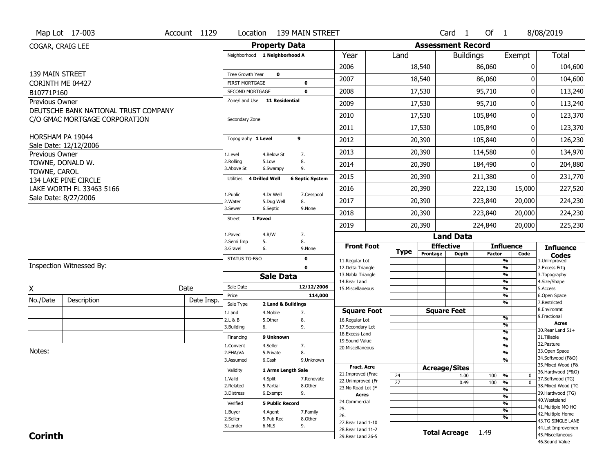|                              | Map Lot 17-003                       | Account 1129 |                                                 | Location 139 MAIN STREET      |                            |                                          |                 |          | Card <sub>1</sub>                | Of $1$        |                                           | 8/08/2019                              |
|------------------------------|--------------------------------------|--------------|-------------------------------------------------|-------------------------------|----------------------------|------------------------------------------|-----------------|----------|----------------------------------|---------------|-------------------------------------------|----------------------------------------|
| COGAR, CRAIG LEE             |                                      |              |                                                 | <b>Property Data</b>          |                            |                                          |                 |          | <b>Assessment Record</b>         |               |                                           |                                        |
|                              |                                      |              |                                                 | Neighborhood 1 Neighborhood A |                            | Year                                     | Land            |          | <b>Buildings</b>                 |               | Exempt                                    | <b>Total</b>                           |
|                              |                                      |              |                                                 |                               |                            | 2006                                     |                 | 18,540   |                                  | 86,060        | 0                                         | 104,600                                |
| 139 MAIN STREET              |                                      |              | Tree Growth Year                                | $\mathbf 0$                   |                            | 2007                                     |                 | 18,540   |                                  | 86,060        | O                                         | 104,600                                |
| CORINTH ME 04427             |                                      |              | <b>FIRST MORTGAGE</b><br><b>SECOND MORTGAGE</b> |                               | $\mathbf 0$<br>$\mathbf 0$ | 2008                                     |                 | 17,530   |                                  | 95,710        | 0                                         | 113,240                                |
| B10771P160<br>Previous Owner |                                      |              |                                                 | Zone/Land Use 11 Residential  |                            |                                          |                 |          |                                  |               |                                           |                                        |
|                              | DEUTSCHE BANK NATIONAL TRUST COMPANY |              |                                                 |                               |                            | 2009                                     |                 | 17,530   |                                  | 95,710        | 0                                         | 113,240                                |
|                              | C/O GMAC MORTGAGE CORPORATION        |              | Secondary Zone                                  |                               |                            | 2010                                     |                 | 17,530   |                                  | 105,840       | 0                                         | 123,370                                |
|                              |                                      |              |                                                 |                               |                            | 2011                                     |                 | 17,530   |                                  | 105,840       | 0                                         | 123,370                                |
| HORSHAM PA 19044             |                                      |              | Topography 1 Level                              | 9                             |                            | 2012                                     |                 | 20,390   |                                  | 105,840       | 0                                         | 126,230                                |
| Previous Owner               | Sale Date: 12/12/2006                |              | 1.Level                                         | 4.Below St<br>7.              |                            | 2013                                     |                 | 20,390   |                                  | 114,580       | 0                                         | 134,970                                |
| TOWNE, DONALD W.             |                                      |              | 2.Rolling<br>3.Above St                         | 8.<br>5.Low<br>9.<br>6.Swampy |                            | 2014                                     |                 | 20,390   |                                  | 184,490       | 0                                         | 204,880                                |
| TOWNE, CAROL                 | 134 LAKE PINE CIRCLE                 |              | Utilities                                       | <b>4 Drilled Well</b>         | <b>6 Septic System</b>     | 2015                                     |                 | 20,390   |                                  | 211,380       | 0                                         | 231,770                                |
|                              | LAKE WORTH FL 33463 5166             |              |                                                 |                               |                            | 2016                                     |                 | 20,390   |                                  | 222,130       | 15,000                                    | 227,520                                |
|                              | Sale Date: 8/27/2006                 |              | 1.Public<br>2. Water                            | 4.Dr Well<br>5.Dug Well       | 7.Cesspool<br>8.           | 2017                                     |                 | 20,390   |                                  | 223,840       | 20,000                                    | 224,230                                |
|                              |                                      |              | 3.Sewer                                         | 6.Septic                      | 9.None                     | 2018                                     |                 | 20,390   |                                  | 223,840       | 20,000                                    | 224,230                                |
|                              |                                      |              | 1 Paved<br><b>Street</b>                        |                               |                            | 2019                                     |                 | 20,390   |                                  | 224,840       | 20,000                                    | 225,230                                |
|                              |                                      |              | 1.Paved                                         | 4.R/W                         | 7.                         |                                          |                 |          | <b>Land Data</b>                 |               |                                           |                                        |
|                              |                                      |              | 2.Semi Imp                                      | 5.                            | 8.                         |                                          |                 |          |                                  |               |                                           |                                        |
|                              |                                      |              |                                                 |                               |                            |                                          |                 |          |                                  |               |                                           |                                        |
|                              |                                      |              | 3.Gravel                                        | 6.                            | 9.None                     | <b>Front Foot</b>                        | <b>Type</b>     | Frontage | <b>Effective</b><br><b>Depth</b> | <b>Factor</b> | <b>Influence</b><br>Code                  | <b>Influence</b><br><b>Codes</b>       |
|                              | Inspection Witnessed By:             |              | STATUS TG-F&O                                   |                               | $\mathbf 0$                | 11.Regular Lot                           |                 |          |                                  |               | $\overline{\frac{9}{6}}$                  | 1.Unimproved                           |
|                              |                                      |              |                                                 |                               | $\mathbf 0$                | 12.Delta Triangle<br>13. Nabla Triangle  |                 |          |                                  |               | $\frac{9}{6}$<br>$\overline{\frac{9}{6}}$ | 2. Excess Frtg<br>3. Topography        |
|                              |                                      |              | Sale Date                                       | <b>Sale Data</b>              | 12/12/2006                 | 14. Rear Land                            |                 |          |                                  |               | $\frac{9}{6}$                             | 4.Size/Shape                           |
| X                            |                                      | Date         | Price                                           |                               | 114,000                    | 15. Miscellaneous                        |                 |          |                                  |               | $\frac{9}{6}$<br>%                        | 5.Access<br>6.Open Space               |
| No./Date                     | Description                          | Date Insp.   | Sale Type                                       | 2 Land & Buildings            |                            |                                          |                 |          |                                  |               | %                                         | 7.Restricted                           |
|                              |                                      |              | 1.Land                                          | 7.<br>4. Mobile               |                            | <b>Square Foot</b>                       |                 |          | <b>Square Feet</b>               |               |                                           | 8.Environmt<br>9. Fractional           |
|                              |                                      |              | 2.L & B                                         | 8.<br>5.0ther                 |                            | 16.Regular Lot                           |                 |          |                                  |               | %<br>%                                    | <b>Acres</b>                           |
|                              |                                      |              | 3.Building                                      | 9.<br>6.                      |                            | 17.Secondary Lot<br>18.Excess Land       |                 |          |                                  |               | %                                         | 30.Rear Land 51+                       |
|                              |                                      |              | Financing                                       | 9 Unknown                     |                            | 19.Sound Value                           |                 |          |                                  |               | %                                         | 31.Tillable                            |
|                              |                                      |              | 1.Convent                                       | 4.Seller                      | 7.                         | 20.Miscellaneous                         |                 |          |                                  |               | %                                         | 32.Pasture                             |
| Notes:                       |                                      |              | 2.FHA/VA<br>3.Assumed                           | 8.<br>5.Private<br>6.Cash     | 9.Unknown                  |                                          |                 |          |                                  |               | %<br>%                                    | 33.Open Space<br>34.Softwood (F&O)     |
|                              |                                      |              |                                                 |                               |                            | <b>Fract. Acre</b>                       |                 |          |                                  |               |                                           | 35. Mixed Wood (F&                     |
|                              |                                      |              | Validity                                        | 1 Arms Length Sale            |                            | 21.Improved (Frac                        | 24              |          | <b>Acreage/Sites</b><br>1.00     | 100           | %<br>0                                    | 36.Hardwood (F&O)                      |
|                              |                                      |              | 1.Valid                                         | 4.Split                       | 7.Renovate                 | 22.Unimproved (Fr                        | $\overline{27}$ |          | 0.49                             | 100           | $\overline{0}$<br>%                       | 37.Softwood (TG)                       |
|                              |                                      |              | 2.Related                                       | 5.Partial                     | 8.Other                    | 23.No Road Lot (F                        |                 |          |                                  |               | $\overline{\frac{9}{6}}$                  | 38. Mixed Wood (TG                     |
|                              |                                      |              | 3.Distress                                      | 6.Exempt                      | 9.                         | <b>Acres</b>                             |                 |          |                                  |               | $\overline{\frac{9}{6}}$                  | 39.Hardwood (TG)<br>40. Wasteland      |
|                              |                                      |              | Verified                                        | <b>5 Public Record</b>        |                            | 24.Commercial<br>25.                     |                 |          |                                  |               | $\overline{\frac{9}{6}}$                  | 41. Multiple MO HO                     |
|                              |                                      |              | 1.Buyer                                         | 4.Agent                       | 7.Family                   | 26.                                      |                 |          |                                  |               | $\overline{\frac{9}{6}}$                  | 42. Multiple Home                      |
|                              |                                      |              | 2.Seller                                        | 5.Pub Rec                     | 8.Other                    | 27. Rear Land 1-10                       |                 |          |                                  |               | %                                         | 43.TG SINGLE LANE                      |
| <b>Corinth</b>               |                                      |              | 3.Lender                                        | 6.MLS                         | 9.                         | 28. Rear Land 11-2<br>29. Rear Land 26-5 |                 |          | <b>Total Acreage</b>             | 1.49          |                                           | 44.Lot Improvemen<br>45. Miscellaneous |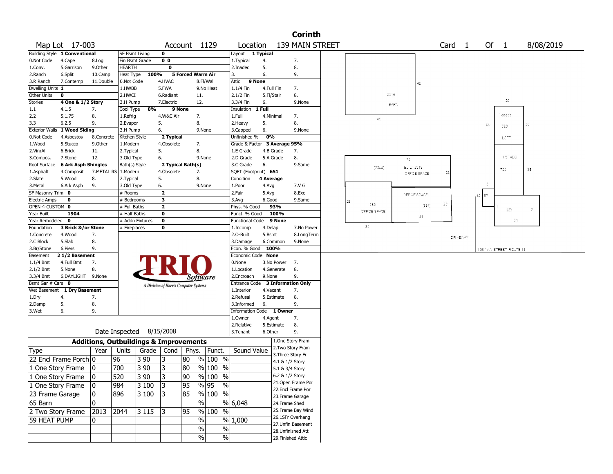|                               |                            |                                                   |                       |                          |                                       |                          |                       |                          |                    |                                    | <b>Corinth</b>            |                   |                 |              |    |                   |            |                         |                |                   |  |
|-------------------------------|----------------------------|---------------------------------------------------|-----------------------|--------------------------|---------------------------------------|--------------------------|-----------------------|--------------------------|--------------------|------------------------------------|---------------------------|-------------------|-----------------|--------------|----|-------------------|------------|-------------------------|----------------|-------------------|--|
| Map Lot 17-003                |                            |                                                   |                       |                          |                                       | Account 1129             |                       | Location                 |                    |                                    | 139 MAIN STREET           |                   |                 |              |    | Card <sub>1</sub> |            | Of 1                    |                | 8/08/2019         |  |
| Building Style 1 Conventional |                            |                                                   | <b>SF Bsmt Living</b> |                          | $\mathbf 0$                           |                          |                       | Layout                   | 1 Typical          |                                    |                           |                   |                 |              |    |                   |            |                         |                |                   |  |
| 0.Not Code                    | 4.Cape                     | 8.Log                                             | Fin Bsmt Grade        |                          | 0 <sub>0</sub>                        |                          |                       | 1. Typical               | 4.                 |                                    | 7.                        |                   |                 |              |    |                   |            |                         |                |                   |  |
| 1.Conv.                       | 5.Garrison                 | 9.0ther                                           | <b>HEARTH</b>         |                          | 0                                     |                          |                       | 2.Inadeq                 | 5.                 |                                    | 8.                        |                   |                 |              |    |                   |            |                         |                |                   |  |
| 2.Ranch                       | 6.Split                    | 10.Camp                                           | Heat Type             | 100%                     |                                       | <b>5 Forced Warm Air</b> |                       | 3.                       | 6.                 |                                    | 9.                        |                   |                 |              |    |                   |            |                         |                |                   |  |
| 3.R Ranch                     | 7.Contemp                  | 11.Double                                         | 0.Not Code            |                          | 4.HVAC                                |                          | 8.Fl/Wall             | Attic<br>9 None          |                    |                                    |                           |                   |                 | 42           |    |                   |            |                         |                |                   |  |
| Dwelling Units 1              |                            |                                                   | 1.HWBB                |                          | 5.FWA                                 |                          | 9.No Heat             | 1.1/4 Fin                | 4.Full Fin         |                                    | 7.                        |                   | 2016            |              |    |                   |            |                         |                |                   |  |
| Other Units<br>0<br>Stories   |                            |                                                   | 2.HWCI                |                          | 6.Radiant<br>7.Electric               | 11.                      |                       | 2.1/2 Fin<br>3.3/4 Fin   | 5.Fl/Stair         |                                    | 8.                        |                   |                 |              |    |                   |            | 20                      |                |                   |  |
| 1.1                           | 4 One & 1/2 Story<br>4.1.5 | 7.                                                | 3.H Pump<br>Cool Type | 0%                       | 9 None                                | 12.                      |                       | Insulation               | 6.<br>1 Full       |                                    | 9.None                    |                   | $BAR \setminus$ |              |    |                   |            |                         |                |                   |  |
| 2.2                           | 5.1.75                     | 8.                                                | 1.Refrig              |                          | 4.W&C Air                             | 7.                       |                       | 1.Full                   | 4.Minimal          |                                    | 7.                        |                   |                 |              |    |                   |            | i-stado                 |                |                   |  |
| 3.3                           | 6.2.5                      | 9.                                                | 2.Evapor              |                          | 5.                                    | 8.                       |                       | 2.Heavy                  | 5.                 |                                    | 8.                        | 4.5               |                 |              |    |                   |            |                         |                |                   |  |
| Exterior Walls 1 Wood Siding  |                            |                                                   | 3.H Pump              |                          | 6.                                    |                          | 9.None                | 3.Capped                 | 6.                 |                                    | 9.None                    |                   |                 |              |    |                   | 26         | 520                     |                |                   |  |
| 0.Not Code                    | 4.Asbestos                 | 8.Concrete                                        | Kitchen Style         |                          | 2 Typical                             |                          |                       | Unfinished %             | 0%                 |                                    |                           |                   |                 |              |    |                   |            | LOFT                    |                |                   |  |
| 1.Wood                        | 5.Stucco                   | 9.0ther                                           | 1.Modern              |                          | 4.Obsolete                            | 7.                       |                       | Grade & Factor           |                    | 3 Average 95%                      |                           |                   |                 |              |    |                   |            |                         |                |                   |  |
| 2.Vin/Al                      | 6.Brick                    | 11.                                               | 2. Typical            |                          | 5.                                    | 8.                       |                       | 1.E Grade                | 4.B Grade          |                                    | 7.                        |                   |                 |              |    |                   |            |                         |                |                   |  |
| 3.Compos.                     | 7.Stone                    | 12.                                               | 3.Old Type            |                          | 6.                                    |                          | 9.None                | 2.D Grade                | 5.A Grade          |                                    | 8.                        |                   |                 | 73           |    |                   |            | $1.5-$ ADD              |                |                   |  |
| Roof Surface                  | <b>6 Ark Asph Shingles</b> |                                                   | Bath(s) Style         |                          | 2 Typical Bath(s)                     |                          |                       | 3.C Grade                | 6.                 |                                    | 9.Same                    | [2044]            |                 | $B7 L- 2013$ |    |                   |            |                         |                |                   |  |
| 1.Asphalt                     | 4.Composit                 | 7.METAL RS                                        | 1.Modern              |                          | 4.Obsolete                            | 7.                       |                       | SQFT (Footprint) 651     |                    |                                    |                           |                   |                 | OFFICE SPACE | 25 |                   |            | 700                     |                | $\Im \mathcal{Z}$ |  |
| 2.Slate                       | 5.Wood                     | 8.                                                | 2. Typical            |                          | 5.                                    | 8.                       |                       | Condition                | 4 Average          |                                    |                           |                   |                 |              |    |                   |            |                         |                |                   |  |
| 3.Metal                       | 6.Ark Asph                 | 9.                                                | 3.Old Type            |                          | 6.                                    |                          | 9.None                | 1.Poor                   | 4.Avg              |                                    | 7.V G                     |                   |                 |              |    |                   | ÷          |                         |                |                   |  |
| SF Masonry Trim 0             |                            |                                                   | # Rooms               |                          | $\overline{\mathbf{2}}$               |                          |                       | 2.Fair                   | $5.Avg+$           |                                    | 8.Exc                     |                   |                 | OFFICE SPACE |    |                   | EP<br>. 12 |                         |                |                   |  |
| <b>Electric Amps</b>          | 0                          |                                                   | # Bedrooms            |                          | 3                                     |                          |                       | 3.Avg-                   | 6.Good             |                                    | 9.Same                    | $2\bar{z}$<br>596 |                 |              | 23 |                   |            |                         |                |                   |  |
| OPEN-4-CUSTOM 0               |                            |                                                   | # Full Baths          |                          | $\mathbf{2}$                          |                          |                       | Phys. % Good             |                    | 93%                                |                           | OFFICE SPACE      |                 | 364          |    |                   |            | 651                     |                | 21                |  |
| Year Built                    | 1904                       |                                                   | # Half Baths          |                          | $\mathbf 0$                           |                          |                       | Funct. % Good            |                    | 100%                               |                           |                   |                 | 41           |    |                   |            |                         |                |                   |  |
| Year Remodeled 0              |                            |                                                   |                       | # Addn Fixtures          | $\pmb{0}$                             |                          |                       | Functional Code          |                    | 9 None                             |                           | $32\,$            |                 |              |    |                   |            |                         | $\frac{31}{2}$ |                   |  |
| Foundation                    | 3 Brick &/or Stone         |                                                   | # Fireplaces          |                          | 0                                     |                          |                       | 1.Incomp<br>2.O-Built    | 4.Delap            |                                    | 7.No Power                |                   |                 |              |    |                   |            |                         |                |                   |  |
| 1.Concrete<br>2.C Block       | 4.Wood<br>5.Slab           | 7.<br>8.                                          |                       |                          |                                       |                          |                       | 3.Damage                 | 5.Bsmt<br>6.Common |                                    | 8.LongTerm<br>9.None      |                   |                 |              |    | DRAEWAY           |            |                         |                |                   |  |
| 3.Br/Stone                    | 6.Piers                    | 9.                                                |                       |                          |                                       |                          |                       | Econ. % Good             | 100%               |                                    |                           |                   |                 |              |    |                   |            |                         |                |                   |  |
| Basement                      | 21/2 Basement              |                                                   |                       |                          |                                       |                          |                       | Economic Code None       |                    |                                    |                           |                   |                 |              |    |                   |            | 1391'AN STREET ROUTE 15 |                |                   |  |
| $1.1/4$ Bmt                   | 4.Full Bmt                 | 7.                                                |                       |                          |                                       |                          |                       | 0.None                   |                    | 3.No Power                         | 7.                        |                   |                 |              |    |                   |            |                         |                |                   |  |
| 2.1/2 Bmt                     | 5.None                     | 8.                                                |                       |                          |                                       |                          |                       | 1.Location               | 4.Generate         |                                    | 8.                        |                   |                 |              |    |                   |            |                         |                |                   |  |
| 3.3/4 Bmt                     | 6.DAYLIGHT 9.None          |                                                   |                       |                          |                                       |                          | Software              | 2.Encroach               | 9.None             |                                    | 9.                        |                   |                 |              |    |                   |            |                         |                |                   |  |
| Bsmt Gar # Cars 0             |                            |                                                   |                       |                          | A Division of Harris Computer Systems |                          |                       | Entrance Code            |                    |                                    | <b>3 Information Only</b> |                   |                 |              |    |                   |            |                         |                |                   |  |
| Wet Basement                  | 1 Dry Basement             |                                                   |                       |                          |                                       |                          |                       | 1.Interior               | 4.Vacant           |                                    | 7.                        |                   |                 |              |    |                   |            |                         |                |                   |  |
| 1.Dry<br>4.                   |                            | 7.                                                |                       |                          |                                       |                          |                       | 2.Refusal                | 5.Estimate         |                                    | 8.                        |                   |                 |              |    |                   |            |                         |                |                   |  |
| 5.<br>2.Damp                  |                            | 8.                                                |                       |                          |                                       |                          |                       | 3.Informed               | 6.                 |                                    | 9.                        |                   |                 |              |    |                   |            |                         |                |                   |  |
| 6.<br>3.Wet                   |                            | 9.                                                |                       |                          |                                       |                          |                       | Information Code 1 Owner |                    |                                    |                           |                   |                 |              |    |                   |            |                         |                |                   |  |
|                               |                            |                                                   |                       |                          |                                       |                          |                       | 1.Owner                  | 4.Agent            |                                    | 7.                        |                   |                 |              |    |                   |            |                         |                |                   |  |
|                               |                            |                                                   |                       |                          |                                       |                          |                       | 2.Relative               | 5.Estimate         |                                    | 8.                        |                   |                 |              |    |                   |            |                         |                |                   |  |
|                               |                            |                                                   |                       | Date Inspected 8/15/2008 |                                       |                          |                       | 3.Tenant                 | 6.Other            |                                    | 9.                        |                   |                 |              |    |                   |            |                         |                |                   |  |
|                               |                            | <b>Additions, Outbuildings &amp; Improvements</b> |                       |                          |                                       |                          |                       |                          |                    |                                    | 1.One Story Fram          |                   |                 |              |    |                   |            |                         |                |                   |  |
| <b>Type</b>                   |                            | Year                                              | Units                 |                          | Grade   Cond                          |                          | Phys.   Funct.        | Sound Value              |                    |                                    | 2.Two Story Fram          |                   |                 |              |    |                   |            |                         |                |                   |  |
| 22 Encl Frame Porch 0         |                            |                                                   | 96                    | 3 9 0                    | 3                                     | 80                       | % 100 %               |                          |                    |                                    | 3. Three Story Fr         |                   |                 |              |    |                   |            |                         |                |                   |  |
| 1 One Story Frame             |                            | 10                                                | 700                   | 3 90                     | 3                                     | 80                       | % 100 %               |                          |                    | 4.1 & 1/2 Story<br>5.1 & 3/4 Story |                           |                   |                 |              |    |                   |            |                         |                |                   |  |
|                               |                            |                                                   |                       |                          |                                       |                          |                       |                          |                    | 6.2 & 1/2 Story                    |                           |                   |                 |              |    |                   |            |                         |                |                   |  |
| 1 One Story Frame             |                            | 0                                                 | 520                   | 3 90                     | 3                                     | 90                       | $\%$ 100<br>$\%$      |                          |                    |                                    | 21.Open Frame Por         |                   |                 |              |    |                   |            |                         |                |                   |  |
| 1 One Story Frame             |                            | 0                                                 | 984                   | 3 100                    | 3                                     | 95                       | $\frac{0}{0}$<br>%∣95 |                          |                    |                                    | 22.Encl Frame Por         |                   |                 |              |    |                   |            |                         |                |                   |  |
| 23 Frame Garage               |                            | 10                                                | 896                   | 3 100                    | 13                                    | 85                       | % 100 %               |                          |                    |                                    | 23. Frame Garage          |                   |                 |              |    |                   |            |                         |                |                   |  |
| 65 Barn                       |                            | $\mathbf 0$                                       |                       |                          |                                       |                          | $\frac{1}{2}$         | $%$ 6,048                |                    | 24.Frame Shed                      |                           |                   |                 |              |    |                   |            |                         |                |                   |  |
| 2 Two Story Frame             |                            | 2013                                              | 2044                  | 3115                     | 13                                    | 95                       | % 100 %               |                          |                    |                                    | 25. Frame Bay Wind        |                   |                 |              |    |                   |            |                         |                |                   |  |
| 59 HEAT PUMP                  |                            |                                                   |                       |                          |                                       |                          | $\sqrt{6}$            | % 1,000                  |                    |                                    | 26.1SFr Overhang          |                   |                 |              |    |                   |            |                         |                |                   |  |
|                               |                            | 0                                                 |                       |                          |                                       |                          |                       |                          |                    |                                    | 27.Unfin Basement         |                   |                 |              |    |                   |            |                         |                |                   |  |
|                               |                            |                                                   |                       |                          |                                       |                          | $\%$<br>%             |                          |                    |                                    | 28.Unfinished Att         |                   |                 |              |    |                   |            |                         |                |                   |  |
|                               |                            |                                                   |                       |                          |                                       |                          | $\%$<br>$\%$          |                          |                    |                                    | 29. Finished Attic        |                   |                 |              |    |                   |            |                         |                |                   |  |
|                               |                            |                                                   |                       |                          |                                       |                          |                       |                          |                    |                                    |                           |                   |                 |              |    |                   |            |                         |                |                   |  |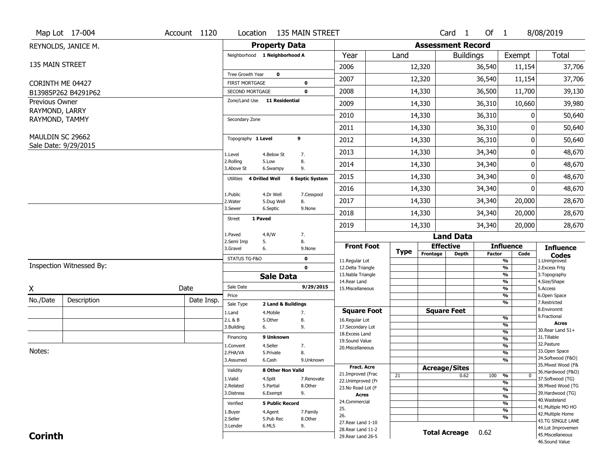|                  | Map Lot 17-004           | Account 1120 |                                    |                                 | Location 135 MAIN STREET   |                                     |             |                          | Card <sub>1</sub> | Of 1          |                                  | 8/08/2019                           |
|------------------|--------------------------|--------------|------------------------------------|---------------------------------|----------------------------|-------------------------------------|-------------|--------------------------|-------------------|---------------|----------------------------------|-------------------------------------|
|                  | REYNOLDS, JANICE M.      |              |                                    | <b>Property Data</b>            |                            |                                     |             | <b>Assessment Record</b> |                   |               |                                  |                                     |
|                  |                          |              | Neighborhood 1 Neighborhood A      |                                 |                            | Year                                | Land        |                          | <b>Buildings</b>  |               | Exempt                           | <b>Total</b>                        |
| 135 MAIN STREET  |                          |              |                                    |                                 |                            | 2006                                |             | 12,320                   |                   | 36,540        | 11,154                           | 37,706                              |
|                  |                          |              | Tree Growth Year                   | $\mathbf 0$                     |                            | 2007                                |             | 12,320                   |                   | 36,540        | 11,154                           | 37,706                              |
| CORINTH ME 04427 | B13985P262 B4291P62      |              | FIRST MORTGAGE<br>SECOND MORTGAGE  |                                 | $\mathbf 0$<br>$\mathbf 0$ | 2008                                |             | 14,330                   |                   | 36,500        | 11,700                           | 39,130                              |
| Previous Owner   |                          |              | Zone/Land Use 11 Residential       |                                 |                            | 2009                                |             | 14,330                   |                   | 36,310        | 10,660                           | 39,980                              |
| RAYMOND, LARRY   |                          |              |                                    |                                 |                            |                                     |             |                          |                   |               |                                  |                                     |
| RAYMOND, TAMMY   |                          |              | Secondary Zone                     |                                 |                            | 2010                                |             | 14,330                   |                   | 36,310        | 0                                | 50,640                              |
|                  |                          |              |                                    |                                 |                            | 2011                                |             | 14,330                   |                   | 36,310        | 0                                | 50,640                              |
| MAULDIN SC 29662 | Sale Date: 9/29/2015     |              | Topography 1 Level                 |                                 | 9                          | 2012                                |             | 14,330                   |                   | 36,310        | 0                                | 50,640                              |
|                  |                          |              | 1.Level                            | 4.Below St                      | 7.                         | 2013                                |             | 14,330                   |                   | 34,340        | 0                                | 48,670                              |
|                  |                          |              | 2.Rolling<br>3.Above St            | 5.Low<br>6.Swampy               | 8.<br>9.                   | 2014                                |             | 14,330                   |                   | 34,340        | 0                                | 48,670                              |
|                  |                          |              | <b>4 Drilled Well</b><br>Utilities |                                 | <b>6 Septic System</b>     | 2015                                |             | 14,330                   |                   | 34,340        | 0                                | 48,670                              |
|                  |                          |              |                                    |                                 |                            | 2016                                |             | 14,330                   |                   | 34,340        | 0                                | 48,670                              |
|                  |                          |              | 1.Public<br>2.Water                | 4.Dr Well<br>5.Dug Well         | 7.Cesspool<br>8.           | 2017                                |             | 14,330                   |                   | 34,340        | 20,000                           | 28,670                              |
|                  |                          |              | 3.Sewer                            | 6.Septic                        | 9.None                     | 2018                                |             | 14,330                   |                   | 34,340        | 20,000                           | 28,670                              |
|                  |                          |              | 1 Paved<br><b>Street</b>           |                                 |                            | 2019                                |             | 14,330                   |                   | 34,340        | 20,000                           | 28,670                              |
|                  |                          |              | 1.Paved                            | 4.R/W                           | 7.                         |                                     |             |                          | <b>Land Data</b>  |               |                                  |                                     |
|                  |                          |              | 2.Semi Imp<br>3.Gravel             | 5.<br>6.                        | 8.<br>9.None               | <b>Front Foot</b>                   |             | <b>Effective</b>         |                   |               | <b>Influence</b>                 | <b>Influence</b>                    |
|                  |                          |              | STATUS TG-F&O                      |                                 | $\mathbf 0$                | 11.Regular Lot                      | <b>Type</b> | Frontage                 | <b>Depth</b>      | <b>Factor</b> | Code<br>$\overline{\frac{9}{6}}$ | <b>Codes</b><br>1.Unimproved        |
|                  | Inspection Witnessed By: |              |                                    |                                 | $\mathbf 0$                | 12.Delta Triangle                   |             |                          |                   |               | $\frac{9}{6}$                    | 2. Excess Frtg                      |
|                  |                          |              |                                    | <b>Sale Data</b>                |                            | 13. Nabla Triangle<br>14. Rear Land |             |                          |                   |               | $\frac{9}{6}$<br>$\frac{9}{6}$   | 3. Topography<br>4.Size/Shape       |
| X                |                          | Date         | Sale Date                          |                                 | 9/29/2015                  | 15. Miscellaneous                   |             |                          |                   |               | $\frac{9}{6}$                    | 5.Access                            |
| No./Date         | Description              | Date Insp.   | Price                              |                                 |                            |                                     |             |                          |                   |               | %<br>%                           | 6.Open Space<br>7.Restricted        |
|                  |                          |              | Sale Type<br>1.Land                | 2 Land & Buildings<br>4. Mobile | 7.                         | <b>Square Foot</b>                  |             | <b>Square Feet</b>       |                   |               |                                  | 8.Environmt                         |
|                  |                          |              | 2.L & B                            | 5.Other                         | 8.                         | 16.Regular Lot                      |             |                          |                   |               | %                                | 9. Fractional                       |
|                  |                          |              | 3.Building                         | 6.                              | 9.                         | 17.Secondary Lot                    |             |                          |                   |               | %<br>$\frac{9}{6}$               | <b>Acres</b><br>30. Rear Land 51+   |
|                  |                          |              | Financing                          | 9 Unknown                       |                            | 18.Excess Land<br>19.Sound Value    |             |                          |                   |               | $\frac{9}{6}$                    | 31.Tillable                         |
|                  |                          |              | 1.Convent                          | 4.Seller                        | 7.                         | 20.Miscellaneous                    |             |                          |                   |               | $\frac{9}{6}$                    | 32.Pasture                          |
| Notes:           |                          |              | 2.FHA/VA                           | 5.Private                       | 8.                         |                                     |             |                          |                   |               | $\frac{9}{6}$                    | 33.Open Space<br>34.Softwood (F&O)  |
|                  |                          |              | 3.Assumed                          | 6.Cash                          | 9.Unknown                  | <b>Fract. Acre</b>                  |             |                          |                   |               | $\overline{\frac{9}{6}}$         | 35. Mixed Wood (F&                  |
|                  |                          |              | Validity                           | 8 Other Non Valid               |                            | 21.Improved (Frac                   |             | <b>Acreage/Sites</b>     |                   |               |                                  | 36.Hardwood (F&O)                   |
|                  |                          |              | 1.Valid                            | 4.Split                         | 7.Renovate                 | 22.Unimproved (Fr                   | 21          |                          | 0.62              | 100           | %<br>$\bf{0}$<br>%               | 37.Softwood (TG)                    |
|                  |                          |              | 2.Related                          | 5.Partial                       | 8.Other                    | 23.No Road Lot (F                   |             |                          |                   |               | $\overline{\frac{9}{6}}$         | 38. Mixed Wood (TG                  |
|                  |                          |              | 3.Distress                         | 6.Exempt                        | 9.                         | <b>Acres</b>                        |             |                          |                   |               | $\overline{\frac{9}{6}}$         | 39.Hardwood (TG)                    |
|                  |                          |              | Verified                           | <b>5 Public Record</b>          |                            | 24.Commercial                       |             |                          |                   |               | $\overline{\frac{9}{6}}$         | 40. Wasteland<br>41. Multiple MO HO |
|                  |                          |              | 1.Buyer                            | 4.Agent                         | 7.Family                   | 25.                                 |             |                          |                   |               | $\overline{\frac{9}{6}}$         | 42. Multiple Home                   |
|                  |                          |              | 2.Seller                           | 5.Pub Rec                       | 8.Other                    | 26.<br>27. Rear Land 1-10           |             |                          |                   |               | $\overline{\frac{9}{6}}$         | 43.TG SINGLE LANE                   |
|                  |                          |              | 3.Lender                           | 6.MLS                           | 9.                         | 28. Rear Land 11-2                  |             |                          |                   |               |                                  | 44.Lot Improvemen                   |
| <b>Corinth</b>   |                          |              |                                    |                                 |                            | 29. Rear Land 26-5                  |             | <b>Total Acreage</b>     |                   | 0.62          |                                  | 45. Miscellaneous<br>46.Sound Value |
|                  |                          |              |                                    |                                 |                            |                                     |             |                          |                   |               |                                  |                                     |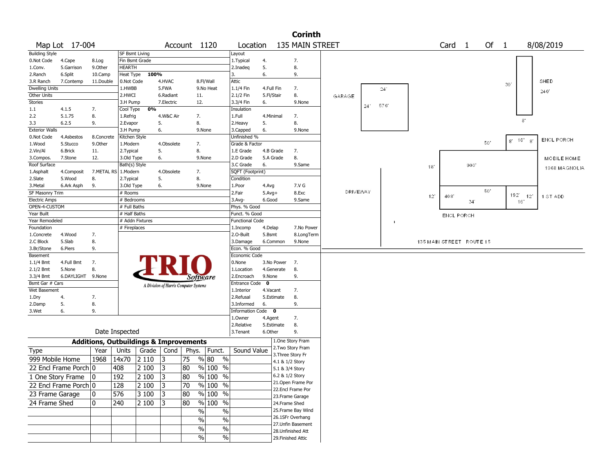|                       |                       |                                                   |                       |                 |                                       |                |                                  |                        |              |                 | <b>Corinth</b>     |          |    |      |     |                          |     |      |                         |                   |
|-----------------------|-----------------------|---------------------------------------------------|-----------------------|-----------------|---------------------------------------|----------------|----------------------------------|------------------------|--------------|-----------------|--------------------|----------|----|------|-----|--------------------------|-----|------|-------------------------|-------------------|
|                       | Map Lot 17-004        |                                                   |                       |                 |                                       | Account 1120   |                                  | Location               |              |                 | 135 MAIN STREET    |          |    |      |     | Card <sub>1</sub>        |     | Of 1 |                         | 8/08/2019         |
| <b>Building Style</b> |                       |                                                   | <b>SF Bsmt Living</b> |                 |                                       |                |                                  | Layout                 |              |                 |                    |          |    |      |     |                          |     |      |                         |                   |
| 0.Not Code            | 4.Cape                | 8.Log                                             | Fin Bsmt Grade        |                 |                                       |                |                                  | 1.Typical              | 4.           |                 | 7.                 |          |    |      |     |                          |     |      |                         |                   |
| 1.Conv.               | 5.Garrison            | 9.0ther                                           | <b>HEARTH</b>         |                 |                                       |                |                                  | 2.Inadeq               | 5.           |                 | 8.                 |          |    |      |     |                          |     |      |                         |                   |
| 2.Ranch               | 6.Split               | 10.Camp                                           | Heat Type             | 100%            |                                       |                |                                  | 3.                     | 6.           |                 | 9.                 |          |    |      |     |                          |     |      |                         |                   |
| 3.R Ranch             | 7.Contemp             | 11.Double                                         | 0.Not Code            |                 | 4.HVAC                                |                | 8.Fl/Wall                        | Attic                  |              |                 |                    |          |    |      |     |                          |     |      | 30                      | SHED              |
| <b>Dwelling Units</b> |                       |                                                   | 1.HWBB                |                 | 5.FWA                                 |                | 9.No Heat                        | 1.1/4 Fin              | 4.Full Fin   |                 | 7.                 |          |    | 24'  |     |                          |     |      |                         | 240'              |
| Other Units           |                       |                                                   | 2.HWCI                |                 | 6.Radiant                             | 11.            |                                  | 2.1/2 Fin              | 5.Fl/Stair   |                 | 8.                 | CARAGE   |    |      |     |                          |     |      |                         |                   |
| Stories               |                       |                                                   | 3.H Pump              |                 | 7.Electric                            | 12.            |                                  | 3.3/4 Fin              | 6.           |                 | 9.None             |          |    |      |     |                          |     |      |                         |                   |
| 1.1                   | 4.1.5                 | 7.                                                | Cool Type             | 0%              |                                       |                |                                  | Insulation             |              |                 |                    |          | 24 | -576 |     |                          |     |      |                         |                   |
| 2.2                   | 5.1.75                | 8.                                                | 1.Refrig              |                 | 4.W&C Air                             | 7.             |                                  | 1.Full                 | 4.Minimal    |                 | 7.                 |          |    |      |     |                          |     |      |                         |                   |
| 3.3                   | 6.2.5                 | 9.                                                | 2.Evapor              |                 | 5.                                    | 8.             |                                  | 2. Heavy               | 5.           |                 | 8.                 |          |    |      |     |                          |     |      | $8^\circ$               |                   |
| <b>Exterior Walls</b> |                       |                                                   | 3.H Pump              |                 | 6.                                    |                | 9.None                           | 3.Capped               | 6.           |                 | 9.None             |          |    |      |     |                          |     |      |                         |                   |
| 0.Not Code            | 4.Asbestos            | 8.Concrete                                        | Kitchen Style         |                 |                                       |                |                                  | Unfinished %           |              |                 |                    |          |    |      |     |                          |     |      | $3' - 16' - 8'$         | <b>ENCL PORCH</b> |
| 1.Wood                | 5.Stucco              | 9.Other                                           | 1.Modern              |                 | 4.Obsolete                            | 7.             |                                  | Grade & Factor         |              |                 |                    |          |    |      |     |                          |     | 50'  |                         |                   |
| 2.Vin/Al              | 6.Brick               | 11.                                               | 2. Typical            |                 | 5.                                    | 8.             |                                  | 1.E Grade              | 4.B Grade    |                 | 7.                 |          |    |      |     |                          |     |      |                         |                   |
| 3.Compos.             | 7.Stone               | 12.                                               | 3.Old Type            |                 | 6.                                    |                | 9.None                           | 2.D Grade              | 5.A Grade    |                 | 8.                 |          |    |      |     |                          |     |      |                         | MOBILE HOME       |
| Roof Surface          |                       |                                                   | Bath(s) Style         |                 |                                       |                |                                  | 3.C Grade              | 6.           |                 | 9.Same             |          |    |      | 18' |                          | 900 |      |                         | 1968 MAGNOLIA     |
| 1.Asphalt             | 4.Composit            | 7.METAL RS                                        | 1.Modern              |                 | 4.Obsolete                            | 7.             |                                  | SQFT (Footprint)       |              |                 |                    |          |    |      |     |                          |     |      |                         |                   |
| 2.Slate               | 5.Wood                | 8.                                                | 2. Typical            |                 | 5.                                    | 8.             |                                  | Condition              |              |                 |                    |          |    |      |     |                          |     |      |                         |                   |
| 3.Metal               | 6.Ark Asph            | 9.                                                | 3.Old Type            |                 | 6.                                    |                | 9.None                           | 1.Poor                 | 4.Avg        |                 | 7.V G              |          |    |      |     |                          |     |      |                         |                   |
| SF Masonry Trim       |                       |                                                   | # Rooms               |                 |                                       |                |                                  | 2.Fair                 | $5.$ Avg $+$ |                 | 8.Exc              | DRIVEWAY |    |      |     |                          |     | 50'  | 192'<br>12 <sup>1</sup> |                   |
| <b>Electric Amps</b>  |                       |                                                   | # Bedrooms            |                 |                                       |                |                                  | $3.$ Avg-              | 6.Good       |                 | 9.Same             |          |    |      | 12' | 408                      | 34  |      | 16                      | 1 ST ADD          |
| OPEN-4-CUSTOM         |                       |                                                   | # Full Baths          |                 |                                       |                |                                  | Phys. % Good           |              |                 |                    |          |    |      |     |                          |     |      |                         |                   |
| Year Built            |                       |                                                   | # Half Baths          |                 |                                       |                |                                  | Funct. % Good          |              |                 |                    |          |    |      |     | <b>ENCL PORCH</b>        |     |      |                         |                   |
| Year Remodeled        |                       |                                                   |                       | # Addn Fixtures |                                       |                |                                  | <b>Functional Code</b> |              |                 |                    |          |    |      |     |                          |     |      |                         |                   |
| Foundation            |                       |                                                   | # Fireplaces          |                 |                                       |                |                                  | 1.Incomp               | 4.Delap      |                 | 7.No Power         |          |    |      |     |                          |     |      |                         |                   |
| 1.Concrete            | 4.Wood                | 7.                                                |                       |                 |                                       |                |                                  | 2.0-Built              | 5.Bsmt       |                 | 8.LongTerm         |          |    |      |     |                          |     |      |                         |                   |
| 2.C Block             | 5.Slab                | 8.                                                |                       |                 |                                       |                |                                  | 3.Damage               | 6.Common     |                 | 9.None             |          |    |      |     | 135 MAIN STREET ROUTE 15 |     |      |                         |                   |
| 3.Br/Stone            | 6.Piers               | 9.                                                |                       |                 |                                       |                |                                  | Econ. % Good           |              |                 |                    |          |    |      |     |                          |     |      |                         |                   |
| Basement              |                       |                                                   |                       |                 |                                       |                |                                  | Economic Code          |              |                 |                    |          |    |      |     |                          |     |      |                         |                   |
| 1.1/4 Bmt             | 4.Full Bmt            | 7.                                                |                       |                 |                                       |                |                                  | 0.None                 |              | 3.No Power      | 7.                 |          |    |      |     |                          |     |      |                         |                   |
| 2.1/2 Bmt             | 5.None                | 8.                                                |                       |                 |                                       |                |                                  | 1.Location             |              | 4.Generate      | 8.                 |          |    |      |     |                          |     |      |                         |                   |
| 3.3/4 Bmt             | 6.DAYLIGHT 9.None     |                                                   |                       |                 |                                       |                | Software                         | 2.Encroach             | 9.None       |                 | 9.                 |          |    |      |     |                          |     |      |                         |                   |
| Bsmt Gar # Cars       |                       |                                                   |                       |                 | A Division of Harris Computer Systems |                |                                  | Entrance Code          | $\mathbf 0$  |                 |                    |          |    |      |     |                          |     |      |                         |                   |
| Wet Basement          |                       |                                                   |                       |                 |                                       |                |                                  | 1.Interior             | 4.Vacant     |                 | 7.                 |          |    |      |     |                          |     |      |                         |                   |
| 1.Dry                 | 4.                    | 7.                                                |                       |                 |                                       |                |                                  | 2.Refusal              | 5.Estimate   |                 | 8.                 |          |    |      |     |                          |     |      |                         |                   |
| 2.Damp                | 5.                    | 8.                                                |                       |                 |                                       |                |                                  | 3.Informed             | 6.           |                 | 9.                 |          |    |      |     |                          |     |      |                         |                   |
| 3.Wet                 | 6.                    | 9.                                                |                       |                 |                                       |                |                                  | Information Code 0     |              |                 |                    |          |    |      |     |                          |     |      |                         |                   |
|                       |                       |                                                   |                       |                 |                                       |                |                                  | 1.0wner                | 4.Agent      |                 | 7.                 |          |    |      |     |                          |     |      |                         |                   |
|                       |                       |                                                   |                       |                 |                                       |                |                                  | 2.Relative             | 5.Estimate   |                 | 8.                 |          |    |      |     |                          |     |      |                         |                   |
|                       |                       |                                                   | Date Inspected        |                 |                                       |                |                                  | 3. Tenant              | 6.Other      |                 | 9.                 |          |    |      |     |                          |     |      |                         |                   |
|                       |                       | <b>Additions, Outbuildings &amp; Improvements</b> |                       |                 |                                       |                |                                  |                        |              |                 | 1.One Story Fram   |          |    |      |     |                          |     |      |                         |                   |
| Type                  |                       | Year                                              | Units                 | Grade $ $       | Cond                                  | Phys.          | Funct.                           | Sound Value            |              |                 | 2. Two Story Fram  |          |    |      |     |                          |     |      |                         |                   |
| 999 Mobile Home       |                       | 1968                                              | 14x70                 | 2 1 1 0         | 13                                    | 75             | % 80<br>$\%$                     |                        |              |                 | 3. Three Story Fr  |          |    |      |     |                          |     |      |                         |                   |
|                       |                       |                                                   |                       |                 |                                       |                |                                  |                        |              | 4.1 & 1/2 Story |                    |          |    |      |     |                          |     |      |                         |                   |
|                       | 22 Encl Frame Porch 0 |                                                   | 408                   | 2 100           | 3                                     | 80             | % 100 %                          |                        |              | 5.1 & 3/4 Story |                    |          |    |      |     |                          |     |      |                         |                   |
|                       | 1 One Story Frame     | $ 0\rangle$                                       | 192                   | 2 100           | 13                                    | 80             | $\frac{9}{6}$ 100 %              |                        |              | 6.2 & 1/2 Story |                    |          |    |      |     |                          |     |      |                         |                   |
|                       | 22 Encl Frame Porch 0 |                                                   | 128                   | 2 100           | 3                                     | 70             | % 100 %                          |                        |              |                 | 21.Open Frame Por  |          |    |      |     |                          |     |      |                         |                   |
| 23 Frame Garage       |                       | 10                                                | 576                   | 3 100           | 3                                     | 80             | $\frac{9}{6}$ 100 %              |                        |              |                 | 22.Encl Frame Por  |          |    |      |     |                          |     |      |                         |                   |
|                       |                       |                                                   |                       |                 |                                       |                |                                  |                        |              |                 | 23. Frame Garage   |          |    |      |     |                          |     |      |                         |                   |
| 24 Frame Shed         |                       | 10                                                | 240                   | 2 100           | 13                                    | 80             | % 100 %                          |                        |              | 24.Frame Shed   |                    |          |    |      |     |                          |     |      |                         |                   |
|                       |                       |                                                   |                       |                 |                                       | $\sqrt{6}$     | $\overline{\frac{0}{0}}$         |                        |              |                 | 25. Frame Bay Wind |          |    |      |     |                          |     |      |                         |                   |
|                       |                       |                                                   |                       |                 |                                       | $\sqrt[6]{\ }$ | $\overline{\frac{0}{0}}$         |                        |              |                 | 26.1SFr Overhang   |          |    |      |     |                          |     |      |                         |                   |
|                       |                       |                                                   |                       |                 |                                       |                | $\overline{\frac{0}{0}}$<br>$\%$ |                        |              |                 | 27.Unfin Basement  |          |    |      |     |                          |     |      |                         |                   |
|                       |                       |                                                   |                       |                 |                                       |                |                                  |                        |              |                 | 28. Unfinished Att |          |    |      |     |                          |     |      |                         |                   |
|                       |                       |                                                   |                       |                 |                                       | $\frac{0}{0}$  | $\sqrt[6]{\ }$                   |                        |              |                 | 29. Finished Attic |          |    |      |     |                          |     |      |                         |                   |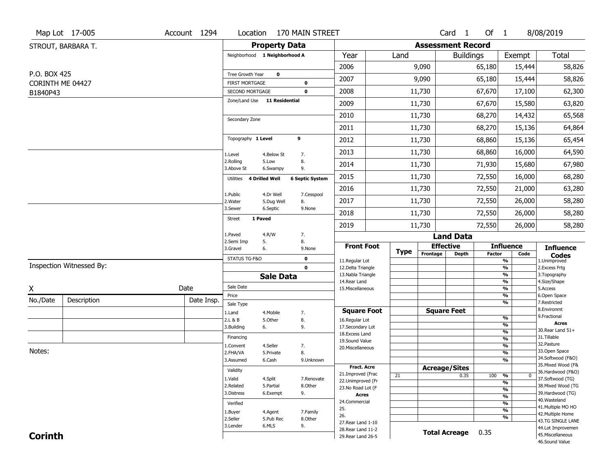|                  | Map Lot 17-005           | Account 1294 |                                                 |                               | Location 170 MAIN STREET   |                                          |             |                              | Card <sub>1</sub>    | Of 1          |                                           | 8/08/2019                              |
|------------------|--------------------------|--------------|-------------------------------------------------|-------------------------------|----------------------------|------------------------------------------|-------------|------------------------------|----------------------|---------------|-------------------------------------------|----------------------------------------|
|                  | STROUT, BARBARA T.       |              |                                                 | <b>Property Data</b>          |                            |                                          |             | <b>Assessment Record</b>     |                      |               |                                           |                                        |
|                  |                          |              |                                                 | Neighborhood 1 Neighborhood A |                            | Year                                     | Land        |                              | <b>Buildings</b>     |               | Exempt                                    | <b>Total</b>                           |
|                  |                          |              |                                                 |                               |                            | 2006                                     |             | 9,090                        |                      | 65,180        | 15,444                                    | 58,826                                 |
| P.O. BOX 425     |                          |              | Tree Growth Year                                | $\mathbf 0$                   |                            | 2007                                     |             | 9,090                        |                      | 65,180        | 15,444                                    | 58,826                                 |
| CORINTH ME 04427 |                          |              | <b>FIRST MORTGAGE</b><br><b>SECOND MORTGAGE</b> |                               | $\mathbf 0$<br>$\mathbf 0$ | 2008                                     |             | 11,730                       |                      | 67,670        | 17,100                                    | 62,300                                 |
| B1840P43         |                          |              |                                                 | Zone/Land Use 11 Residential  |                            | 2009                                     |             | 11,730                       |                      | 67,670        | 15,580                                    | 63,820                                 |
|                  |                          |              |                                                 |                               |                            | 2010                                     |             | 11,730                       |                      | 68,270        | 14,432                                    | 65,568                                 |
|                  |                          |              | Secondary Zone                                  |                               |                            | 2011                                     |             | 11,730                       |                      | 68,270        | 15,136                                    | 64,864                                 |
|                  |                          |              | Topography 1 Level                              |                               | 9                          | 2012                                     |             | 11,730                       |                      | 68,860        | 15,136                                    | 65,454                                 |
|                  |                          |              |                                                 |                               |                            | 2013                                     |             | 11,730                       |                      | 68,860        | 16,000                                    | 64,590                                 |
|                  |                          |              | 1.Level<br>2.Rolling                            | 4.Below St<br>5.Low           | 7.<br>8.                   |                                          |             |                              |                      |               |                                           |                                        |
|                  |                          |              | 3.Above St                                      | 6.Swampy                      | 9.                         | 2014                                     |             | 11,730                       |                      | 71,930        | 15,680                                    | 67,980                                 |
|                  |                          |              | <b>Utilities</b>                                | <b>4 Drilled Well</b>         | <b>6 Septic System</b>     | 2015                                     |             | 11,730                       |                      | 72,550        | 16,000                                    | 68,280                                 |
|                  |                          |              | 1.Public                                        | 4.Dr Well                     | 7.Cesspool                 | 2016                                     |             | 11,730                       |                      | 72,550        | 21,000                                    | 63,280                                 |
|                  |                          |              | 2. Water<br>3.Sewer                             | 5.Dug Well<br>6.Septic        | 8.<br>9.None               | 2017                                     |             | 11,730                       |                      | 72,550        | 26,000                                    | 58,280                                 |
|                  |                          |              | <b>Street</b>                                   | 1 Paved                       |                            | 2018                                     |             | 11,730                       |                      | 72,550        | 26,000                                    | 58,280                                 |
|                  |                          |              |                                                 |                               |                            | 2019                                     |             | 11,730                       |                      | 72,550        | 26,000                                    | 58,280                                 |
|                  |                          |              | 1.Paved<br>2.Semi Imp                           | 4.R/W<br>5.                   | 7.<br>8.                   |                                          |             |                              | <b>Land Data</b>     |               |                                           |                                        |
|                  |                          |              | 3.Gravel                                        | 6.                            | 9.None                     | <b>Front Foot</b>                        | <b>Type</b> | <b>Effective</b><br>Frontage | <b>Depth</b>         | <b>Factor</b> | <b>Influence</b><br>Code                  | <b>Influence</b><br><b>Codes</b>       |
|                  | Inspection Witnessed By: |              | STATUS TG-F&O                                   |                               | 0                          | 11.Regular Lot                           |             |                              |                      |               | %                                         | 1.Unimproved                           |
|                  |                          |              |                                                 | <b>Sale Data</b>              | $\mathbf 0$                | 12.Delta Triangle<br>13. Nabla Triangle  |             |                              |                      |               | %<br>%                                    | 2. Excess Frtg<br>3. Topography        |
|                  |                          |              | Sale Date                                       |                               |                            | 14. Rear Land                            |             |                              |                      |               | %                                         | 4.Size/Shape                           |
| Χ                |                          | Date         | Price                                           |                               |                            | 15. Miscellaneous                        |             |                              |                      |               | %<br>%                                    | 5.Access<br>6.Open Space               |
| No./Date         | Description              | Date Insp.   | Sale Type                                       |                               |                            |                                          |             |                              |                      |               | %                                         | 7.Restricted                           |
|                  |                          |              | 1.Land                                          | 4. Mobile                     | 7.                         | <b>Square Foot</b>                       |             |                              | <b>Square Feet</b>   |               |                                           | 8.Environmt<br>9. Fractional           |
|                  |                          |              | 2.L & B<br>3.Building                           | 5.Other<br>6.                 | 8.<br>9.                   | 16.Regular Lot<br>17.Secondary Lot       |             |                              |                      |               | $\frac{9}{6}$<br>$\overline{\frac{9}{6}}$ | <b>Acres</b>                           |
|                  |                          |              |                                                 |                               |                            | 18.Excess Land                           |             |                              |                      |               | $\frac{9}{6}$                             | 30. Rear Land 51+                      |
|                  |                          |              | Financing                                       |                               |                            | 19.Sound Value                           |             |                              |                      |               | $\overline{\frac{9}{6}}$                  | 31.Tillable<br>32. Pasture             |
| Notes:           |                          |              | 1.Convent<br>2.FHA/VA                           | 4.Seller<br>5.Private         | 7.<br>8.                   | 20.Miscellaneous                         |             |                              |                      |               | $\overline{\frac{9}{6}}$<br>$\frac{9}{6}$ | 33.Open Space                          |
|                  |                          |              | 3.Assumed                                       | 6.Cash                        | 9.Unknown                  |                                          |             |                              |                      |               | $\overline{\frac{9}{6}}$                  | 34.Softwood (F&O)                      |
|                  |                          |              |                                                 |                               |                            | Fract. Acre                              |             | <b>Acreage/Sites</b>         |                      |               |                                           | 35. Mixed Wood (F&                     |
|                  |                          |              | Validity                                        |                               |                            | 21.Improved (Frac                        | 21          |                              | 0.35                 | 100           | %<br>$\bf{0}$                             | 36.Hardwood (F&O)                      |
|                  |                          |              | 1.Valid<br>2.Related                            | 4.Split<br>5.Partial          | 7.Renovate<br>8.Other      | 22.Unimproved (Fr                        |             |                              |                      |               | %                                         | 37.Softwood (TG)<br>38. Mixed Wood (TG |
|                  |                          |              | 3.Distress                                      | 6.Exempt                      | 9.                         | 23. No Road Lot (F<br><b>Acres</b>       |             |                              |                      |               | %                                         | 39.Hardwood (TG)                       |
|                  |                          |              | Verified                                        |                               |                            | 24.Commercial                            |             |                              |                      |               | %<br>%                                    | 40. Wasteland                          |
|                  |                          |              |                                                 |                               |                            | 25.                                      |             |                              |                      |               | %                                         | 41. Multiple MO HO                     |
|                  |                          |              | 1.Buyer<br>2.Seller                             | 4.Agent<br>5.Pub Rec          | 7.Family<br>8.Other        | 26.                                      |             |                              |                      |               | %                                         | 42. Multiple Home<br>43.TG SINGLE LANE |
|                  |                          |              | 3.Lender                                        | 6.MLS                         | 9.                         | 27. Rear Land 1-10                       |             |                              |                      |               |                                           | 44.Lot Improvemen                      |
|                  |                          |              |                                                 |                               |                            |                                          |             |                              |                      |               |                                           |                                        |
| <b>Corinth</b>   |                          |              |                                                 |                               |                            | 28. Rear Land 11-2<br>29. Rear Land 26-5 |             |                              | <b>Total Acreage</b> | 0.35          |                                           | 45. Miscellaneous                      |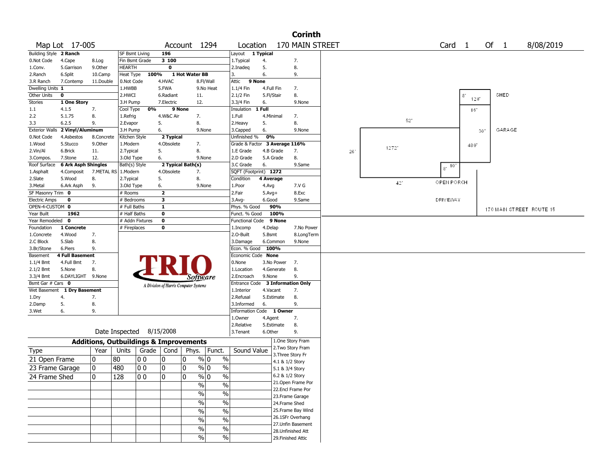|                          |                             |                                                   |                          |       |                         |                                       |                          |                                  |                      |                    | <b>Corinth</b>     |     |       |                                 |          |    |        |                          |  |
|--------------------------|-----------------------------|---------------------------------------------------|--------------------------|-------|-------------------------|---------------------------------------|--------------------------|----------------------------------|----------------------|--------------------|--------------------|-----|-------|---------------------------------|----------|----|--------|--------------------------|--|
|                          | Map Lot 17-005              |                                                   |                          |       |                         | Account 1294                          |                          | Location                         |                      |                    | 170 MAIN STREET    |     |       | Card <sub>1</sub>               |          |    | Of 1   | 8/08/2019                |  |
| Building Style 2 Ranch   |                             |                                                   | <b>SF Bsmt Living</b>    |       | 196                     |                                       |                          | Layout 1 Typical                 |                      |                    |                    |     |       |                                 |          |    |        |                          |  |
| 0.Not Code               | 4.Cape                      | 8.Log                                             | Fin Bsmt Grade           |       | 3 100                   |                                       |                          | 1. Typical                       | 4.                   |                    | 7.                 |     |       |                                 |          |    |        |                          |  |
| 1.Conv.                  | 5.Garrison                  | 9.0ther                                           | <b>HEARTH</b>            |       | 0                       |                                       |                          | 2.Inadeg                         | 5.                   |                    | 8.                 |     |       |                                 |          |    |        |                          |  |
| 2.Ranch                  | 6.Split                     | 10.Camp                                           | Heat Type                | 100%  |                         | 1 Hot Water BB                        |                          | 3.                               | 6.                   |                    | 9.                 |     |       |                                 |          |    |        |                          |  |
| 3.R Ranch                | 7.Contemp                   | 11.Double                                         | 0.Not Code               |       | 4.HVAC                  |                                       | 8.Fl/Wall                | Attic<br>9 None                  |                      |                    |                    |     |       |                                 |          |    |        |                          |  |
| Dwelling Units 1         |                             |                                                   | 1.HWBB                   |       | 5.FWA                   |                                       | 9.No Heat                | $1.1/4$ Fin                      | 4.Full Fin           |                    | 7.                 |     |       |                                 |          |    |        |                          |  |
| Other Units              | 0                           |                                                   | 2.HWCI                   |       | 6.Radiant               | 11.                                   |                          | 2.1/2 Fin                        | 5.Fl/Stair           |                    | 8.                 |     |       |                                 | 8<br>128 |    | SHED   |                          |  |
| Stories                  | 1 One Story                 |                                                   | 3.H Pump                 |       | 7.Electric              | 12.                                   |                          | 3.3/4 Fin                        | 6.                   |                    | 9.None             |     |       |                                 |          |    |        |                          |  |
| 1.1                      | 4.1.5                       | 7.                                                | Cool Type                | 0%    | 9 None                  |                                       |                          | Insulation                       | 1 Full               |                    |                    |     |       |                                 | 16       |    |        |                          |  |
| 2.2                      | 5.1.75                      | 8.                                                | 1.Refrig                 |       | 4.W&C Air               | 7.                                    |                          | 1.Full                           | 4.Minimal            |                    | 7.                 |     | 52    |                                 |          |    |        |                          |  |
| 3.3                      | 6.2.5                       | 9.                                                | 2.Evapor                 |       | 5.                      | 8.                                    |                          | 2.Heavy                          | 5.                   |                    | 8.                 |     |       |                                 |          |    |        |                          |  |
| <b>Exterior Walls</b>    | 2 Vinyl/Aluminum            |                                                   | 3.H Pump                 |       | 6.                      | 9.None                                |                          | 3.Capped                         | 6.                   |                    | 9.None             |     |       |                                 |          | 30 | GARAGE |                          |  |
| 0.Not Code               | 4.Asbestos                  | 8.Concrete                                        | Kitchen Style            |       | 2 Typical               |                                       |                          | Unfinished %                     | 0%                   |                    |                    |     |       |                                 |          |    |        |                          |  |
| 1.Wood                   | 5.Stucco                    | 9.0ther                                           | 1.Modern                 |       | 4.Obsolete              | 7.                                    |                          | Grade & Factor 3 Average 116%    |                      |                    |                    |     | 12721 |                                 | 480      |    |        |                          |  |
| 2.Vin/Al                 | 6.Brick                     | 11.                                               | 2. Typical               |       | 5.                      | 8.                                    |                          | 1.E Grade                        | 4.B Grade            |                    | 7.                 | 261 |       |                                 |          |    |        |                          |  |
| 3.Compos.                | 7.Stone                     | 12.                                               | 3.Old Type               |       | 6.                      | 9.None                                |                          | 2.D Grade                        | 5.A Grade            |                    | 8.                 |     |       |                                 |          |    |        |                          |  |
| Roof Surface             | <b>6 Ark Asph Shingles</b>  |                                                   | Bath(s) Style            |       |                         | 2 Typical Bath(s)                     |                          | 3.C Grade                        | 6.                   |                    | 9.Same             |     |       | $\overline{18}$ $\overline{10}$ |          |    |        |                          |  |
| 1.Asphalt                | 4.Composit                  | 7.METAL RS                                        | 1.Modern                 |       | 4.Obsolete              | 7.                                    |                          | SQFT (Footprint) 1272            |                      |                    |                    |     |       |                                 |          |    |        |                          |  |
| 2.Slate                  | 5.Wood                      | 8.                                                | 2. Typical               |       | 5.                      | 8.                                    |                          | Condition                        | 4 Average            |                    |                    |     | 42'   | OPEN PORCH                      |          |    |        |                          |  |
| 3.Metal                  | 6.Ark Asph                  | 9.                                                | 3.Old Type               |       | 6.                      | 9.None                                |                          | 1.Poor                           | 4.Avg                |                    | 7.V G              |     |       |                                 |          |    |        |                          |  |
| SF Masonry Trim 0        |                             |                                                   | # Rooms                  |       | $\overline{\mathbf{z}}$ |                                       |                          | 2.Fair                           | $5.Avg+$             |                    | 8.Exc              |     |       |                                 |          |    |        |                          |  |
| <b>Electric Amps</b>     | $\mathbf 0$                 |                                                   | # Bedrooms               |       | 3                       |                                       |                          | $3.$ Avg-                        | 6.Good               |                    | 9.Same             |     |       | <b>DRIVEWAY</b>                 |          |    |        |                          |  |
| OPEN-4-CUSTOM 0          |                             |                                                   | # Full Baths             |       | 1                       |                                       |                          | Phys. % Good                     | 90%                  |                    |                    |     |       |                                 |          |    |        | 170 MAIN STREET ROUTE 15 |  |
| Year Built               | 1962                        |                                                   | # Half Baths             |       | $\bf{0}$                |                                       |                          | Funct. % Good                    |                      | 100%               |                    |     |       |                                 |          |    |        |                          |  |
| Year Remodeled           | 0                           |                                                   | # Addn Fixtures          |       | $\overline{\mathbf{0}}$ |                                       |                          | <b>Functional Code</b>           |                      | 9 None             |                    |     |       |                                 |          |    |        |                          |  |
| Foundation               | 1 Concrete                  |                                                   | # Fireplaces             |       | $\bf{0}$                |                                       |                          | 1.Incomp                         | 4.Delap              |                    | 7.No Power         |     |       |                                 |          |    |        |                          |  |
| 1.Concrete               | 4.Wood                      | 7.                                                |                          |       |                         |                                       |                          | 2.O-Built                        | 5.Bsmt               |                    | 8.LongTerm         |     |       |                                 |          |    |        |                          |  |
| 2.C Block                | 5.Slab                      | 8.                                                |                          |       |                         |                                       |                          | 3.Damage                         | 6.Common             |                    | 9.None             |     |       |                                 |          |    |        |                          |  |
| 3.Br/Stone               | 6.Piers                     | 9.                                                |                          |       |                         |                                       |                          | Econ. % Good                     | 100%                 |                    |                    |     |       |                                 |          |    |        |                          |  |
| Basement                 | 4 Full Basement             |                                                   |                          |       |                         |                                       |                          | Economic Code None               |                      |                    |                    |     |       |                                 |          |    |        |                          |  |
| $1.1/4$ Bmt              | 4.Full Bmt                  | 7.                                                |                          |       |                         |                                       |                          | 0.None<br>1.Location             | 3.No Power           |                    | 7.<br>8.           |     |       |                                 |          |    |        |                          |  |
| $2.1/2$ Bmt<br>3.3/4 Bmt | 5.None<br>6.DAYLIGHT 9.None | 8.                                                |                          |       |                         |                                       |                          | 2.Encroach                       | 4.Generate<br>9.None |                    | 9.                 |     |       |                                 |          |    |        |                          |  |
| Bsmt Gar # Cars 0        |                             |                                                   |                          |       |                         | Software                              |                          | Entrance Code 3 Information Only |                      |                    |                    |     |       |                                 |          |    |        |                          |  |
|                          | Wet Basement 1 Dry Basement |                                                   |                          |       |                         | A Division of Harris Computer Systems |                          | 1.Interior                       | 4.Vacant             |                    | 7.                 |     |       |                                 |          |    |        |                          |  |
| 1.Dry                    | 4.                          | 7.                                                |                          |       |                         |                                       |                          | 2.Refusal                        | 5.Estimate           |                    | 8.                 |     |       |                                 |          |    |        |                          |  |
| 2.Damp                   | 5.                          | 8.                                                |                          |       |                         |                                       |                          | 3.Informed                       | 6.                   |                    | 9.                 |     |       |                                 |          |    |        |                          |  |
| 3.Wet                    | 6.                          | 9.                                                |                          |       |                         |                                       |                          | Information Code 1 Owner         |                      |                    |                    |     |       |                                 |          |    |        |                          |  |
|                          |                             |                                                   |                          |       |                         |                                       |                          | 1.0wner                          | 4.Agent              |                    | 7.                 |     |       |                                 |          |    |        |                          |  |
|                          |                             |                                                   |                          |       |                         |                                       |                          | 2.Relative                       | 5.Estimate           |                    | 8.                 |     |       |                                 |          |    |        |                          |  |
|                          |                             |                                                   | Date Inspected 8/15/2008 |       |                         |                                       |                          | 3. Tenant                        | 6.Other              |                    | 9.                 |     |       |                                 |          |    |        |                          |  |
|                          |                             | <b>Additions, Outbuildings &amp; Improvements</b> |                          |       |                         |                                       |                          |                                  |                      | 1.One Story Fram   |                    |     |       |                                 |          |    |        |                          |  |
|                          |                             | Year                                              | Units                    | Grade | Cond                    | Phys.                                 | Funct.                   | Sound Value                      |                      |                    | 2. Two Story Fram  |     |       |                                 |          |    |        |                          |  |
| Type                     |                             |                                                   |                          |       |                         |                                       |                          |                                  |                      | 3. Three Story Fr  |                    |     |       |                                 |          |    |        |                          |  |
| 21 Open Frame            |                             | 10                                                | 80                       | O O   | 0                       | 0<br>% 0                              | $\%$                     |                                  |                      | 4.1 & 1/2 Story    |                    |     |       |                                 |          |    |        |                          |  |
| 23 Frame Garage          |                             | 10                                                | 480                      | 00    | 0                       | 0                                     | $\%$ 0<br>$\%$           |                                  |                      | 5.1 & 3/4 Story    |                    |     |       |                                 |          |    |        |                          |  |
| 24 Frame Shed            |                             | 10                                                | 128                      | 00    | 0                       | % 0<br>10                             | $\frac{0}{0}$            |                                  |                      | 6.2 & 1/2 Story    |                    |     |       |                                 |          |    |        |                          |  |
|                          |                             |                                                   |                          |       |                         | $\sqrt{6}$                            | $\%$                     |                                  |                      |                    | 21.Open Frame Por  |     |       |                                 |          |    |        |                          |  |
|                          |                             |                                                   |                          |       |                         | $\frac{9}{6}$                         |                          |                                  |                      |                    | 22.Encl Frame Por  |     |       |                                 |          |    |        |                          |  |
|                          |                             |                                                   |                          |       |                         |                                       | $\overline{\frac{0}{0}}$ |                                  |                      |                    | 23. Frame Garage   |     |       |                                 |          |    |        |                          |  |
|                          |                             |                                                   |                          |       |                         | $\sqrt{6}$                            | $\%$                     |                                  |                      | 24.Frame Shed      |                    |     |       |                                 |          |    |        |                          |  |
|                          |                             |                                                   |                          |       |                         | $\frac{9}{6}$                         | $\overline{\frac{0}{0}}$ |                                  |                      |                    | 25. Frame Bay Wind |     |       |                                 |          |    |        |                          |  |
|                          |                             |                                                   |                          |       |                         | $\sqrt{6}$                            | $\%$                     |                                  |                      |                    | 26.1SFr Overhang   |     |       |                                 |          |    |        |                          |  |
|                          |                             |                                                   |                          |       |                         | %                                     | $\%$                     |                                  |                      |                    | 27.Unfin Basement  |     |       |                                 |          |    |        |                          |  |
|                          |                             |                                                   |                          |       |                         |                                       |                          |                                  |                      |                    | 28.Unfinished Att  |     |       |                                 |          |    |        |                          |  |
|                          |                             |                                                   |                          |       |                         | $\sqrt{6}$                            | $\%$                     |                                  |                      | 29. Finished Attic |                    |     |       |                                 |          |    |        |                          |  |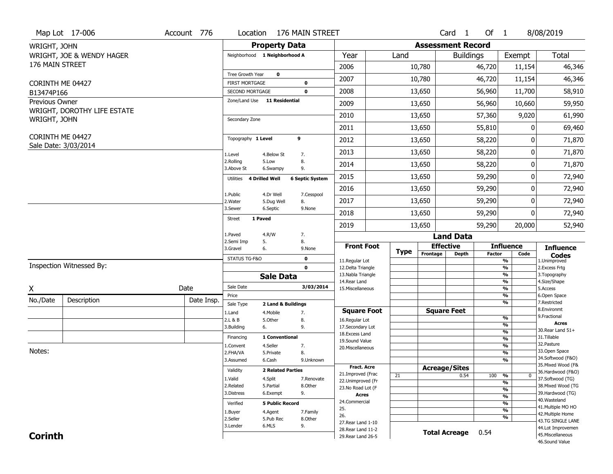| <b>Assessment Record</b><br><b>Property Data</b><br>WRIGHT, JOHN<br><b>Total</b><br>WRIGHT, JOE & WENDY HAGER<br>Year<br>Neighborhood 1 Neighborhood A<br>Land<br><b>Buildings</b><br>Exempt<br>176 MAIN STREET<br>2006<br>10,780<br>46,346<br>46,720<br>11,154<br>Tree Growth Year<br>$\mathbf 0$<br>46,346<br>2007<br>10,780<br>46,720<br>11,154<br><b>FIRST MORTGAGE</b><br>CORINTH ME 04427<br>$\mathbf 0$<br>2008<br>56,960<br>13,650<br>11,700<br>58,910<br>SECOND MORTGAGE<br>$\mathbf 0$<br>B13474P166<br>Zone/Land Use 11 Residential<br>Previous Owner<br>2009<br>56,960<br>13,650<br>10,660<br>59,950<br>WRIGHT, DOROTHY LIFE ESTATE<br>2010<br>57,360<br>9,020<br>61,990<br>13,650<br>WRIGHT, JOHN<br>Secondary Zone<br>2011<br>55,810<br>13,650<br>0<br>69,460<br>CORINTH ME 04427<br>Topography 1 Level<br>9<br>58,220<br>2012<br>13,650<br>71,870<br>0<br>Sale Date: 3/03/2014<br>58,220<br>71,870<br>2013<br>13,650<br>0<br>1.Level<br>4.Below St<br>7.<br>2.Rolling<br>5.Low<br>8.<br>2014<br>58,220<br>0<br>71,870<br>13,650<br>3.Above St<br>9.<br>6.Swampy<br>2015<br>59,290<br>72,940<br>13,650<br>0<br><b>4 Drilled Well</b><br><b>6 Septic System</b><br>Utilities<br>2016<br>59,290<br>13,650<br>0<br>72,940<br>1.Public<br>4.Dr Well<br>7.Cesspool<br>2017<br>13,650<br>59,290<br>0<br>72,940<br>8.<br>2.Water<br>5.Dug Well<br>3.Sewer<br>6.Septic<br>9.None<br>2018<br>59,290<br>13,650<br>0<br>72,940<br><b>Street</b><br>1 Paved<br>59,290<br>2019<br>13,650<br>20,000<br>52,940<br>4.R/W<br>1.Paved<br>7.<br><b>Land Data</b><br>2.Semi Imp<br>8.<br>5.<br><b>Effective</b><br><b>Influence</b><br><b>Front Foot</b><br><b>Influence</b><br>3.Gravel<br>9.None<br>6.<br><b>Type</b><br>Frontage<br><b>Depth</b><br><b>Factor</b><br>Code<br><b>Codes</b><br>STATUS TG-F&O<br>$\mathbf 0$<br>$\overline{\frac{9}{6}}$<br>11.Regular Lot<br>1.Unimproved<br>Inspection Witnessed By:<br>$\frac{9}{6}$<br>$\mathbf 0$<br>12.Delta Triangle<br>2. Excess Frtg<br>$\frac{9}{6}$<br>13. Nabla Triangle<br>3. Topography<br><b>Sale Data</b><br>$\frac{9}{6}$<br>14. Rear Land<br>4.Size/Shape<br>Sale Date<br>3/03/2014<br>Date<br>X<br>$\frac{9}{6}$<br>15. Miscellaneous<br>5.Access<br>%<br>Price<br>6.Open Space<br>No./Date<br>Description<br>Date Insp.<br>$\overline{\frac{9}{6}}$<br>7.Restricted<br>Sale Type<br>2 Land & Buildings<br>8.Environmt<br><b>Square Foot</b><br><b>Square Feet</b><br>1.Land<br>7.<br>4. Mobile<br>9. Fractional<br>%<br>2.L & B<br>5.Other<br>8.<br>16.Regular Lot<br>Acres<br>%<br>3.Building<br>9.<br>17.Secondary Lot<br>6.<br>30. Rear Land 51+<br>$\overline{\frac{9}{6}}$<br>18.Excess Land<br>31.Tillable<br>Financing<br>1 Conventional<br>%<br>19.Sound Value<br>32.Pasture<br>4.Seller<br>%<br>1.Convent<br>7.<br>20.Miscellaneous<br>Notes:<br>33.Open Space<br>2.FHA/VA<br>8.<br>%<br>5.Private | Map Lot 17-006 | Account 776 |  | Location 176 MAIN STREET |  |  | Card <sub>1</sub> | Of 1 | 8/08/2019         |
|---------------------------------------------------------------------------------------------------------------------------------------------------------------------------------------------------------------------------------------------------------------------------------------------------------------------------------------------------------------------------------------------------------------------------------------------------------------------------------------------------------------------------------------------------------------------------------------------------------------------------------------------------------------------------------------------------------------------------------------------------------------------------------------------------------------------------------------------------------------------------------------------------------------------------------------------------------------------------------------------------------------------------------------------------------------------------------------------------------------------------------------------------------------------------------------------------------------------------------------------------------------------------------------------------------------------------------------------------------------------------------------------------------------------------------------------------------------------------------------------------------------------------------------------------------------------------------------------------------------------------------------------------------------------------------------------------------------------------------------------------------------------------------------------------------------------------------------------------------------------------------------------------------------------------------------------------------------------------------------------------------------------------------------------------------------------------------------------------------------------------------------------------------------------------------------------------------------------------------------------------------------------------------------------------------------------------------------------------------------------------------------------------------------------------------------------------------------------------------------------------------------------------------------------------------------------------------------------------------------------------------------------------------------------------------------------------------------------------------------------------------------------------------------------------------------------------------------------------------------------------|----------------|-------------|--|--------------------------|--|--|-------------------|------|-------------------|
|                                                                                                                                                                                                                                                                                                                                                                                                                                                                                                                                                                                                                                                                                                                                                                                                                                                                                                                                                                                                                                                                                                                                                                                                                                                                                                                                                                                                                                                                                                                                                                                                                                                                                                                                                                                                                                                                                                                                                                                                                                                                                                                                                                                                                                                                                                                                                                                                                                                                                                                                                                                                                                                                                                                                                                                                                                                                           |                |             |  |                          |  |  |                   |      |                   |
|                                                                                                                                                                                                                                                                                                                                                                                                                                                                                                                                                                                                                                                                                                                                                                                                                                                                                                                                                                                                                                                                                                                                                                                                                                                                                                                                                                                                                                                                                                                                                                                                                                                                                                                                                                                                                                                                                                                                                                                                                                                                                                                                                                                                                                                                                                                                                                                                                                                                                                                                                                                                                                                                                                                                                                                                                                                                           |                |             |  |                          |  |  |                   |      |                   |
|                                                                                                                                                                                                                                                                                                                                                                                                                                                                                                                                                                                                                                                                                                                                                                                                                                                                                                                                                                                                                                                                                                                                                                                                                                                                                                                                                                                                                                                                                                                                                                                                                                                                                                                                                                                                                                                                                                                                                                                                                                                                                                                                                                                                                                                                                                                                                                                                                                                                                                                                                                                                                                                                                                                                                                                                                                                                           |                |             |  |                          |  |  |                   |      |                   |
|                                                                                                                                                                                                                                                                                                                                                                                                                                                                                                                                                                                                                                                                                                                                                                                                                                                                                                                                                                                                                                                                                                                                                                                                                                                                                                                                                                                                                                                                                                                                                                                                                                                                                                                                                                                                                                                                                                                                                                                                                                                                                                                                                                                                                                                                                                                                                                                                                                                                                                                                                                                                                                                                                                                                                                                                                                                                           |                |             |  |                          |  |  |                   |      |                   |
|                                                                                                                                                                                                                                                                                                                                                                                                                                                                                                                                                                                                                                                                                                                                                                                                                                                                                                                                                                                                                                                                                                                                                                                                                                                                                                                                                                                                                                                                                                                                                                                                                                                                                                                                                                                                                                                                                                                                                                                                                                                                                                                                                                                                                                                                                                                                                                                                                                                                                                                                                                                                                                                                                                                                                                                                                                                                           |                |             |  |                          |  |  |                   |      |                   |
|                                                                                                                                                                                                                                                                                                                                                                                                                                                                                                                                                                                                                                                                                                                                                                                                                                                                                                                                                                                                                                                                                                                                                                                                                                                                                                                                                                                                                                                                                                                                                                                                                                                                                                                                                                                                                                                                                                                                                                                                                                                                                                                                                                                                                                                                                                                                                                                                                                                                                                                                                                                                                                                                                                                                                                                                                                                                           |                |             |  |                          |  |  |                   |      |                   |
|                                                                                                                                                                                                                                                                                                                                                                                                                                                                                                                                                                                                                                                                                                                                                                                                                                                                                                                                                                                                                                                                                                                                                                                                                                                                                                                                                                                                                                                                                                                                                                                                                                                                                                                                                                                                                                                                                                                                                                                                                                                                                                                                                                                                                                                                                                                                                                                                                                                                                                                                                                                                                                                                                                                                                                                                                                                                           |                |             |  |                          |  |  |                   |      |                   |
|                                                                                                                                                                                                                                                                                                                                                                                                                                                                                                                                                                                                                                                                                                                                                                                                                                                                                                                                                                                                                                                                                                                                                                                                                                                                                                                                                                                                                                                                                                                                                                                                                                                                                                                                                                                                                                                                                                                                                                                                                                                                                                                                                                                                                                                                                                                                                                                                                                                                                                                                                                                                                                                                                                                                                                                                                                                                           |                |             |  |                          |  |  |                   |      |                   |
|                                                                                                                                                                                                                                                                                                                                                                                                                                                                                                                                                                                                                                                                                                                                                                                                                                                                                                                                                                                                                                                                                                                                                                                                                                                                                                                                                                                                                                                                                                                                                                                                                                                                                                                                                                                                                                                                                                                                                                                                                                                                                                                                                                                                                                                                                                                                                                                                                                                                                                                                                                                                                                                                                                                                                                                                                                                                           |                |             |  |                          |  |  |                   |      |                   |
|                                                                                                                                                                                                                                                                                                                                                                                                                                                                                                                                                                                                                                                                                                                                                                                                                                                                                                                                                                                                                                                                                                                                                                                                                                                                                                                                                                                                                                                                                                                                                                                                                                                                                                                                                                                                                                                                                                                                                                                                                                                                                                                                                                                                                                                                                                                                                                                                                                                                                                                                                                                                                                                                                                                                                                                                                                                                           |                |             |  |                          |  |  |                   |      |                   |
|                                                                                                                                                                                                                                                                                                                                                                                                                                                                                                                                                                                                                                                                                                                                                                                                                                                                                                                                                                                                                                                                                                                                                                                                                                                                                                                                                                                                                                                                                                                                                                                                                                                                                                                                                                                                                                                                                                                                                                                                                                                                                                                                                                                                                                                                                                                                                                                                                                                                                                                                                                                                                                                                                                                                                                                                                                                                           |                |             |  |                          |  |  |                   |      |                   |
|                                                                                                                                                                                                                                                                                                                                                                                                                                                                                                                                                                                                                                                                                                                                                                                                                                                                                                                                                                                                                                                                                                                                                                                                                                                                                                                                                                                                                                                                                                                                                                                                                                                                                                                                                                                                                                                                                                                                                                                                                                                                                                                                                                                                                                                                                                                                                                                                                                                                                                                                                                                                                                                                                                                                                                                                                                                                           |                |             |  |                          |  |  |                   |      |                   |
|                                                                                                                                                                                                                                                                                                                                                                                                                                                                                                                                                                                                                                                                                                                                                                                                                                                                                                                                                                                                                                                                                                                                                                                                                                                                                                                                                                                                                                                                                                                                                                                                                                                                                                                                                                                                                                                                                                                                                                                                                                                                                                                                                                                                                                                                                                                                                                                                                                                                                                                                                                                                                                                                                                                                                                                                                                                                           |                |             |  |                          |  |  |                   |      |                   |
|                                                                                                                                                                                                                                                                                                                                                                                                                                                                                                                                                                                                                                                                                                                                                                                                                                                                                                                                                                                                                                                                                                                                                                                                                                                                                                                                                                                                                                                                                                                                                                                                                                                                                                                                                                                                                                                                                                                                                                                                                                                                                                                                                                                                                                                                                                                                                                                                                                                                                                                                                                                                                                                                                                                                                                                                                                                                           |                |             |  |                          |  |  |                   |      |                   |
|                                                                                                                                                                                                                                                                                                                                                                                                                                                                                                                                                                                                                                                                                                                                                                                                                                                                                                                                                                                                                                                                                                                                                                                                                                                                                                                                                                                                                                                                                                                                                                                                                                                                                                                                                                                                                                                                                                                                                                                                                                                                                                                                                                                                                                                                                                                                                                                                                                                                                                                                                                                                                                                                                                                                                                                                                                                                           |                |             |  |                          |  |  |                   |      |                   |
|                                                                                                                                                                                                                                                                                                                                                                                                                                                                                                                                                                                                                                                                                                                                                                                                                                                                                                                                                                                                                                                                                                                                                                                                                                                                                                                                                                                                                                                                                                                                                                                                                                                                                                                                                                                                                                                                                                                                                                                                                                                                                                                                                                                                                                                                                                                                                                                                                                                                                                                                                                                                                                                                                                                                                                                                                                                                           |                |             |  |                          |  |  |                   |      |                   |
|                                                                                                                                                                                                                                                                                                                                                                                                                                                                                                                                                                                                                                                                                                                                                                                                                                                                                                                                                                                                                                                                                                                                                                                                                                                                                                                                                                                                                                                                                                                                                                                                                                                                                                                                                                                                                                                                                                                                                                                                                                                                                                                                                                                                                                                                                                                                                                                                                                                                                                                                                                                                                                                                                                                                                                                                                                                                           |                |             |  |                          |  |  |                   |      |                   |
|                                                                                                                                                                                                                                                                                                                                                                                                                                                                                                                                                                                                                                                                                                                                                                                                                                                                                                                                                                                                                                                                                                                                                                                                                                                                                                                                                                                                                                                                                                                                                                                                                                                                                                                                                                                                                                                                                                                                                                                                                                                                                                                                                                                                                                                                                                                                                                                                                                                                                                                                                                                                                                                                                                                                                                                                                                                                           |                |             |  |                          |  |  |                   |      |                   |
|                                                                                                                                                                                                                                                                                                                                                                                                                                                                                                                                                                                                                                                                                                                                                                                                                                                                                                                                                                                                                                                                                                                                                                                                                                                                                                                                                                                                                                                                                                                                                                                                                                                                                                                                                                                                                                                                                                                                                                                                                                                                                                                                                                                                                                                                                                                                                                                                                                                                                                                                                                                                                                                                                                                                                                                                                                                                           |                |             |  |                          |  |  |                   |      |                   |
|                                                                                                                                                                                                                                                                                                                                                                                                                                                                                                                                                                                                                                                                                                                                                                                                                                                                                                                                                                                                                                                                                                                                                                                                                                                                                                                                                                                                                                                                                                                                                                                                                                                                                                                                                                                                                                                                                                                                                                                                                                                                                                                                                                                                                                                                                                                                                                                                                                                                                                                                                                                                                                                                                                                                                                                                                                                                           |                |             |  |                          |  |  |                   |      |                   |
|                                                                                                                                                                                                                                                                                                                                                                                                                                                                                                                                                                                                                                                                                                                                                                                                                                                                                                                                                                                                                                                                                                                                                                                                                                                                                                                                                                                                                                                                                                                                                                                                                                                                                                                                                                                                                                                                                                                                                                                                                                                                                                                                                                                                                                                                                                                                                                                                                                                                                                                                                                                                                                                                                                                                                                                                                                                                           |                |             |  |                          |  |  |                   |      |                   |
|                                                                                                                                                                                                                                                                                                                                                                                                                                                                                                                                                                                                                                                                                                                                                                                                                                                                                                                                                                                                                                                                                                                                                                                                                                                                                                                                                                                                                                                                                                                                                                                                                                                                                                                                                                                                                                                                                                                                                                                                                                                                                                                                                                                                                                                                                                                                                                                                                                                                                                                                                                                                                                                                                                                                                                                                                                                                           |                |             |  |                          |  |  |                   |      |                   |
|                                                                                                                                                                                                                                                                                                                                                                                                                                                                                                                                                                                                                                                                                                                                                                                                                                                                                                                                                                                                                                                                                                                                                                                                                                                                                                                                                                                                                                                                                                                                                                                                                                                                                                                                                                                                                                                                                                                                                                                                                                                                                                                                                                                                                                                                                                                                                                                                                                                                                                                                                                                                                                                                                                                                                                                                                                                                           |                |             |  |                          |  |  |                   |      |                   |
|                                                                                                                                                                                                                                                                                                                                                                                                                                                                                                                                                                                                                                                                                                                                                                                                                                                                                                                                                                                                                                                                                                                                                                                                                                                                                                                                                                                                                                                                                                                                                                                                                                                                                                                                                                                                                                                                                                                                                                                                                                                                                                                                                                                                                                                                                                                                                                                                                                                                                                                                                                                                                                                                                                                                                                                                                                                                           |                |             |  |                          |  |  |                   |      |                   |
|                                                                                                                                                                                                                                                                                                                                                                                                                                                                                                                                                                                                                                                                                                                                                                                                                                                                                                                                                                                                                                                                                                                                                                                                                                                                                                                                                                                                                                                                                                                                                                                                                                                                                                                                                                                                                                                                                                                                                                                                                                                                                                                                                                                                                                                                                                                                                                                                                                                                                                                                                                                                                                                                                                                                                                                                                                                                           |                |             |  |                          |  |  |                   |      |                   |
|                                                                                                                                                                                                                                                                                                                                                                                                                                                                                                                                                                                                                                                                                                                                                                                                                                                                                                                                                                                                                                                                                                                                                                                                                                                                                                                                                                                                                                                                                                                                                                                                                                                                                                                                                                                                                                                                                                                                                                                                                                                                                                                                                                                                                                                                                                                                                                                                                                                                                                                                                                                                                                                                                                                                                                                                                                                                           |                |             |  |                          |  |  |                   |      |                   |
|                                                                                                                                                                                                                                                                                                                                                                                                                                                                                                                                                                                                                                                                                                                                                                                                                                                                                                                                                                                                                                                                                                                                                                                                                                                                                                                                                                                                                                                                                                                                                                                                                                                                                                                                                                                                                                                                                                                                                                                                                                                                                                                                                                                                                                                                                                                                                                                                                                                                                                                                                                                                                                                                                                                                                                                                                                                                           |                |             |  |                          |  |  |                   |      |                   |
|                                                                                                                                                                                                                                                                                                                                                                                                                                                                                                                                                                                                                                                                                                                                                                                                                                                                                                                                                                                                                                                                                                                                                                                                                                                                                                                                                                                                                                                                                                                                                                                                                                                                                                                                                                                                                                                                                                                                                                                                                                                                                                                                                                                                                                                                                                                                                                                                                                                                                                                                                                                                                                                                                                                                                                                                                                                                           |                |             |  |                          |  |  |                   |      |                   |
|                                                                                                                                                                                                                                                                                                                                                                                                                                                                                                                                                                                                                                                                                                                                                                                                                                                                                                                                                                                                                                                                                                                                                                                                                                                                                                                                                                                                                                                                                                                                                                                                                                                                                                                                                                                                                                                                                                                                                                                                                                                                                                                                                                                                                                                                                                                                                                                                                                                                                                                                                                                                                                                                                                                                                                                                                                                                           |                |             |  |                          |  |  |                   |      |                   |
| 3.Assumed<br>%<br>6.Cash<br>9.Unknown                                                                                                                                                                                                                                                                                                                                                                                                                                                                                                                                                                                                                                                                                                                                                                                                                                                                                                                                                                                                                                                                                                                                                                                                                                                                                                                                                                                                                                                                                                                                                                                                                                                                                                                                                                                                                                                                                                                                                                                                                                                                                                                                                                                                                                                                                                                                                                                                                                                                                                                                                                                                                                                                                                                                                                                                                                     |                |             |  |                          |  |  |                   |      | 34.Softwood (F&O) |
| 35. Mixed Wood (F&<br><b>Fract. Acre</b><br><b>Acreage/Sites</b>                                                                                                                                                                                                                                                                                                                                                                                                                                                                                                                                                                                                                                                                                                                                                                                                                                                                                                                                                                                                                                                                                                                                                                                                                                                                                                                                                                                                                                                                                                                                                                                                                                                                                                                                                                                                                                                                                                                                                                                                                                                                                                                                                                                                                                                                                                                                                                                                                                                                                                                                                                                                                                                                                                                                                                                                          |                |             |  |                          |  |  |                   |      |                   |
| Validity<br><b>2 Related Parties</b><br>36.Hardwood (F&O)<br>21.Improved (Frac<br>$100 - 96$<br>0.54<br>21<br>$\bf{0}$                                                                                                                                                                                                                                                                                                                                                                                                                                                                                                                                                                                                                                                                                                                                                                                                                                                                                                                                                                                                                                                                                                                                                                                                                                                                                                                                                                                                                                                                                                                                                                                                                                                                                                                                                                                                                                                                                                                                                                                                                                                                                                                                                                                                                                                                                                                                                                                                                                                                                                                                                                                                                                                                                                                                                    |                |             |  |                          |  |  |                   |      |                   |
| 37.Softwood (TG)<br>1.Valid<br>4.Split<br>7.Renovate<br>22.Unimproved (Fr<br>$\frac{9}{6}$                                                                                                                                                                                                                                                                                                                                                                                                                                                                                                                                                                                                                                                                                                                                                                                                                                                                                                                                                                                                                                                                                                                                                                                                                                                                                                                                                                                                                                                                                                                                                                                                                                                                                                                                                                                                                                                                                                                                                                                                                                                                                                                                                                                                                                                                                                                                                                                                                                                                                                                                                                                                                                                                                                                                                                                |                |             |  |                          |  |  |                   |      |                   |
| 2.Related<br>5.Partial<br>38. Mixed Wood (TG<br>8.Other<br>23. No Road Lot (F<br>$\frac{9}{6}$                                                                                                                                                                                                                                                                                                                                                                                                                                                                                                                                                                                                                                                                                                                                                                                                                                                                                                                                                                                                                                                                                                                                                                                                                                                                                                                                                                                                                                                                                                                                                                                                                                                                                                                                                                                                                                                                                                                                                                                                                                                                                                                                                                                                                                                                                                                                                                                                                                                                                                                                                                                                                                                                                                                                                                            |                |             |  |                          |  |  |                   |      |                   |
| 9.<br>39.Hardwood (TG)<br>3.Distress<br>6.Exempt<br>Acres<br>$\frac{9}{6}$<br>40. Wasteland                                                                                                                                                                                                                                                                                                                                                                                                                                                                                                                                                                                                                                                                                                                                                                                                                                                                                                                                                                                                                                                                                                                                                                                                                                                                                                                                                                                                                                                                                                                                                                                                                                                                                                                                                                                                                                                                                                                                                                                                                                                                                                                                                                                                                                                                                                                                                                                                                                                                                                                                                                                                                                                                                                                                                                               |                |             |  |                          |  |  |                   |      |                   |
| 24.Commercial<br>$\frac{9}{6}$<br><b>5 Public Record</b><br>Verified<br>41. Multiple MO HO<br>25.                                                                                                                                                                                                                                                                                                                                                                                                                                                                                                                                                                                                                                                                                                                                                                                                                                                                                                                                                                                                                                                                                                                                                                                                                                                                                                                                                                                                                                                                                                                                                                                                                                                                                                                                                                                                                                                                                                                                                                                                                                                                                                                                                                                                                                                                                                                                                                                                                                                                                                                                                                                                                                                                                                                                                                         |                |             |  |                          |  |  |                   |      |                   |
| $\frac{9}{6}$<br>1.Buyer<br>4.Agent<br>7.Family<br>42. Multiple Home<br>26.                                                                                                                                                                                                                                                                                                                                                                                                                                                                                                                                                                                                                                                                                                                                                                                                                                                                                                                                                                                                                                                                                                                                                                                                                                                                                                                                                                                                                                                                                                                                                                                                                                                                                                                                                                                                                                                                                                                                                                                                                                                                                                                                                                                                                                                                                                                                                                                                                                                                                                                                                                                                                                                                                                                                                                                               |                |             |  |                          |  |  |                   |      |                   |
| %<br>2.Seller<br>8.Other<br>5.Pub Rec<br>43.TG SINGLE LANE<br>27. Rear Land 1-10                                                                                                                                                                                                                                                                                                                                                                                                                                                                                                                                                                                                                                                                                                                                                                                                                                                                                                                                                                                                                                                                                                                                                                                                                                                                                                                                                                                                                                                                                                                                                                                                                                                                                                                                                                                                                                                                                                                                                                                                                                                                                                                                                                                                                                                                                                                                                                                                                                                                                                                                                                                                                                                                                                                                                                                          |                |             |  |                          |  |  |                   |      |                   |
| 3.Lender<br>6.MLS<br>9.<br>44.Lot Improvemen<br>28. Rear Land 11-2                                                                                                                                                                                                                                                                                                                                                                                                                                                                                                                                                                                                                                                                                                                                                                                                                                                                                                                                                                                                                                                                                                                                                                                                                                                                                                                                                                                                                                                                                                                                                                                                                                                                                                                                                                                                                                                                                                                                                                                                                                                                                                                                                                                                                                                                                                                                                                                                                                                                                                                                                                                                                                                                                                                                                                                                        |                |             |  |                          |  |  |                   |      |                   |
| <b>Total Acreage</b><br>0.54<br><b>Corinth</b><br>45. Miscellaneous<br>29. Rear Land 26-5<br>46.Sound Value                                                                                                                                                                                                                                                                                                                                                                                                                                                                                                                                                                                                                                                                                                                                                                                                                                                                                                                                                                                                                                                                                                                                                                                                                                                                                                                                                                                                                                                                                                                                                                                                                                                                                                                                                                                                                                                                                                                                                                                                                                                                                                                                                                                                                                                                                                                                                                                                                                                                                                                                                                                                                                                                                                                                                               |                |             |  |                          |  |  |                   |      |                   |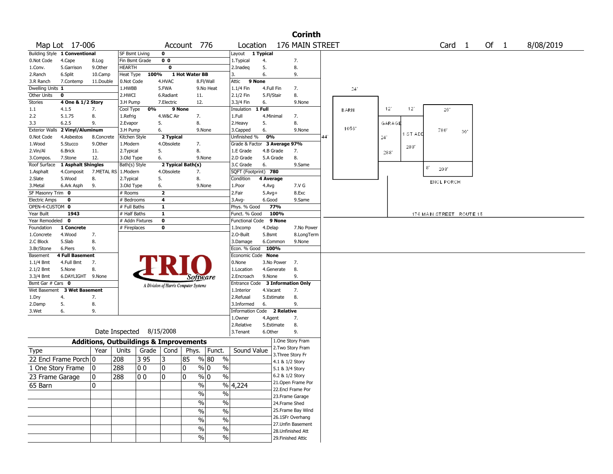|                       |                               |                                                   |                 |       |                         |                                       |                                    |                              |            | <b>Corinth</b>            |     |              |               |          |    |     |                   |                          |      |  |           |  |
|-----------------------|-------------------------------|---------------------------------------------------|-----------------|-------|-------------------------|---------------------------------------|------------------------------------|------------------------------|------------|---------------------------|-----|--------------|---------------|----------|----|-----|-------------------|--------------------------|------|--|-----------|--|
|                       | Map Lot 17-006                |                                                   |                 |       |                         | Account 776                           |                                    | Location                     |            | 176 MAIN STREET           |     |              |               |          |    |     | Card <sub>1</sub> |                          | Of 1 |  | 8/08/2019 |  |
|                       | Building Style 1 Conventional |                                                   | SF Bsmt Living  |       | $\mathbf 0$             |                                       |                                    | Layout                       | 1 Typical  |                           |     |              |               |          |    |     |                   |                          |      |  |           |  |
| 0.Not Code            | 4.Cape                        | 8.Log                                             | Fin Bsmt Grade  |       | 0 <sub>0</sub>          |                                       |                                    | 1. Typical                   | 4.         | 7.                        |     |              |               |          |    |     |                   |                          |      |  |           |  |
| 1.Conv.               | 5.Garrison                    | 9.0ther                                           | HEARTH          |       | $\overline{\mathbf{0}}$ |                                       |                                    | 2.Inadeq                     | 5.         | 8.                        |     |              |               |          |    |     |                   |                          |      |  |           |  |
| 2.Ranch               | 6.Split                       | 10.Camp                                           | Heat Type       | 100%  |                         | 1 Hot Water BB                        |                                    | 3.                           | 6.         | 9.                        |     |              |               |          |    |     |                   |                          |      |  |           |  |
| 3.R Ranch             | 7.Contemp                     | 11.Double                                         | 0.Not Code      |       | 4.HVAC                  |                                       | 8.Fl/Wall                          | 9 None<br>Attic              |            |                           |     |              |               |          |    |     |                   |                          |      |  |           |  |
| Dwelling Units 1      |                               |                                                   | 1.HWBB          |       | 5.FWA                   |                                       | 9.No Heat                          | 1.1/4 Fin                    | 4.Full Fin | 7.                        |     | $24^{\circ}$ |               |          |    |     |                   |                          |      |  |           |  |
| Other Units           | 0                             |                                                   | 2.HWCI          |       | 6.Radiant               | 11.                                   |                                    | 2.1/2 Fin                    | 5.Fl/Stair | 8.                        |     |              |               |          |    |     |                   |                          |      |  |           |  |
| Stories               | 4 One & 1/2 Story             |                                                   | 3.H Pump        |       | 7.Electric              | 12.                                   |                                    | 3.3/4 Fin                    | 6.         | 9.None                    |     |              |               |          |    |     |                   |                          |      |  |           |  |
| 1.1                   | 4.1.5                         | 7.                                                | Cool Type       | 0%    |                         | 9 None                                |                                    | Insulation                   | 1 Full     |                           |     | <b>BARN</b>  | 12'           | 12'      |    |     | $26^\circ$        |                          |      |  |           |  |
| 2.2                   | 5.1.75                        | 8.                                                | 1.Refrig        |       | 4.W&C Air               | 7.                                    |                                    | 1.Full                       | 4.Minimal  | 7.                        |     |              |               |          |    |     |                   |                          |      |  |           |  |
| 3.3                   | 6.2.5                         | 9.                                                | 2.Evapor        |       | 5.                      | 8.                                    |                                    | 2.Heavy                      | 5.         | 8.                        |     |              | <b>GARAGE</b> |          |    |     |                   |                          |      |  |           |  |
| <b>Exterior Walls</b> | 2 Vinyl/Aluminum              |                                                   | 3.H Pump        |       | 6.                      | 9.None                                |                                    | 3.Capped                     | 6.         | 9.None                    |     | 1056         |               | 1 ST ADD |    | 780 |                   | 30                       |      |  |           |  |
| 0.Not Code            | 4.Asbestos                    | 8.Concrete                                        | Kitchen Style   |       | 2 Typical               |                                       |                                    | Unfinished %                 | 0%         |                           | 441 |              | 24'           |          |    |     |                   |                          |      |  |           |  |
| 1.Wood                | 5.Stucco                      | 9.0ther                                           | 1.Modern        |       | 4.Obsolete              | 7.                                    |                                    | Grade & Factor 3 Average 97% |            |                           |     |              |               | 288      |    |     |                   |                          |      |  |           |  |
| 2.Vin/Al              | 6.Brick                       | 11.                                               | 2. Typical      |       | 5.                      | 8.                                    |                                    | 1.E Grade                    | 4.B Grade  | 7.                        |     |              | 288           |          |    |     |                   |                          |      |  |           |  |
| 3.Compos.             | 7.Stone                       | 12.                                               | 3.Old Type      |       | 6.                      | 9.None                                |                                    | 2.D Grade                    | 5.A Grade  | 8.                        |     |              |               |          |    |     |                   |                          |      |  |           |  |
| Roof Surface          | 1 Asphalt Shingles            |                                                   | Bath(s) Style   |       |                         | 2 Typical Bath(s)                     |                                    | 3.C Grade                    | 6.         | 9.Same                    |     |              |               |          | 81 | 208 |                   |                          |      |  |           |  |
| 1.Asphalt             | 4.Composit                    | 7.METAL RS                                        | 1.Modern        |       | 4.Obsolete              | 7.                                    |                                    | SQFT (Footprint) 780         |            |                           |     |              |               |          |    |     |                   |                          |      |  |           |  |
| 2.Slate               | 5.Wood                        | 8.                                                | 2. Typical      |       | 5.                      | 8.                                    |                                    | Condition                    | 4 Average  |                           |     |              |               |          |    |     | <b>ENCL PORCH</b> |                          |      |  |           |  |
| 3.Metal               | 6.Ark Asph                    | 9.                                                | 3.Old Type      |       | 6.                      | 9.None                                |                                    | 1.Poor                       | 4.Avg      | 7.V G                     |     |              |               |          |    |     |                   |                          |      |  |           |  |
| SF Masonry Trim 0     |                               |                                                   | # Rooms         |       | $\overline{2}$          |                                       |                                    | 2.Fair                       | $5.Avg+$   | 8.Exc                     |     |              |               |          |    |     |                   |                          |      |  |           |  |
| <b>Electric Amps</b>  | 0                             |                                                   | # Bedrooms      |       | $\overline{\mathbf{4}}$ |                                       |                                    | $3.$ Avg-                    | 6.Good     | 9.Same                    |     |              |               |          |    |     |                   |                          |      |  |           |  |
| OPEN-4-CUSTOM 0       |                               |                                                   | # Full Baths    |       | 1                       |                                       |                                    | Phys. % Good                 | 77%        |                           |     |              |               |          |    |     |                   |                          |      |  |           |  |
| Year Built            | 1943                          |                                                   | # Half Baths    |       | $\mathbf{1}$            |                                       |                                    | Funct. % Good                | 100%       |                           |     |              |               |          |    |     |                   | 176 MAIN STREET ROUTE 15 |      |  |           |  |
| Year Remodeled        | $\mathbf 0$                   |                                                   | # Addn Fixtures |       | $\overline{\mathbf{0}}$ |                                       |                                    | <b>Functional Code</b>       | 9 None     |                           |     |              |               |          |    |     |                   |                          |      |  |           |  |
| Foundation            | 1 Concrete                    |                                                   | # Fireplaces    |       | $\pmb{0}$               |                                       |                                    | 1.Incomp                     | 4.Delap    | 7.No Power                |     |              |               |          |    |     |                   |                          |      |  |           |  |
| 1.Concrete            | 4.Wood                        | 7.                                                |                 |       |                         |                                       |                                    | 2.0-Built                    | 5.Bsmt     | 8.LongTerm                |     |              |               |          |    |     |                   |                          |      |  |           |  |
| 2.C Block             | 5.Slab                        | 8.                                                |                 |       |                         |                                       |                                    | 3.Damage                     | 6.Common   | 9.None                    |     |              |               |          |    |     |                   |                          |      |  |           |  |
| 3.Br/Stone            | 6.Piers                       | 9.                                                |                 |       |                         |                                       |                                    | Econ. % Good 100%            |            |                           |     |              |               |          |    |     |                   |                          |      |  |           |  |
| Basement              | <b>4 Full Basement</b>        |                                                   |                 |       |                         |                                       |                                    | Economic Code None           |            |                           |     |              |               |          |    |     |                   |                          |      |  |           |  |
| 1.1/4 Bmt             | 4.Full Bmt                    | 7.                                                |                 |       |                         |                                       |                                    | 0.None                       | 3.No Power | 7.                        |     |              |               |          |    |     |                   |                          |      |  |           |  |
| $2.1/2$ Bmt           | 5.None                        | 8.                                                |                 |       |                         |                                       |                                    | 1.Location                   | 4.Generate | 8.                        |     |              |               |          |    |     |                   |                          |      |  |           |  |
| 3.3/4 Bmt             | 6.DAYLIGHT 9.None             |                                                   |                 |       |                         | Software                              |                                    | 2.Encroach                   | 9.None     | 9.                        |     |              |               |          |    |     |                   |                          |      |  |           |  |
| Bsmt Gar # Cars 0     |                               |                                                   |                 |       |                         | A Division of Harris Computer Systems |                                    | <b>Entrance Code</b>         |            | <b>3 Information Only</b> |     |              |               |          |    |     |                   |                          |      |  |           |  |
| Wet Basement          | <b>3 Wet Basement</b>         |                                                   |                 |       |                         |                                       |                                    | 1.Interior                   | 4.Vacant   | 7.                        |     |              |               |          |    |     |                   |                          |      |  |           |  |
| 1.Dry                 | 4.                            | 7.                                                |                 |       |                         |                                       |                                    | 2.Refusal                    | 5.Estimate | 8.                        |     |              |               |          |    |     |                   |                          |      |  |           |  |
| 2.Damp                | 5.                            | 8.                                                |                 |       |                         |                                       |                                    | 3.Informed                   | 6.         | 9.                        |     |              |               |          |    |     |                   |                          |      |  |           |  |
| 3.Wet                 | 6.                            | 9.                                                |                 |       |                         |                                       |                                    | <b>Information Code</b>      |            | 2 Relative                |     |              |               |          |    |     |                   |                          |      |  |           |  |
|                       |                               |                                                   |                 |       |                         |                                       |                                    | 1.Owner                      | 4.Agent    | 7.                        |     |              |               |          |    |     |                   |                          |      |  |           |  |
|                       |                               |                                                   |                 |       |                         |                                       |                                    | 2.Relative                   | 5.Estimate | 8.                        |     |              |               |          |    |     |                   |                          |      |  |           |  |
|                       |                               | Date Inspected 8/15/2008                          |                 |       |                         |                                       |                                    | 3.Tenant                     | 6.Other    | 9.                        |     |              |               |          |    |     |                   |                          |      |  |           |  |
|                       |                               | <b>Additions, Outbuildings &amp; Improvements</b> |                 |       |                         |                                       |                                    |                              |            | 1.One Story Fram          |     |              |               |          |    |     |                   |                          |      |  |           |  |
|                       |                               |                                                   |                 |       |                         |                                       |                                    | Sound Value                  |            | 2. Two Story Fram         |     |              |               |          |    |     |                   |                          |      |  |           |  |
| <b>Type</b>           |                               | Year                                              | Units           | Grade | Cond                    | Phys.                                 | Funct.                             |                              |            | 3. Three Story Fr         |     |              |               |          |    |     |                   |                          |      |  |           |  |
|                       | 22 Encl Frame Porch 0         |                                                   | 208             | 3 95  | 3                       | 85                                    | % 80<br>$\%$                       |                              |            | 4.1 & 1/2 Story           |     |              |               |          |    |     |                   |                          |      |  |           |  |
| 1 One Story Frame     |                               | 10                                                | 288             | O O   | 0                       | 0                                     | $\%$<br>% 0                        |                              |            | 5.1 & 3/4 Story           |     |              |               |          |    |     |                   |                          |      |  |           |  |
| 23 Frame Garage       |                               | 10                                                | 288             | 00    | 0                       | $\Omega$                              | $\frac{9}{6}$ 0<br>$\overline{\%}$ |                              |            | 6.2 & 1/2 Story           |     |              |               |          |    |     |                   |                          |      |  |           |  |
|                       |                               |                                                   |                 |       |                         | $\frac{1}{2}$                         |                                    |                              |            | 21.Open Frame Por         |     |              |               |          |    |     |                   |                          |      |  |           |  |
| 65 Barn               |                               | 10                                                |                 |       |                         |                                       | $\%$                               | 4,224                        |            | 22.Encl Frame Por         |     |              |               |          |    |     |                   |                          |      |  |           |  |
|                       |                               |                                                   |                 |       |                         | $\sqrt{96}$                           | $\overline{\frac{0}{0}}$           |                              |            | 23. Frame Garage          |     |              |               |          |    |     |                   |                          |      |  |           |  |
|                       |                               |                                                   |                 |       |                         | $\frac{1}{2}$                         | $\overline{\frac{0}{6}}$           |                              |            | 24.Frame Shed             |     |              |               |          |    |     |                   |                          |      |  |           |  |
|                       |                               |                                                   |                 |       |                         | $\frac{0}{6}$                         | $\overline{\frac{0}{0}}$           |                              |            | 25. Frame Bay Wind        |     |              |               |          |    |     |                   |                          |      |  |           |  |
|                       |                               |                                                   |                 |       |                         |                                       |                                    |                              |            | 26.1SFr Overhang          |     |              |               |          |    |     |                   |                          |      |  |           |  |
|                       |                               |                                                   |                 |       |                         | $\%$                                  | $\%$                               |                              |            | 27.Unfin Basement         |     |              |               |          |    |     |                   |                          |      |  |           |  |
|                       |                               |                                                   |                 |       |                         | $\%$                                  | $\%$                               |                              |            | 28. Unfinished Att        |     |              |               |          |    |     |                   |                          |      |  |           |  |
|                       |                               |                                                   |                 |       |                         | $\sqrt{96}$                           | $\%$                               |                              |            | 29. Finished Attic        |     |              |               |          |    |     |                   |                          |      |  |           |  |
|                       |                               |                                                   |                 |       |                         |                                       |                                    |                              |            |                           |     |              |               |          |    |     |                   |                          |      |  |           |  |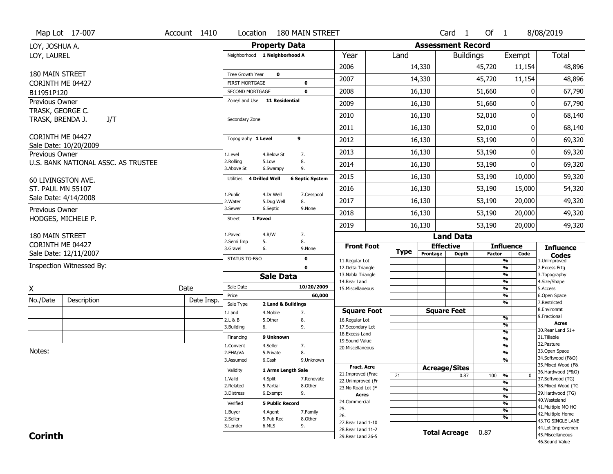|                                    | Map Lot 17-007                      | Account 1410 | Location                           |                         | <b>180 MAIN STREET</b> |                                          |             |                          | Card <sub>1</sub> | Of 1          |                               | 8/08/2019                           |
|------------------------------------|-------------------------------------|--------------|------------------------------------|-------------------------|------------------------|------------------------------------------|-------------|--------------------------|-------------------|---------------|-------------------------------|-------------------------------------|
| LOY, JOSHUA A.                     |                                     |              |                                    | <b>Property Data</b>    |                        |                                          |             | <b>Assessment Record</b> |                   |               |                               |                                     |
| LOY, LAUREL                        |                                     |              | Neighborhood 1 Neighborhood A      |                         |                        | Year                                     | Land        |                          | <b>Buildings</b>  |               | Exempt                        | <b>Total</b>                        |
|                                    |                                     |              |                                    |                         |                        | 2006                                     |             | 14,330                   |                   | 45,720        | 11,154                        | 48,896                              |
| 180 MAIN STREET                    |                                     |              | Tree Growth Year                   | $\mathbf 0$             |                        | 2007                                     |             | 14,330                   |                   | 45,720        | 11,154                        | 48,896                              |
| CORINTH ME 04427                   |                                     |              | <b>FIRST MORTGAGE</b>              |                         | 0                      |                                          |             |                          |                   |               |                               |                                     |
| B11951P120                         |                                     |              | SECOND MORTGAGE                    |                         | $\mathbf 0$            | 2008                                     |             | 16,130                   |                   | 51,660        | 0                             | 67,790                              |
| Previous Owner<br>TRASK, GEORGE C. |                                     |              | Zone/Land Use 11 Residential       |                         |                        | 2009                                     |             | 16,130                   |                   | 51,660        | 0                             | 67,790                              |
| TRASK, BRENDA J.                   | J/T                                 |              | Secondary Zone                     |                         |                        | 2010                                     |             | 16,130                   |                   | 52,010        | 0                             | 68,140                              |
|                                    |                                     |              |                                    |                         |                        | 2011                                     |             | 16,130                   |                   | 52,010        | 0                             | 68,140                              |
| CORINTH ME 04427                   |                                     |              | Topography 1 Level                 |                         | 9                      | 2012                                     |             | 16,130                   |                   | 53,190        | 0                             | 69,320                              |
| Previous Owner                     | Sale Date: 10/20/2009               |              | 1.Level                            | 4.Below St              | 7.                     | 2013                                     |             | 16,130                   |                   | 53,190        | 0                             | 69,320                              |
|                                    | U.S. BANK NATIONAL ASSC. AS TRUSTEE |              | 2.Rolling<br>3.Above St            | 5.Low<br>6.Swampy       | 8.<br>9.               | 2014                                     |             | 16,130                   |                   | 53,190        | 0                             | 69,320                              |
|                                    | 60 LIVINGSTON AVE.                  |              | <b>4 Drilled Well</b><br>Utilities |                         | <b>6 Septic System</b> | 2015                                     |             | 16,130                   |                   | 53,190        | 10,000                        | 59,320                              |
| ST. PAUL MN 55107                  |                                     |              |                                    |                         |                        | 2016                                     |             | 16,130                   |                   | 53,190        | 15,000                        | 54,320                              |
|                                    | Sale Date: 4/14/2008                |              | 1.Public<br>2. Water               | 4.Dr Well<br>5.Dug Well | 7.Cesspool<br>8.       | 2017                                     |             | 16,130                   |                   | 53,190        | 20,000                        | 49,320                              |
| Previous Owner                     |                                     |              | 3.Sewer                            | 6.Septic                | 9.None                 | 2018                                     |             | 16,130                   |                   | 53,190        | 20,000                        | 49,320                              |
|                                    | HODGES, MICHELE P.                  |              | 1 Paved<br><b>Street</b>           |                         |                        | 2019                                     |             | 16,130                   |                   | 53,190        | 20,000                        | 49,320                              |
| <b>180 MAIN STREET</b>             |                                     |              | 1.Paved                            | 4.R/W                   | 7.                     |                                          |             |                          | <b>Land Data</b>  |               |                               |                                     |
| CORINTH ME 04427                   |                                     |              | 2.Semi Imp<br>5.<br>3.Gravel<br>6. |                         | 8.<br>9.None           | <b>Front Foot</b>                        |             | <b>Effective</b>         |                   |               | <b>Influence</b>              | <b>Influence</b>                    |
|                                    | Sale Date: 12/11/2007               |              | STATUS TG-F&O                      |                         | 0                      |                                          | <b>Type</b> | Frontage                 | Depth             | <b>Factor</b> | Code                          | <b>Codes</b>                        |
|                                    | Inspection Witnessed By:            |              |                                    |                         | $\mathbf 0$            | 11.Regular Lot<br>12.Delta Triangle      |             |                          |                   |               | %<br>$\overline{\frac{9}{6}}$ | 1.Unimproved<br>2.Excess Frtg       |
|                                    |                                     |              |                                    | <b>Sale Data</b>        |                        | 13. Nabla Triangle                       |             |                          |                   |               | $\overline{\frac{9}{6}}$      | 3. Topography                       |
|                                    |                                     | Date         | Sale Date                          |                         | 10/20/2009             | 14. Rear Land                            |             |                          |                   |               | $\frac{9}{6}$                 | 4.Size/Shape                        |
| X                                  |                                     |              | Price                              |                         | 60,000                 | 15. Miscellaneous                        |             |                          |                   |               | $\overline{\frac{9}{6}}$<br>% | 5.Access<br>6.Open Space            |
| No./Date                           | Description                         | Date Insp.   | Sale Type                          | 2 Land & Buildings      |                        |                                          |             |                          |                   |               | %                             | 7.Restricted                        |
|                                    |                                     |              | 1.Land                             | 4. Mobile               | 7.                     | <b>Square Foot</b>                       |             | <b>Square Feet</b>       |                   |               |                               | 8.Environmt<br>9. Fractional        |
|                                    |                                     |              | 2.L & B                            | 5.Other                 | 8.                     | 16.Regular Lot                           |             |                          |                   |               | %<br>%                        | <b>Acres</b>                        |
|                                    |                                     |              | 3.Building<br>6.                   |                         | 9.                     | 17.Secondary Lot<br>18.Excess Land       |             |                          |                   |               | %                             | 30. Rear Land 51+                   |
|                                    |                                     |              | Financing                          | 9 Unknown               |                        | 19.Sound Value                           |             |                          |                   |               | %                             | 31.Tillable                         |
| Notes:                             |                                     |              | 1.Convent                          | 4.Seller                | 7.                     | 20. Miscellaneous                        |             |                          |                   |               | $\frac{9}{6}$                 | 32.Pasture<br>33.Open Space         |
|                                    |                                     |              | 2.FHA/VA                           | 5.Private               | 8.<br>9.Unknown        |                                          |             |                          |                   |               | %<br>%                        | 34.Softwood (F&O)                   |
|                                    |                                     |              | 3.Assumed                          | 6.Cash                  |                        | <b>Fract. Acre</b>                       |             |                          |                   |               |                               | 35. Mixed Wood (F&                  |
|                                    |                                     |              | Validity                           | 1 Arms Length Sale      |                        | 21.Improved (Frac                        |             | <b>Acreage/Sites</b>     |                   |               |                               | 36.Hardwood (F&O)                   |
|                                    |                                     |              | 1.Valid                            | 4.Split                 | 7.Renovate             | 22.Unimproved (Fr                        | 21          |                          | 0.87              | 100           | %<br>$\bf{0}$<br>%            | 37.Softwood (TG)                    |
|                                    |                                     |              | 2.Related                          | 5.Partial               | 8.Other                | 23.No Road Lot (F                        |             |                          |                   |               | %                             | 38. Mixed Wood (TG                  |
|                                    |                                     |              | 3.Distress                         | 6.Exempt                | 9.                     | Acres                                    |             |                          |                   |               | $\frac{9}{6}$                 | 39.Hardwood (TG)                    |
|                                    |                                     |              | Verified                           | <b>5 Public Record</b>  |                        | 24.Commercial                            |             |                          |                   |               | %                             | 40. Wasteland<br>41. Multiple MO HO |
|                                    |                                     |              | 1.Buyer                            | 4.Agent                 | 7.Family               | 25.                                      |             |                          |                   |               | $\overline{\frac{9}{6}}$      | 42. Multiple Home                   |
|                                    |                                     |              |                                    |                         |                        |                                          |             |                          |                   |               | %                             |                                     |
|                                    |                                     |              | 2.Seller                           | 5.Pub Rec               | 8.Other                | 26.                                      |             |                          |                   |               |                               | 43.TG SINGLE LANE                   |
|                                    |                                     |              | 3.Lender                           | 6.MLS                   | 9.                     | 27. Rear Land 1-10                       |             |                          |                   |               |                               | 44.Lot Improvemen                   |
| <b>Corinth</b>                     |                                     |              |                                    |                         |                        | 28. Rear Land 11-2<br>29. Rear Land 26-5 |             | <b>Total Acreage</b>     |                   | 0.87          |                               | 45. Miscellaneous<br>46.Sound Value |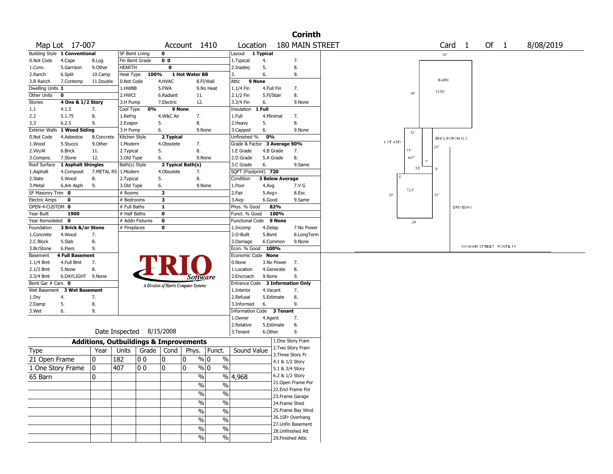|                       |                               |                       |                                                   |                         |                |                                       |                          |                              |            |                                         | <b>Corinth</b>    |            |     |      |                |             |                   |      |                          |  |           |  |
|-----------------------|-------------------------------|-----------------------|---------------------------------------------------|-------------------------|----------------|---------------------------------------|--------------------------|------------------------------|------------|-----------------------------------------|-------------------|------------|-----|------|----------------|-------------|-------------------|------|--------------------------|--|-----------|--|
|                       | Map Lot 17-007                |                       |                                                   |                         |                | Account 1410                          |                          | Location                     |            |                                         | 180 MAIN STREET   |            |     |      |                |             | Card <sub>1</sub> | Of 1 |                          |  | 8/08/2019 |  |
|                       | Building Style 1 Conventional |                       | <b>SF Bsmt Living</b>                             | $\mathbf 0$             |                |                                       |                          | Layout                       | 1 Typical  |                                         |                   |            |     |      |                | 36'         |                   |      |                          |  |           |  |
| 0.Not Code            | 4.Cape                        | 8.Log                 | Fin Bsmt Grade                                    |                         | 0 <sub>0</sub> |                                       |                          | 1. Typical                   | 4.         |                                         | 7.                |            |     |      |                |             |                   |      |                          |  |           |  |
| 1.Conv.               | 5.Garrison                    | 9.0ther               | HEARTH                                            |                         | 0              |                                       |                          | 2.Inadeq                     | 5.         |                                         | 8.                |            |     |      |                |             |                   |      |                          |  |           |  |
| 2.Ranch               | 6.Split                       | 10.Camp               | Heat Type                                         | 100%                    |                | 1 Hot Water BB                        |                          | 3.                           | 6.         |                                         | 9.                |            |     |      |                |             |                   |      |                          |  |           |  |
| 3.R Ranch             | 7.Contemp                     | 11.Double             | 0.Not Code                                        |                         | 4.HVAC         |                                       | 8.Fl/Wall                | Attic                        | 9 None     |                                         |                   |            |     |      |                | <b>BARN</b> |                   |      |                          |  |           |  |
| Dwelling Units 1      |                               |                       | 1.HWBB                                            | 5.FWA                   |                |                                       | 9.No Heat                | 1.1/4 Fin                    | 4.Full Fin |                                         | 7.                |            |     | 46   |                | 1650*       |                   |      |                          |  |           |  |
| Other Units           | $\bf{0}$                      |                       | 2.HWCI                                            |                         | 6.Radiant      | 11.                                   |                          | 2.1/2 Fin                    | 5.Fl/Stair |                                         | 8.                |            |     |      |                |             |                   |      |                          |  |           |  |
| Stories               | 4 One & 1/2 Story             |                       | 3.H Pump                                          |                         | 7.Electric     | 12.                                   |                          | 3.3/4 Fin                    | 6.         |                                         | 9.None            |            |     |      |                |             |                   |      |                          |  |           |  |
| 1.1                   | 4.1.5                         | 7.                    | Cool Type                                         | 0%                      | 9 None         |                                       |                          | Insulation                   | 1 Full     |                                         |                   |            |     |      |                |             |                   |      |                          |  |           |  |
| 2.2                   | 5.1.75                        | 8.                    | 1.Refrig                                          |                         | 4.W&C Air      | 7.                                    |                          | 1.Full                       | 4.Minimal  |                                         | 7.                |            |     |      |                |             |                   |      |                          |  |           |  |
| 3.3                   | 6.2.5                         | 9.                    | 2.Evapor                                          | 5.                      |                | 8.                                    |                          | 2.Heavy                      | 5.         |                                         | 8.                |            |     |      |                |             |                   |      |                          |  |           |  |
| <b>Exterior Walls</b> | 1 Wood Siding                 |                       | 3.H Pump                                          | 6.                      |                | 9.None                                |                          | 3.Capped                     | 6.         |                                         | 9.None            |            |     | 12'  |                |             |                   |      |                          |  |           |  |
| 0.Not Code            | 4.Asbestos                    | 8.Concrete            | Kitchen Style                                     |                         | 2 Typical      |                                       |                          | Unfinished %                 | 0%         |                                         |                   |            |     |      |                |             | ENCL PORCH 182'   |      |                          |  |           |  |
| 1.Wood                | 5.Stucco                      | 9.0ther               | 1.Modern                                          |                         | 4.Obsolete     | 7.                                    |                          | Grade & Factor 3 Average 90% |            |                                         |                   | 1 ST ADD   |     |      | 26             |             |                   |      |                          |  |           |  |
| 2.Vin/Al              | 6.Brick                       | 11.                   | 2. Typical                                        | 5.                      |                | 8.                                    |                          | 1.E Grade                    | 4.B Grade  |                                         | 7.                |            | 31' |      |                |             |                   |      |                          |  |           |  |
| 3.Compos.             | 7.Stone                       | 12.                   | 3.Old Type                                        | 6.                      |                | 9.None                                |                          | 2.D Grade                    | 5.A Grade  |                                         | 8.                |            |     | 407  |                |             |                   |      |                          |  |           |  |
| Roof Surface          | 1 Asphalt Shingles            |                       | Bath(s) Style                                     |                         |                | 2 Typical Bath(s)                     |                          | 3.C Grade                    | 6.         |                                         | 9.Same            |            |     |      |                |             |                   |      |                          |  |           |  |
| 1.Asphalt             | 4.Composit                    | 7.METAL RS   1.Modern |                                                   |                         | 4.Obsolete     | 7.                                    |                          | SQFT (Footprint) 720         |            |                                         |                   |            |     | 19   | $\mathbb{S}^*$ |             |                   |      |                          |  |           |  |
| 2.Slate               | 5.Wood                        | 8.                    | 2. Typical                                        | 5.                      |                | 8.                                    |                          | Condition                    |            | <b>3 Below Average</b>                  |                   |            |     |      |                |             |                   |      |                          |  |           |  |
| 3.Metal               | 6.Ark Asph                    | 9.                    | 3.Old Type                                        | 6.                      |                | 9.None                                |                          | 1.Poor                       | 4.Avg      |                                         | 7.V G             |            |     |      |                |             |                   |      |                          |  |           |  |
| SF Masonry Trim 0     |                               |                       | # Rooms                                           | $\overline{\mathbf{z}}$ |                |                                       |                          | 2.Fair                       | $5.Avg+$   |                                         | 8.Exc             | $30^\circ$ |     | 7201 | 30             |             |                   |      |                          |  |           |  |
| <b>Electric Amps</b>  | 0                             |                       | # Bedrooms                                        | 3                       |                |                                       |                          | 3.Avg-                       | 6.Good     |                                         | 9.Same            |            |     |      |                |             |                   |      |                          |  |           |  |
| OPEN-4-CUSTOM 0       |                               |                       | # Full Baths                                      | $\mathbf{1}$            |                |                                       |                          | Phys. % Good                 |            | 82%                                     |                   |            |     |      |                |             | DRIV EWAY         |      |                          |  |           |  |
| Year Built            | 1900                          |                       | # Half Baths                                      | $\bf{0}$                |                |                                       |                          | Funct. % Good                |            | 100%                                    |                   |            |     |      |                |             |                   |      |                          |  |           |  |
| Year Remodeled 0      |                               |                       | # Addn Fixtures                                   | $\bf{0}$                |                |                                       |                          | Functional Code              |            | 9 None                                  |                   |            |     | 24'  |                |             |                   |      |                          |  |           |  |
| Foundation            | 3 Brick &/or Stone            |                       | # Fireplaces                                      | 0                       |                |                                       |                          | 1.Incomp                     | 4.Delap    |                                         | 7.No Power        |            |     |      |                |             |                   |      |                          |  |           |  |
| 1.Concrete            | 4.Wood                        | 7.                    |                                                   |                         |                |                                       |                          | 2.O-Built                    | 5.Bsmt     |                                         | 8.LongTerm        |            |     |      |                |             |                   |      |                          |  |           |  |
|                       |                               |                       |                                                   |                         |                |                                       |                          |                              |            |                                         |                   |            |     |      |                |             |                   |      |                          |  |           |  |
|                       |                               |                       |                                                   |                         |                |                                       |                          |                              |            |                                         |                   |            |     |      |                |             |                   |      |                          |  |           |  |
| 2.C Block             | 5.Slab                        | 8.                    |                                                   |                         |                |                                       |                          | 3.Damage                     | 6.Common   |                                         | 9.None            |            |     |      |                |             |                   |      | 180 MAIN STREET ROUTE 15 |  |           |  |
| 3.Br/Stone            | 6.Piers                       | 9.                    |                                                   |                         |                |                                       |                          | Econ. % Good 100%            |            |                                         |                   |            |     |      |                |             |                   |      |                          |  |           |  |
| Basement              | <b>4 Full Basement</b>        |                       |                                                   |                         |                |                                       |                          | Economic Code None           |            |                                         |                   |            |     |      |                |             |                   |      |                          |  |           |  |
| 1.1/4 Bmt             | 4.Full Bmt                    | 7.                    |                                                   |                         |                |                                       |                          | 0.None                       |            | 3.No Power                              | 7.                |            |     |      |                |             |                   |      |                          |  |           |  |
| 2.1/2 Bmt             | 5.None                        | 8.                    |                                                   |                         |                |                                       |                          | 1.Location                   | 4.Generate |                                         | 8.                |            |     |      |                |             |                   |      |                          |  |           |  |
| 3.3/4 Bmt             | 6.DAYLIGHT 9.None             |                       |                                                   |                         |                | Software                              |                          | 2.Encroach                   | 9.None     |                                         | 9.                |            |     |      |                |             |                   |      |                          |  |           |  |
| Bsmt Gar # Cars 0     |                               |                       |                                                   |                         |                | A Division of Harris Computer Systems |                          | Entrance Code                |            | 3 Information Only                      |                   |            |     |      |                |             |                   |      |                          |  |           |  |
| Wet Basement          | <b>3 Wet Basement</b>         |                       |                                                   |                         |                |                                       |                          | 1.Interior                   | 4.Vacant   |                                         | 7.                |            |     |      |                |             |                   |      |                          |  |           |  |
| 1.Dry                 | 4.                            | 7.                    |                                                   |                         |                |                                       |                          | 2.Refusal                    | 5.Estimate |                                         | 8.                |            |     |      |                |             |                   |      |                          |  |           |  |
| 2.Damp                | 5.                            | 8.                    |                                                   |                         |                |                                       |                          | 3.Informed                   | 6.         |                                         | 9.                |            |     |      |                |             |                   |      |                          |  |           |  |
| 3.Wet                 | 6.                            | 9.                    |                                                   |                         |                |                                       |                          | <b>Information Code</b>      |            | 3 Tenant                                |                   |            |     |      |                |             |                   |      |                          |  |           |  |
|                       |                               |                       |                                                   |                         |                |                                       |                          | 1.0wner                      | 4.Agent    |                                         | 7.                |            |     |      |                |             |                   |      |                          |  |           |  |
|                       |                               |                       |                                                   |                         |                |                                       |                          | 2.Relative                   | 5.Estimate |                                         | 8.                |            |     |      |                |             |                   |      |                          |  |           |  |
|                       |                               |                       | Date Inspected                                    | 8/15/2008               |                |                                       |                          | 3.Tenant                     | 6.Other    |                                         | 9.                |            |     |      |                |             |                   |      |                          |  |           |  |
|                       |                               |                       |                                                   |                         |                |                                       |                          |                              |            | 1.One Story Fram                        |                   |            |     |      |                |             |                   |      |                          |  |           |  |
|                       |                               |                       | <b>Additions, Outbuildings &amp; Improvements</b> |                         |                |                                       |                          |                              |            | 2. Two Story Fram                       |                   |            |     |      |                |             |                   |      |                          |  |           |  |
| Type                  |                               | Year                  | Units                                             | Grade                   | Cond           |                                       | Phys.   Funct.           | Sound Value                  |            |                                         |                   |            |     |      |                |             |                   |      |                          |  |           |  |
| 21 Open Frame         |                               | 10                    | 182<br>00                                         | 0                       |                | 0                                     | $\frac{9}{0}$ 0<br>%     |                              |            | 3. Three Story Fr                       |                   |            |     |      |                |             |                   |      |                          |  |           |  |
|                       |                               | 0                     | 407<br>l 0 0                                      | 0                       |                | 10                                    | $\frac{9}{0}$ 0<br>%     |                              |            | 4.1 & 1/2 Story<br>5.1 & 3/4 Story      |                   |            |     |      |                |             |                   |      |                          |  |           |  |
| 1 One Story Frame     |                               |                       |                                                   |                         |                |                                       |                          |                              |            |                                         |                   |            |     |      |                |             |                   |      |                          |  |           |  |
| 65 Barn               |                               | l0                    |                                                   |                         |                | $\%$                                  |                          | %  4,968                     |            | 6.2 & 1/2 Story                         |                   |            |     |      |                |             |                   |      |                          |  |           |  |
|                       |                               |                       |                                                   |                         |                | $\%$                                  | $\%$                     |                              |            |                                         | 21.Open Frame Por |            |     |      |                |             |                   |      |                          |  |           |  |
|                       |                               |                       |                                                   |                         |                | $\%$                                  | $\frac{9}{6}$            |                              |            | 22.Encl Frame Por                       |                   |            |     |      |                |             |                   |      |                          |  |           |  |
|                       |                               |                       |                                                   |                         |                |                                       |                          |                              |            | 23. Frame Garage                        |                   |            |     |      |                |             |                   |      |                          |  |           |  |
|                       |                               |                       |                                                   |                         |                | $\%$                                  | $\sqrt{6}$               |                              |            | 24.Frame Shed                           |                   |            |     |      |                |             |                   |      |                          |  |           |  |
|                       |                               |                       |                                                   |                         |                | $\frac{1}{2}$                         | $\frac{0}{6}$            |                              |            |                                         | 25.Frame Bay Wind |            |     |      |                |             |                   |      |                          |  |           |  |
|                       |                               |                       |                                                   |                         |                | $\frac{0}{0}$                         | $\sqrt{6}$               |                              |            | 26.1SFr Overhang                        |                   |            |     |      |                |             |                   |      |                          |  |           |  |
|                       |                               |                       |                                                   |                         |                |                                       |                          |                              |            |                                         | 27.Unfin Basement |            |     |      |                |             |                   |      |                          |  |           |  |
|                       |                               |                       |                                                   |                         |                | $\%$<br>$\frac{1}{2}$                 | $\sqrt{6}$<br>$\sqrt{6}$ |                              |            | 28.Unfinished Att<br>29. Finished Attic |                   |            |     |      |                |             |                   |      |                          |  |           |  |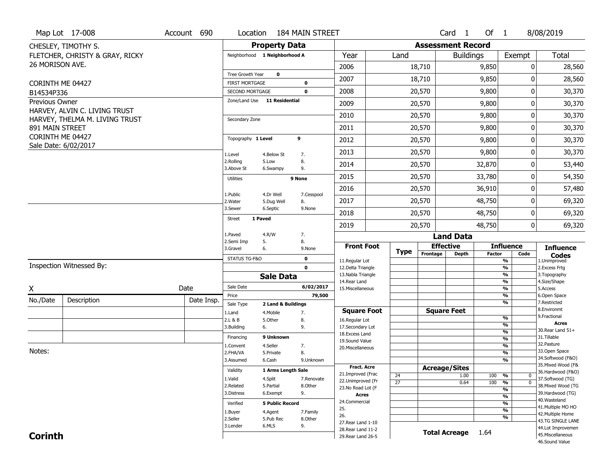|                              | Map Lot 17-008                  | Account 690 | Location                           |                         | <b>184 MAIN STREET</b> |                                          |                 |          | Card <sub>1</sub>        | Of $1$        |                                 | 8/08/2019                              |
|------------------------------|---------------------------------|-------------|------------------------------------|-------------------------|------------------------|------------------------------------------|-----------------|----------|--------------------------|---------------|---------------------------------|----------------------------------------|
|                              | CHESLEY, TIMOTHY S.             |             |                                    | <b>Property Data</b>    |                        |                                          |                 |          | <b>Assessment Record</b> |               |                                 |                                        |
|                              | FLETCHER, CHRISTY & GRAY, RICKY |             | Neighborhood 1 Neighborhood A      |                         |                        | Year                                     | Land            |          | <b>Buildings</b>         |               | Exempt                          | Total                                  |
| 26 MORISON AVE.              |                                 |             |                                    |                         |                        | 2006                                     |                 | 18,710   |                          | 9,850         | 0                               | 28,560                                 |
|                              |                                 |             | Tree Growth Year                   | $\mathbf 0$             |                        | 2007                                     |                 | 18,710   |                          | 9,850         | 0                               | 28,560                                 |
| CORINTH ME 04427             |                                 |             | <b>FIRST MORTGAGE</b>              |                         | 0<br>$\mathbf 0$       | 2008                                     |                 | 20,570   |                          | 9,800         | 0                               | 30,370                                 |
| B14534P336<br>Previous Owner |                                 |             | SECOND MORTGAGE<br>Zone/Land Use   | 11 Residential          |                        |                                          |                 |          |                          |               |                                 |                                        |
|                              | HARVEY, ALVIN C. LIVING TRUST   |             |                                    |                         |                        | 2009                                     |                 | 20,570   |                          | 9,800         | 0                               | 30,370                                 |
|                              | HARVEY, THELMA M. LIVING TRUST  |             | Secondary Zone                     |                         |                        | 2010                                     |                 | 20,570   |                          | 9,800         | 0                               | 30,370                                 |
| 891 MAIN STREET              |                                 |             |                                    |                         |                        | 2011                                     |                 | 20,570   |                          | 9,800         | 0                               | 30,370                                 |
| CORINTH ME 04427             | Sale Date: 6/02/2017            |             | Topography 1 Level                 |                         | 9                      | 2012                                     |                 | 20,570   |                          | 9,800         | 0                               | 30,370                                 |
|                              |                                 |             | 1.Level                            | 4.Below St              | 7.                     | 2013                                     |                 | 20,570   |                          | 9,800         | 0                               | 30,370                                 |
|                              |                                 |             | 2.Rolling<br>3.Above St            | 5.Low<br>6.Swampy       | 8.<br>9.               | 2014                                     |                 | 20,570   |                          | 32,870        | 0                               | 53,440                                 |
|                              |                                 |             | <b>Utilities</b>                   |                         | 9 None                 | 2015                                     |                 | 20,570   |                          | 33,780        | 0                               | 54,350                                 |
|                              |                                 |             |                                    |                         |                        | 2016                                     |                 | 20,570   |                          | 36,910        | 0                               | 57,480                                 |
|                              |                                 |             | 1.Public<br>2.Water                | 4.Dr Well<br>5.Dug Well | 7.Cesspool<br>8.       | 2017                                     |                 | 20,570   |                          | 48,750        | 0                               | 69,320                                 |
|                              |                                 |             | 3.Sewer                            | 6.Septic                | 9.None                 | 2018                                     |                 | 20,570   |                          | 48,750        | 0                               | 69,320                                 |
|                              |                                 |             | 1 Paved<br><b>Street</b>           |                         |                        | 2019                                     |                 | 20,570   |                          | 48,750        | 0                               | 69,320                                 |
|                              |                                 |             | 1.Paved                            | 4.R/W                   | 7.                     |                                          |                 |          | <b>Land Data</b>         |               |                                 |                                        |
|                              |                                 |             | 2.Semi Imp<br>5.<br>3.Gravel<br>6. |                         | 8.<br>9.None           | <b>Front Foot</b>                        |                 |          | <b>Effective</b>         |               | <b>Influence</b>                | <b>Influence</b>                       |
|                              |                                 |             | STATUS TG-F&O                      |                         | $\mathbf 0$            | 11.Regular Lot                           | <b>Type</b>     | Frontage | <b>Depth</b>             | <b>Factor</b> | Code<br>$\frac{9}{6}$           | <b>Codes</b><br>1.Unimproved           |
|                              | Inspection Witnessed By:        |             |                                    |                         | $\mathbf 0$            | 12.Delta Triangle                        |                 |          |                          |               | $\frac{9}{6}$                   | 2.Excess Frtg                          |
|                              |                                 |             |                                    | <b>Sale Data</b>        |                        | 13. Nabla Triangle                       |                 |          |                          |               | $\frac{9}{6}$                   | 3. Topography                          |
| X                            |                                 | Date        | Sale Date                          |                         | 6/02/2017              | 14. Rear Land<br>15. Miscellaneous       |                 |          |                          |               | $\frac{9}{6}$<br>$\frac{9}{6}$  | 4.Size/Shape<br>5.Access               |
|                              | Description                     | Date Insp.  | Price                              |                         | 79,500                 |                                          |                 |          |                          |               | $\frac{9}{6}$                   | 6.Open Space                           |
| No./Date                     |                                 |             | Sale Type                          | 2 Land & Buildings      |                        |                                          |                 |          |                          |               | $\frac{9}{6}$                   | 7.Restricted<br>8.Environmt            |
|                              |                                 |             | 1.Land                             | 4. Mobile               | 7.                     | <b>Square Foot</b>                       |                 |          | <b>Square Feet</b>       |               | %                               | 9. Fractional                          |
|                              |                                 |             |                                    |                         |                        |                                          |                 |          |                          |               |                                 |                                        |
|                              |                                 |             | 2.L & B<br>6.<br>3.Building        | 5.Other                 | 8.<br>9.               | 16.Regular Lot<br>17.Secondary Lot       |                 |          |                          |               | %                               | Acres                                  |
|                              |                                 |             |                                    |                         |                        | 18. Excess Land                          |                 |          |                          |               | %                               | 30. Rear Land 51+                      |
|                              |                                 |             | Financing                          | 9 Unknown               |                        | 19.Sound Value                           |                 |          |                          |               | %                               | 31.Tillable<br>32.Pasture              |
| Notes:                       |                                 |             | 1.Convent<br>2.FHA/VA              | 4.Seller<br>5.Private   | 7.<br>8.               | 20.Miscellaneous                         |                 |          |                          |               | %<br>$\frac{9}{6}$              | 33.Open Space                          |
|                              |                                 |             | 3.Assumed                          | 6.Cash                  | 9.Unknown              |                                          |                 |          |                          |               | %                               | 34.Softwood (F&O)                      |
|                              |                                 |             |                                    | 1 Arms Length Sale      |                        | <b>Fract. Acre</b>                       |                 |          | <b>Acreage/Sites</b>     |               |                                 | 35. Mixed Wood (F&                     |
|                              |                                 |             | Validity                           |                         |                        | 21.Improved (Frac                        | 24              |          | 1.00                     | 100           | %<br>0                          | 36.Hardwood (F&O)                      |
|                              |                                 |             | 1.Valid<br>2.Related               | 4.Split<br>5.Partial    | 7.Renovate<br>8.Other  | 22.Unimproved (Fr                        | $\overline{27}$ |          | 0.64                     | 100           | $\frac{9}{6}$<br>$\overline{0}$ | 37.Softwood (TG)<br>38. Mixed Wood (TG |
|                              |                                 |             | 3.Distress                         | 6.Exempt                | 9.                     | 23.No Road Lot (F<br><b>Acres</b>        |                 |          |                          |               | %                               | 39.Hardwood (TG)                       |
|                              |                                 |             | Verified                           | <b>5 Public Record</b>  |                        | 24.Commercial                            |                 |          |                          |               | $\frac{9}{6}$<br>$\frac{9}{6}$  | 40. Wasteland                          |
|                              |                                 |             |                                    |                         |                        | 25.                                      |                 |          |                          |               | $\frac{9}{6}$                   | 41. Multiple MO HO                     |
|                              |                                 |             | 1.Buyer<br>2.Seller                | 4.Agent<br>5.Pub Rec    | 7.Family<br>8.Other    | 26.                                      |                 |          |                          |               | %                               | 42. Multiple Home                      |
|                              |                                 |             | 3.Lender                           | 6.MLS                   | 9.                     | 27. Rear Land 1-10                       |                 |          |                          |               |                                 | 43.TG SINGLE LANE<br>44.Lot Improvemen |
| <b>Corinth</b>               |                                 |             |                                    |                         |                        | 28. Rear Land 11-2<br>29. Rear Land 26-5 |                 |          | <b>Total Acreage</b>     | 1.64          |                                 | 45. Miscellaneous                      |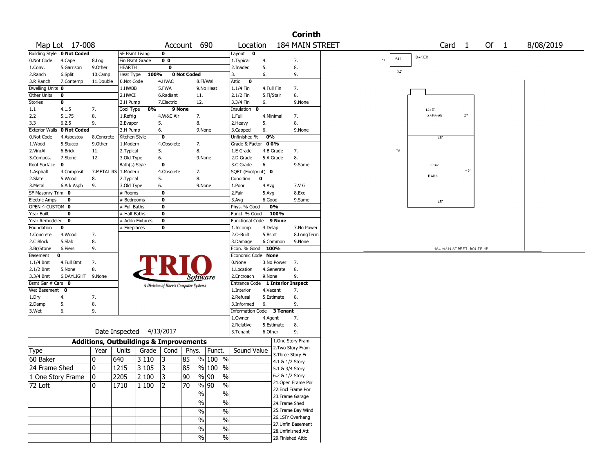|                                     |                            |                                                   |                           |                          |                |                                       |                     |                                  |            |                 | <b>Corinth</b>                        |                                        |
|-------------------------------------|----------------------------|---------------------------------------------------|---------------------------|--------------------------|----------------|---------------------------------------|---------------------|----------------------------------|------------|-----------------|---------------------------------------|----------------------------------------|
|                                     | Map Lot 17-008             |                                                   |                           |                          |                | Account 690                           |                     | Location                         |            |                 | 184 MAIN STREET                       | Of 1<br>8/08/2019<br>Card <sub>1</sub> |
|                                     | Building Style 0 Not Coded |                                                   | <b>SF Bsmt Living</b>     |                          | 0              |                                       |                     | Layout $\mathbf 0$               |            |                 |                                       |                                        |
| 0.Not Code                          | 4.Cape                     | 8.Log                                             | Fin Bsmt Grade            |                          | 0 <sub>0</sub> |                                       |                     | 1. Typical                       | 4.         |                 | 7.                                    | <b>BAKER</b><br>640'<br>201            |
| 1.Conv.                             | 5.Garrison                 | 9.0ther                                           | <b>HEARTH</b>             |                          | 0              |                                       |                     | 2.Inadeq                         | 5.         |                 | 8.                                    | $32^{\circ}$                           |
| 2.Ranch                             | 6.Split                    | 10.Camp                                           | Heat Type                 | 100%                     |                | <b>0 Not Coded</b>                    |                     | 3.                               | 6.         |                 | 9.                                    |                                        |
| 3.R Ranch                           | 7.Contemp                  | 11.Double                                         | 0.Not Code                |                          | 4.HVAC         |                                       | 8.Fl/Wall           | Attic<br>$\mathbf 0$             |            |                 |                                       |                                        |
| Dwelling Units 0                    |                            |                                                   | 1.HWBB                    |                          | 5.FWA          |                                       | 9.No Heat           | $1.1/4$ Fin                      | 4.Full Fin |                 | 7.                                    |                                        |
| Other Units                         | 0                          |                                                   | 2.HWCI                    |                          | 6.Radiant      | 11.                                   |                     | 2.1/2 Fin                        | 5.Fl/Stair |                 | 8.                                    |                                        |
| Stories                             | 0                          |                                                   | 3.H Pump                  |                          | 7.Electric     | 12.                                   |                     | 3.3/4 Fin                        | 6.         |                 | 9.None                                |                                        |
| 1.1                                 | 4.1.5                      | 7.                                                | Cool Type                 | 0%                       |                | 9 None                                |                     | Insulation 0                     |            |                 |                                       | 1215'<br>GARAGE<br>$27\,$              |
| 2.2                                 | 5.1.75                     | 8.                                                | 1.Refrig                  |                          | 4.W&C Air      | 7.                                    |                     | 1.Full                           | 4.Minimal  |                 | 7.                                    |                                        |
| 3.3                                 | 6.2.5<br>0 Not Coded       | 9.                                                | 2.Evapor                  |                          | 5.             | 8.                                    |                     | 2.Heavy                          | 5.         |                 | 8.                                    |                                        |
| <b>Exterior Walls</b><br>0.Not Code | 4.Asbestos                 | 8.Concrete                                        | 3.H Pump<br>Kitchen Style |                          | 6.<br>0        |                                       | 9.None              | 3.Capped<br>Unfinished %         | 6.<br>0%   |                 | 9.None                                | $45^\circ$                             |
| 1.Wood                              | 5.Stucco                   | 9.0ther                                           | 1.Modern                  |                          | 4.Obsolete     | 7.                                    |                     | Grade & Factor 00%               |            |                 |                                       |                                        |
| 2.Vin/Al                            | 6.Brick                    | 11.                                               | 2.Typical                 |                          | 5.             | 8.                                    |                     | 1.E Grade                        | 4.B Grade  |                 | 7.                                    | 76'                                    |
| 3.Compos.                           | 7.Stone                    | 12.                                               | 3.Old Type                |                          | 6.             |                                       | 9.None              | 2.D Grade                        | 5.A Grade  |                 | 8.                                    |                                        |
| Roof Surface                        | 0                          |                                                   | Bath(s) Style             |                          | 0              |                                       |                     | 3.C Grade                        | 6.         |                 | 9.Same                                | 2205                                   |
| 1.Asphalt                           | 4.Composit                 | 7.METAL RS   1.Modern                             |                           |                          | 4.Obsolete     | 7.                                    |                     | SQFT (Footprint) 0               |            |                 |                                       | 49.                                    |
| 2.Slate                             | 5.Wood                     | 8.                                                | 2.Typical                 |                          | 5.             | 8.                                    |                     | Condition                        | 0          |                 |                                       | BARN                                   |
| 3.Metal                             | 6.Ark Asph                 | 9.                                                | 3.Old Type                |                          | 6.             |                                       | 9.None              | 1.Poor                           | 4.Avg      |                 | 7.V G                                 |                                        |
| SF Masonry Trim 0                   |                            |                                                   | # Rooms                   |                          | 0              |                                       |                     | 2.Fair                           | $5.Avg+$   |                 | 8.Exc                                 |                                        |
| <b>Electric Amps</b>                | 0                          |                                                   | # Bedrooms                |                          | 0              |                                       |                     | $3.Avg-$                         | 6.Good     |                 | 9.Same                                | 45                                     |
| OPEN-4-CUSTOM 0                     |                            |                                                   | # Full Baths              |                          | 0              |                                       |                     | Phys. % Good                     | 0%         |                 |                                       |                                        |
| Year Built                          | 0                          |                                                   | # Half Baths              |                          | 0              |                                       |                     | Funct. % Good                    |            | 100%            |                                       |                                        |
| Year Remodeled 0                    |                            |                                                   |                           | # Addn Fixtures          | $\mathbf 0$    |                                       |                     | Functional Code 9 None           |            |                 |                                       |                                        |
| Foundation                          | 0                          |                                                   | # Fireplaces              |                          | 0              |                                       |                     | 1.Incomp                         | 4.Delap    |                 | 7.No Power                            |                                        |
| 1.Concrete                          | 4.Wood                     | 7.                                                |                           |                          |                |                                       |                     | 2.O-Built                        | 5.Bsmt     |                 | 8.LongTerm                            |                                        |
| 2.C Block                           | 5.Slab                     | 8.                                                |                           |                          |                |                                       |                     | 3.Damage                         | 6.Common   |                 | 9.None                                |                                        |
| 3.Br/Stone                          | 6.Piers                    | 9.                                                |                           |                          |                |                                       |                     | Econ. % Good 100%                |            |                 |                                       | 184 MAIN STREET ROUTE 15               |
| Basement<br>$1.1/4$ Bmt             | 0<br>4.Full Bmt            | 7.                                                |                           |                          |                |                                       |                     | Economic Code None<br>0.None     | 3.No Power |                 | 7.                                    |                                        |
| $2.1/2$ Bmt                         | 5.None                     | 8.                                                |                           |                          |                |                                       |                     | 1.Location                       | 4.Generate |                 | 8.                                    |                                        |
| 3.3/4 Bmt                           | 6.DAYLIGHT 9.None          |                                                   |                           |                          |                | <i>Software</i>                       |                     | 2.Encroach                       | 9.None     |                 | 9.                                    |                                        |
| Bsmt Gar # Cars 0                   |                            |                                                   |                           |                          |                |                                       |                     | Entrance Code 1 Interior Inspect |            |                 |                                       |                                        |
| Wet Basement 0                      |                            |                                                   |                           |                          |                | A Division of Harris Computer Systems |                     | 1.Interior                       | 4.Vacant   |                 | 7.                                    |                                        |
| 1.Dry                               | 4.                         | 7.                                                |                           |                          |                |                                       |                     | 2.Refusal                        | 5.Estimate |                 | 8.                                    |                                        |
| 2.Damp                              | 5.                         | 8.                                                |                           |                          |                |                                       |                     | 3.Informed                       | 6.         |                 | 9.                                    |                                        |
| 3.Wet                               | 6.                         | 9.                                                |                           |                          |                |                                       |                     | <b>Information Code</b>          |            | 3 Tenant        |                                       |                                        |
|                                     |                            |                                                   |                           |                          |                |                                       |                     | 1.0wner                          | 4.Agent    |                 | 7.                                    |                                        |
|                                     |                            |                                                   |                           |                          |                |                                       |                     | 2.Relative                       | 5.Estimate |                 | 8.                                    |                                        |
|                                     |                            |                                                   |                           | Date Inspected 4/13/2017 |                |                                       |                     | 3. Tenant                        | 6.Other    |                 | 9.                                    |                                        |
|                                     |                            | <b>Additions, Outbuildings &amp; Improvements</b> |                           |                          |                |                                       |                     |                                  |            |                 | 1.One Story Fram                      |                                        |
| Type                                |                            | Year                                              | Units                     | Grade                    | Cond           | Phys.                                 | Funct.              | Sound Value                      |            |                 | 2. Two Story Fram                     |                                        |
|                                     |                            |                                                   |                           |                          |                |                                       |                     |                                  |            |                 | 3. Three Story Fr                     |                                        |
| 60 Baker                            |                            | 0                                                 | 640                       | 3 1 1 0                  | 3              | 85                                    | % 100 %             |                                  |            | 4.1 & 1/2 Story |                                       |                                        |
| 24 Frame Shed                       |                            | $\mathbf{0}$                                      | 1215                      | 3 1 0 5                  | 3              | 85                                    | $%100$ %            |                                  |            | 5.1 & 3/4 Story |                                       |                                        |
| 1 One Story Frame                   |                            | 0                                                 | 2205                      | $\sqrt{2100}$            | 3              | $\overline{90}$                       | $\frac{9}{6}$ 90 %  |                                  |            | 6.2 & 1/2 Story |                                       |                                        |
| 72 Loft                             |                            | 0                                                 | 1710                      | 1 100                    | 2              | 70                                    | $\sqrt{6}$<br>%  90 |                                  |            |                 | 21.Open Frame Por                     |                                        |
|                                     |                            |                                                   |                           |                          |                | $\frac{1}{2}$                         | $\sqrt{6}$          |                                  |            |                 | 22.Encl Frame Por                     |                                        |
|                                     |                            |                                                   |                           |                          |                | $\%$                                  | $\sqrt{6}$          |                                  |            |                 | 23. Frame Garage                      |                                        |
|                                     |                            |                                                   |                           |                          |                |                                       |                     |                                  |            | 24.Frame Shed   |                                       |                                        |
|                                     |                            |                                                   |                           |                          |                | $\%$                                  | $\sqrt{6}$          |                                  |            |                 | 25. Frame Bay Wind                    |                                        |
|                                     |                            |                                                   |                           |                          |                | $\%$                                  | $\sqrt{6}$          |                                  |            |                 | 26.1SFr Overhang<br>27.Unfin Basement |                                        |
|                                     |                            |                                                   |                           |                          |                | $\%$                                  | $\frac{0}{6}$       |                                  |            |                 | 28.Unfinished Att                     |                                        |
|                                     |                            |                                                   |                           |                          |                | $\%$                                  | $\sqrt{0}$          |                                  |            |                 | 29. Finished Attic                    |                                        |
|                                     |                            |                                                   |                           |                          |                |                                       |                     |                                  |            |                 |                                       |                                        |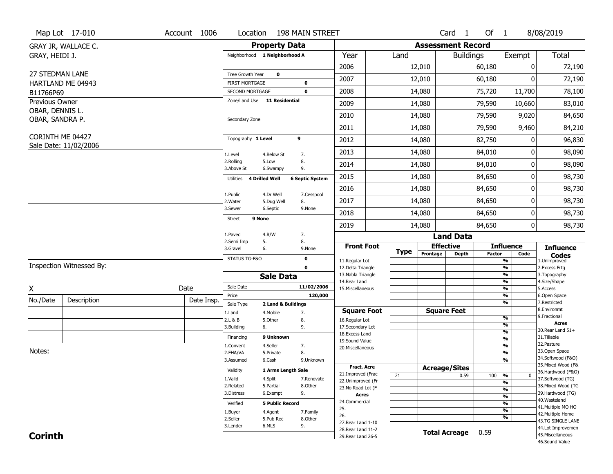|                             | Map Lot 17-010           | Account 1006      | Location                                 |                         | 198 MAIN STREET            |                                     |             |                          | Card <sub>1</sub> | Of 1          |                                | 8/08/2019                           |
|-----------------------------|--------------------------|-------------------|------------------------------------------|-------------------------|----------------------------|-------------------------------------|-------------|--------------------------|-------------------|---------------|--------------------------------|-------------------------------------|
|                             | GRAY JR, WALLACE C.      |                   |                                          | <b>Property Data</b>    |                            |                                     |             | <b>Assessment Record</b> |                   |               |                                |                                     |
| GRAY, HEIDI J.              |                          |                   | Neighborhood 1 Neighborhood A            |                         |                            | Year                                | Land        |                          | <b>Buildings</b>  |               | Exempt                         | <b>Total</b>                        |
|                             |                          |                   |                                          |                         |                            | 2006                                |             | 12,010                   |                   | 60,180        | $\mathbf{0}$                   | 72,190                              |
| <b>27 STEDMAN LANE</b>      |                          |                   | Tree Growth Year                         | $\bf{0}$                |                            | 2007                                |             | 12,010                   |                   | 60,180        | 0                              | 72,190                              |
|                             | HARTLAND ME 04943        |                   | <b>FIRST MORTGAGE</b><br>SECOND MORTGAGE |                         | $\mathbf 0$<br>$\mathbf 0$ | 2008                                |             | 14,080                   |                   | 75,720        | 11,700                         | 78,100                              |
| B11766P69<br>Previous Owner |                          |                   | Zone/Land Use 11 Residential             |                         |                            |                                     |             |                          |                   |               |                                |                                     |
| OBAR, DENNIS L.             |                          |                   |                                          |                         |                            | 2009                                |             | 14,080                   |                   | 79,590        | 10,660                         | 83,010                              |
| OBAR, SANDRA P.             |                          |                   | Secondary Zone                           |                         |                            | 2010                                |             | 14,080                   |                   | 79,590        | 9,020                          | 84,650                              |
|                             |                          |                   |                                          |                         |                            | 2011                                |             | 14,080                   |                   | 79,590        | 9,460                          | 84,210                              |
| CORINTH ME 04427            |                          |                   | Topography 1 Level                       |                         | 9                          | 2012                                |             | 14,080                   |                   | 82,750        | 0                              | 96,830                              |
|                             | Sale Date: 11/02/2006    |                   | 1.Level                                  | 4.Below St              | 7.                         | 2013                                |             | 14,080                   |                   | 84,010        | 0                              | 98,090                              |
|                             |                          |                   | 2.Rolling<br>3.Above St                  | 5.Low<br>6.Swampy       | 8.<br>9.                   | 2014                                |             | 14,080                   |                   | 84,010        | 0                              | 98,090                              |
|                             |                          |                   | <b>4 Drilled Well</b><br>Utilities       |                         | <b>6 Septic System</b>     | 2015                                |             | 14,080                   |                   | 84,650        | 0                              | 98,730                              |
|                             |                          |                   |                                          |                         |                            | 2016                                |             | 14,080                   |                   | 84,650        | 0                              | 98,730                              |
|                             |                          |                   | 1.Public<br>2. Water                     | 4.Dr Well<br>5.Dug Well | 7.Cesspool<br>8.           | 2017                                |             | 14,080                   |                   | 84,650        | 0                              | 98,730                              |
|                             |                          |                   | 3.Sewer                                  | 6.Septic                | 9.None                     | 2018                                |             | 14,080                   |                   | 84,650        | 0                              | 98,730                              |
|                             |                          |                   | 9 None<br><b>Street</b>                  |                         |                            | 2019                                |             | 14,080                   |                   | 84,650        | 0                              | 98,730                              |
|                             |                          |                   | 1.Paved<br>4.R/W                         |                         | 7.                         |                                     |             |                          | <b>Land Data</b>  |               |                                |                                     |
|                             |                          |                   | 2.Semi Imp<br>5.<br>3.Gravel<br>6.       |                         | 8.<br>9.None               | <b>Front Foot</b>                   |             | <b>Effective</b>         |                   |               | <b>Influence</b>               | <b>Influence</b>                    |
|                             |                          |                   | STATUS TG-F&O                            |                         | 0                          |                                     | <b>Type</b> | Frontage                 | <b>Depth</b>      | <b>Factor</b> | Code                           | <b>Codes</b>                        |
|                             | Inspection Witnessed By: |                   |                                          |                         | $\mathbf 0$                | 11.Regular Lot<br>12.Delta Triangle |             |                          |                   |               | $\frac{9}{6}$<br>$\frac{9}{6}$ | 1.Unimproved<br>2.Excess Frtg       |
|                             |                          |                   |                                          | <b>Sale Data</b>        |                            | 13. Nabla Triangle                  |             |                          |                   |               | $\frac{9}{6}$                  | 3. Topography                       |
| Χ                           |                          | Date              | Sale Date                                |                         | 11/02/2006                 | 14. Rear Land<br>15. Miscellaneous  |             |                          |                   |               | $\frac{9}{6}$<br>$\frac{9}{6}$ | 4.Size/Shape<br>5.Access            |
|                             |                          |                   | Price                                    |                         | 120,000                    |                                     |             |                          |                   |               | $\frac{9}{6}$                  | 6.Open Space                        |
| No./Date                    | Description              | Date Insp.        | Sale Type                                | 2 Land & Buildings      |                            |                                     |             |                          |                   |               | $\frac{9}{6}$                  | 7.Restricted                        |
|                             |                          |                   | 1.Land                                   | 4. Mobile               | 7.                         | <b>Square Foot</b>                  |             | <b>Square Feet</b>       |                   |               | $\frac{9}{6}$                  | 8.Environmt<br>9. Fractional        |
|                             |                          |                   | 2.L & B<br>3.Building<br>6.              | 5.Other                 | 8.<br>9.                   | 16.Regular Lot<br>17.Secondary Lot  |             |                          |                   |               | $\frac{9}{6}$                  | <b>Acres</b>                        |
|                             |                          |                   |                                          |                         |                            | 18.Excess Land                      |             |                          |                   |               | $\frac{9}{6}$                  | 30. Rear Land 51+                   |
|                             |                          |                   | Financing                                | 9 Unknown               |                            | 19.Sound Value                      |             |                          |                   |               | $\frac{9}{6}$                  | 31.Tillable<br>32.Pasture           |
| Notes:                      |                          |                   | 1.Convent<br>2.FHA/VA                    | 4.Seller<br>5.Private   | 7.<br>8.                   | 20. Miscellaneous                   |             |                          |                   |               | $\frac{9}{6}$<br>$\frac{9}{6}$ | 33.Open Space                       |
|                             |                          |                   | 3.Assumed                                | 6.Cash                  | 9.Unknown                  |                                     |             |                          |                   |               | $\frac{9}{6}$                  | 34.Softwood (F&O)                   |
|                             |                          |                   |                                          |                         |                            | <b>Fract. Acre</b>                  |             | <b>Acreage/Sites</b>     |                   |               |                                | 35. Mixed Wood (F&                  |
|                             |                          |                   | Validity                                 | 1 Arms Length Sale      |                            | 21.Improved (Frac                   | 21          |                          | 0.59              | 100           | %<br>$\mathbf{0}$              | 36.Hardwood (F&O)                   |
|                             |                          |                   | 1.Valid                                  | 4.Split                 | 7.Renovate                 | 22.Unimproved (Fr                   |             |                          |                   |               | %                              | 37.Softwood (TG)                    |
|                             |                          |                   | 2.Related<br>3.Distress                  | 5.Partial               | 8.Other<br>9.              | 23.No Road Lot (F                   |             |                          |                   |               | $\frac{9}{6}$                  | 38. Mixed Wood (TG                  |
|                             |                          |                   |                                          | 6.Exempt                |                            | <b>Acres</b>                        |             |                          |                   |               | $\frac{9}{6}$                  | 39.Hardwood (TG)<br>40. Wasteland   |
|                             |                          |                   | Verified                                 | <b>5 Public Record</b>  |                            | 24.Commercial                       |             |                          |                   |               | $\frac{9}{6}$                  | 41. Multiple MO HO                  |
|                             |                          |                   | 1.Buyer                                  | 4.Agent                 | 7.Family                   | 25.<br>26.                          |             |                          |                   |               | $\frac{9}{6}$                  | 42. Multiple Home                   |
|                             |                          |                   | 2.Seller                                 | 5.Pub Rec               | 8.Other                    | 27. Rear Land 1-10                  |             |                          |                   |               | %                              | 43.TG SINGLE LANE                   |
|                             |                          | 3.Lender<br>6.MLS |                                          | 9.                      |                            |                                     |             |                          |                   |               |                                |                                     |
|                             |                          |                   |                                          |                         |                            | 28. Rear Land 11-2                  |             |                          |                   |               |                                | 44.Lot Improvemen                   |
| <b>Corinth</b>              |                          |                   |                                          |                         |                            | 29. Rear Land 26-5                  |             | <b>Total Acreage</b>     |                   | 0.59          |                                | 45. Miscellaneous<br>46.Sound Value |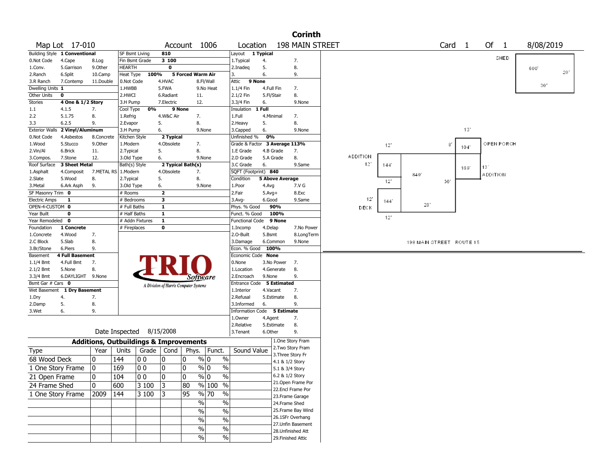|                                           |                        |                                                   |                       |                          |                                       |                           |                   |                          |                               |                        |                    | <b>Corinth</b>                       |                 |      |                          |                   |      |                 |      |           |     |
|-------------------------------------------|------------------------|---------------------------------------------------|-----------------------|--------------------------|---------------------------------------|---------------------------|-------------------|--------------------------|-------------------------------|------------------------|--------------------|--------------------------------------|-----------------|------|--------------------------|-------------------|------|-----------------|------|-----------|-----|
|                                           | Map Lot 17-010         |                                                   |                       |                          |                                       |                           | Account 1006      |                          | Location                      |                        |                    | <b>198 MAIN STREET</b>               |                 |      |                          | Card <sub>1</sub> |      | Of 1            |      | 8/08/2019 |     |
| Building Style 1 Conventional             |                        |                                                   | SF Bsmt Living        |                          | 810                                   |                           |                   |                          | Layout 1 Typical              |                        |                    |                                      |                 |      |                          |                   |      |                 |      |           |     |
| 0.Not Code                                | 4.Cape                 | 8.Log                                             | Fin Bsmt Grade        |                          | 3 100                                 |                           |                   |                          | 1. Typical                    | 4.                     |                    | 7.                                   |                 |      |                          |                   |      |                 | SHED |           |     |
| 1.Conv.                                   | 5.Garrison             | 9.Other                                           | <b>HEARTH</b>         |                          | $\mathbf 0$                           |                           |                   |                          | 2.Inadeq                      | 5.                     |                    | 8.                                   |                 |      |                          |                   |      |                 |      | 600       |     |
| 2.Ranch                                   | 6.Split                | 10.Camp                                           | Heat Type             | 100%                     |                                       |                           | 5 Forced Warm Air | 3.                       |                               | 6.                     |                    | 9.                                   |                 |      |                          |                   |      |                 |      |           | 20' |
| 3.R Ranch                                 | 7.Contemp              | 11.Double                                         | 0.Not Code            |                          | 4.HVAC                                |                           | 8.Fl/Wall         | Attic                    | 9 None                        |                        |                    |                                      |                 |      |                          |                   |      |                 |      | 30'       |     |
| Dwelling Units 1                          |                        |                                                   | 1.HWBB                |                          | 5.FWA                                 |                           | 9.No Heat         |                          | 1.1/4 Fin                     | 4.Full Fin             |                    | 7.                                   |                 |      |                          |                   |      |                 |      |           |     |
| Other Units                               | 0                      |                                                   | 2.HWCI                |                          | 6.Radiant                             |                           | 11.               |                          | 2.1/2 Fin                     | 5.Fl/Stair             |                    | 8.                                   |                 |      |                          |                   |      |                 |      |           |     |
| <b>Stories</b>                            | 4 One & 1/2 Story      |                                                   | 3.H Pump              |                          | 7.Electric                            |                           | 12.               |                          | 3.3/4 Fin                     | 6.                     |                    | 9.None                               |                 |      |                          |                   |      |                 |      |           |     |
| 1.1                                       | 4.1.5                  | 7.                                                | Cool Type             | 0%                       | 9 None                                |                           |                   |                          | Insulation                    | 1 Full                 |                    |                                      |                 |      |                          |                   |      |                 |      |           |     |
| 2.2                                       | 5.1.75                 | 8.                                                | 1.Refrig              |                          | 4.W&C Air                             |                           | 7.                | 1.Full                   |                               | 4.Minimal              |                    | 7.                                   |                 |      |                          |                   |      |                 |      |           |     |
| 3.3                                       | 6.2.5                  | 9.                                                | 2.Evapor              |                          | 5.                                    |                           | 8.                |                          | 2. Heavy                      | 5.                     |                    | 8.                                   |                 |      |                          |                   |      |                 |      |           |     |
| Exterior Walls 2 Vinyl/Aluminum           |                        |                                                   | 3.H Pump              |                          | 6.                                    |                           | 9.None            |                          | 3.Capped                      | 6.                     |                    | 9.None                               |                 |      |                          |                   | 13'  |                 |      |           |     |
| 0.Not Code                                | 4.Asbestos             | 8.Concrete                                        | Kitchen Style         |                          | 2 Typical                             |                           |                   |                          | Unfinished %                  | 0%                     |                    |                                      |                 |      |                          |                   |      |                 |      |           |     |
| 1.Wood                                    | 5.Stucco               | 9.Other                                           | 1.Modern              |                          | 4.Obsolete                            |                           | 7.                |                          | Grade & Factor 3 Average 113% |                        |                    |                                      |                 | 12"  |                          | 8                 | 104' | OPEN PORCH      |      |           |     |
| 2.Vin/Al                                  | 6.Brick                | 11.                                               | 2.Typical             |                          | 5.                                    |                           | 8.                |                          | 1.E Grade                     | 4.B Grade              |                    | 7.                                   | <b>ADDITION</b> |      |                          |                   |      |                 |      |           |     |
| 3.Compos.                                 | 7.Stone                | 12.                                               | 3.Old Type            |                          | 6.                                    |                           | 9.None            |                          | 2.D Grade                     | 5.A Grade              |                    | 8.                                   | 12'             |      |                          |                   |      |                 |      |           |     |
| Roof Surface                              | 3 Sheet Metal          |                                                   | Bath(s) Style         |                          | 2 Typical Bath(s)                     |                           |                   |                          | 3.C Grade                     | 6.                     |                    | 9.Same                               |                 | 144' |                          |                   | 169  | 13'             |      |           |     |
| 1.Asphalt                                 | 4.Composit             | 7.METAL RS   1.Modern                             |                       |                          | 4.Obsolete                            |                           | 7.                |                          | SQFT (Footprint) 840          |                        |                    |                                      |                 |      | 840'                     |                   |      | <b>ADDITION</b> |      |           |     |
| 2.Slate                                   | 5.Wood                 | 8.                                                | 2.Typical             |                          | 5.                                    |                           | 8.                |                          | Condition                     | <b>5 Above Average</b> |                    |                                      |                 | 12"  |                          | 30'               |      |                 |      |           |     |
| 3.Metal                                   | 6.Ark Asph             | 9.                                                | 3.Old Type            |                          | 6.<br>$\overline{\mathbf{2}}$         |                           | 9.None            |                          | 1.Poor                        | 4.Avg                  |                    | 7.V G                                |                 |      |                          |                   |      |                 |      |           |     |
| SF Masonry Trim 0<br><b>Electric Amps</b> | $\mathbf{1}$           |                                                   | # Rooms<br># Bedrooms |                          | 3                                     |                           |                   | 2.Fair                   | $3.$ Avg-                     | $5.Avg+$<br>6.Good     |                    | 8.Exc<br>9.Same                      | $12^{\circ}$    |      |                          |                   |      |                 |      |           |     |
| OPEN-4-CUSTOM 0                           |                        |                                                   | # Full Baths          |                          | $\mathbf{1}$                          |                           |                   |                          | Phys. % Good                  |                        | 90%                |                                      |                 | 144' | 28'                      |                   |      |                 |      |           |     |
| Year Built                                | $\mathbf 0$            |                                                   | # Half Baths          |                          | $\mathbf{1}$                          |                           |                   |                          | Funct. % Good                 |                        | 100%               |                                      | DECK            |      |                          |                   |      |                 |      |           |     |
| Year Remodeled 0                          |                        |                                                   |                       | # Addn Fixtures          | $\mathbf{1}$                          |                           |                   |                          | Functional Code               |                        | 9 None             |                                      |                 | 12"  |                          |                   |      |                 |      |           |     |
| Foundation                                | 1 Concrete             |                                                   | # Fireplaces          |                          | 0                                     |                           |                   |                          | 1.Incomp                      | 4.Delap                |                    | 7.No Power                           |                 |      |                          |                   |      |                 |      |           |     |
| 1.Concrete                                | 4.Wood                 | 7.                                                |                       |                          |                                       |                           |                   |                          | 2.O-Built                     | 5.Bsmt                 |                    | 8.LongTerm                           |                 |      |                          |                   |      |                 |      |           |     |
| 2.C Block                                 | 5.Slab                 | 8.                                                |                       |                          |                                       |                           |                   |                          | 3.Damage                      | 6.Common               |                    | 9.None                               |                 |      | 198 MAIN STREET ROUTE 15 |                   |      |                 |      |           |     |
| 3.Br/Stone                                | 6.Piers                | 9.                                                |                       |                          |                                       |                           |                   |                          | Econ. % Good                  | 100%                   |                    |                                      |                 |      |                          |                   |      |                 |      |           |     |
| Basement                                  | <b>4 Full Basement</b> |                                                   |                       |                          |                                       |                           |                   |                          | Economic Code None            |                        |                    |                                      |                 |      |                          |                   |      |                 |      |           |     |
| $1.1/4$ Bmt                               | 4.Full Bmt             | 7.                                                |                       |                          |                                       |                           |                   |                          | 0.None                        |                        | 3.No Power         | 7.                                   |                 |      |                          |                   |      |                 |      |           |     |
| 2.1/2 Bmt                                 | 5.None                 | 8.                                                |                       |                          |                                       |                           |                   |                          | 1.Location                    | 4.Generate             |                    | 8.                                   |                 |      |                          |                   |      |                 |      |           |     |
| 3.3/4 Bmt                                 | 6.DAYLIGHT 9.None      |                                                   |                       |                          |                                       |                           | Software          |                          | 2.Encroach                    | 9.None                 |                    | 9.                                   |                 |      |                          |                   |      |                 |      |           |     |
| Bsmt Gar # Cars 0                         |                        |                                                   |                       |                          | A Division of Harris Computer Systems |                           |                   |                          | Entrance Code                 |                        | <b>5 Estimated</b> |                                      |                 |      |                          |                   |      |                 |      |           |     |
| Wet Basement 1 Dry Basement               |                        |                                                   |                       |                          |                                       |                           |                   |                          | 1.Interior                    | 4.Vacant               |                    | 7.                                   |                 |      |                          |                   |      |                 |      |           |     |
| 1.Dry                                     | 4.                     | 7.                                                |                       |                          |                                       |                           |                   |                          | 2.Refusal                     | 5.Estimate             |                    | 8.                                   |                 |      |                          |                   |      |                 |      |           |     |
| 2.Damp                                    | 5.                     | 8.                                                |                       |                          |                                       |                           |                   |                          | 3.Informed                    | 6.                     |                    | 9.                                   |                 |      |                          |                   |      |                 |      |           |     |
| 3.Wet                                     | 6.                     | 9.                                                |                       |                          |                                       |                           |                   |                          | <b>Information Code</b>       |                        | <b>5 Estimate</b>  |                                      |                 |      |                          |                   |      |                 |      |           |     |
|                                           |                        |                                                   |                       |                          |                                       |                           |                   |                          | 1.0wner                       | 4.Agent                |                    | 7.                                   |                 |      |                          |                   |      |                 |      |           |     |
|                                           |                        |                                                   |                       |                          |                                       |                           |                   |                          | 2.Relative                    | 5.Estimate             |                    | 8.                                   |                 |      |                          |                   |      |                 |      |           |     |
|                                           |                        |                                                   |                       | Date Inspected 8/15/2008 |                                       |                           |                   |                          | 3. Tenant                     | 6.Other                |                    | 9.                                   |                 |      |                          |                   |      |                 |      |           |     |
|                                           |                        | <b>Additions, Outbuildings &amp; Improvements</b> |                       |                          |                                       |                           |                   |                          |                               |                        |                    | 1.One Story Fram                     |                 |      |                          |                   |      |                 |      |           |     |
| <b>Type</b>                               |                        | Year                                              | Units                 | Grade   Cond             |                                       | Phys.                     | Funct.            |                          | Sound Value                   |                        |                    | 2. Two Story Fram                    |                 |      |                          |                   |      |                 |      |           |     |
| 68 Wood Deck                              |                        | 10                                                | 144                   | 00                       | 0                                     | 0                         | % 0               | $\%$                     |                               |                        |                    | 3. Three Story Fr<br>4.1 & 1/2 Story |                 |      |                          |                   |      |                 |      |           |     |
| 1 One Story Frame                         |                        | 10                                                | 169                   | 00                       | 10                                    | 0                         | $\%$ 0            | $\%$                     |                               |                        |                    | 5.1 & 3/4 Story                      |                 |      |                          |                   |      |                 |      |           |     |
| 21 Open Frame                             |                        | 0                                                 | $\sqrt{104}$          | $ 00\rangle$             | $ 0\rangle$                           | $\overline{\mathfrak{o}}$ | $\sqrt[6]{0}$     | $\frac{9}{6}$            |                               |                        |                    | 6.2 & 1/2 Story                      |                 |      |                          |                   |      |                 |      |           |     |
|                                           |                        |                                                   |                       |                          |                                       |                           |                   |                          |                               |                        |                    | 21. Open Frame Por                   |                 |      |                          |                   |      |                 |      |           |     |
| 24 Frame Shed                             |                        | 10                                                | 600                   | 3 100                    | 3                                     | 80                        | % 100 %           |                          |                               |                        |                    | 22.Encl Frame Por                    |                 |      |                          |                   |      |                 |      |           |     |
| 1 One Story Frame                         |                        | 2009                                              | 144                   | 3 100                    | 13                                    | 95                        | $\frac{9}{6}$ 70  | $\frac{0}{0}$            |                               |                        |                    | 23. Frame Garage                     |                 |      |                          |                   |      |                 |      |           |     |
|                                           |                        |                                                   |                       |                          |                                       |                           | $\%$              | $\%$                     |                               |                        |                    | 24.Frame Shed                        |                 |      |                          |                   |      |                 |      |           |     |
|                                           |                        |                                                   |                       |                          |                                       |                           | $\%$              | $\%$                     |                               |                        |                    | 25. Frame Bay Wind                   |                 |      |                          |                   |      |                 |      |           |     |
|                                           |                        |                                                   |                       |                          |                                       |                           | $\%$              | $\overline{\frac{0}{0}}$ |                               |                        |                    | 26.1SFr Overhang                     |                 |      |                          |                   |      |                 |      |           |     |
|                                           |                        |                                                   |                       |                          |                                       |                           | $\sqrt{6}$        | $\sqrt{6}$               |                               |                        |                    | 27.Unfin Basement                    |                 |      |                          |                   |      |                 |      |           |     |
|                                           |                        |                                                   |                       |                          |                                       |                           |                   |                          |                               |                        |                    | 28. Unfinished Att                   |                 |      |                          |                   |      |                 |      |           |     |
|                                           |                        |                                                   |                       |                          |                                       |                           | $\%$              | $\%$                     |                               |                        |                    | 29. Finished Attic                   |                 |      |                          |                   |      |                 |      |           |     |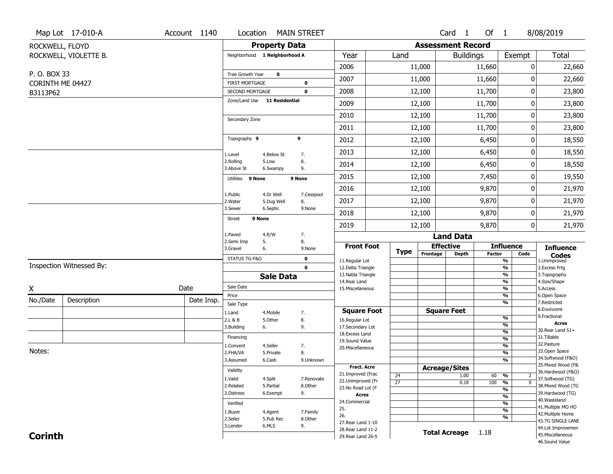|                  | Map Lot 17-010-A         | Account 1140 | Location                                 |                               | <b>MAIN STREET</b>         |                                          |                 |                          | Card <sub>1</sub>    | Of 1          |                                           | 8/08/2019                               |
|------------------|--------------------------|--------------|------------------------------------------|-------------------------------|----------------------------|------------------------------------------|-----------------|--------------------------|----------------------|---------------|-------------------------------------------|-----------------------------------------|
| ROCKWELL, FLOYD  |                          |              |                                          | <b>Property Data</b>          |                            |                                          |                 | <b>Assessment Record</b> |                      |               |                                           |                                         |
|                  | ROCKWELL, VIOLETTE B.    |              |                                          | Neighborhood 1 Neighborhood A |                            | Year                                     | Land            |                          | <b>Buildings</b>     |               | Exempt                                    | <b>Total</b>                            |
|                  |                          |              |                                          |                               |                            | 2006                                     |                 | 11,000                   |                      | 11,660        | 0                                         | 22,660                                  |
| P.O. BOX 33      |                          |              | Tree Growth Year                         | $\mathbf 0$                   |                            | 2007                                     |                 | 11,000                   |                      | 11,660        | 0                                         | 22,660                                  |
| CORINTH ME 04427 |                          |              | <b>FIRST MORTGAGE</b><br>SECOND MORTGAGE |                               | $\mathbf 0$<br>$\mathbf 0$ | 2008                                     |                 | 12,100                   |                      | 11,700        | 0                                         | 23,800                                  |
| B3113P62         |                          |              |                                          | Zone/Land Use 11 Residential  |                            |                                          |                 |                          |                      |               |                                           |                                         |
|                  |                          |              |                                          |                               |                            | 2009                                     |                 | 12,100                   |                      | 11,700        | 0                                         | 23,800                                  |
|                  |                          |              | Secondary Zone                           |                               |                            | 2010                                     |                 | 12,100                   |                      | 11,700        | 0                                         | 23,800                                  |
|                  |                          |              |                                          |                               |                            | 2011                                     |                 | 12,100                   |                      | 11,700        | 0                                         | 23,800                                  |
|                  |                          |              | Topography 9                             |                               | 9                          | 2012                                     |                 | 12,100                   |                      | 6,450         | 0                                         | 18,550                                  |
|                  |                          |              | 1.Level                                  | 4.Below St                    | 7.                         | 2013                                     |                 | 12,100                   |                      | 6,450         | 0                                         | 18,550                                  |
|                  |                          |              | 2.Rolling<br>3.Above St                  | 5.Low<br>6.Swampy             | 8.<br>9.                   | 2014                                     |                 | 12,100                   |                      | 6,450         | 0                                         | 18,550                                  |
|                  |                          |              | Utilities 9 None                         |                               | 9 None                     | 2015                                     |                 | 12,100                   |                      | 7,450         | 0                                         | 19,550                                  |
|                  |                          |              |                                          |                               |                            | 2016                                     |                 | 12,100                   |                      | 9,870         | 0                                         | 21,970                                  |
|                  |                          |              | 1.Public<br>2.Water                      | 4.Dr Well<br>5.Dug Well       | 7.Cesspool<br>8.           | 2017                                     |                 | 12,100                   |                      | 9,870         | 0                                         | 21,970                                  |
|                  |                          |              | 3.Sewer                                  | 6.Septic                      | 9.None                     | 2018                                     |                 | 12,100                   |                      | 9,870         | 0                                         | 21,970                                  |
|                  |                          |              | <b>Street</b>                            | 9 None                        |                            | 2019                                     |                 | 12,100                   |                      | 9,870         | 0                                         | 21,970                                  |
|                  |                          |              | 1.Paved                                  | 4.R/W                         | 7.                         |                                          |                 |                          | <b>Land Data</b>     |               |                                           |                                         |
|                  |                          |              | 2.Semi Imp<br>3.Gravel                   | 5.<br>6.                      | 8.<br>9.None               | <b>Front Foot</b>                        |                 | <b>Effective</b>         |                      |               | <b>Influence</b>                          | <b>Influence</b>                        |
|                  |                          |              | STATUS TG-F&O                            |                               | $\mathbf 0$                | 11.Regular Lot                           | <b>Type</b>     | Frontage                 | <b>Depth</b>         | <b>Factor</b> | Code<br>$\frac{9}{6}$                     | <b>Codes</b><br>1.Unimproved            |
|                  | Inspection Witnessed By: |              |                                          |                               | $\mathbf 0$                | 12.Delta Triangle                        |                 |                          |                      |               | $\frac{9}{6}$                             | 2.Excess Frtg                           |
|                  |                          |              |                                          | <b>Sale Data</b>              |                            | 13. Nabla Triangle<br>14. Rear Land      |                 |                          |                      |               | $\frac{9}{6}$<br>$\frac{9}{6}$            | 3. Topography<br>4.Size/Shape           |
| X                |                          | Date         | Sale Date                                |                               |                            | 15. Miscellaneous                        |                 |                          |                      |               | $\frac{9}{6}$                             | 5.Access                                |
| No./Date         | Description              | Date Insp.   | Price                                    |                               |                            |                                          |                 |                          |                      |               | $\overline{\frac{9}{6}}$                  | 6.Open Space                            |
|                  |                          |              | Sale Type                                |                               |                            | <b>Square Foot</b>                       |                 | <b>Square Feet</b>       |                      |               | $\frac{9}{6}$                             | 7.Restricted<br>8.Environmt             |
|                  |                          |              | 1.Land<br>2.L & B                        | 4. Mobile<br>5.Other          | 7.<br>8.                   | 16.Regular Lot                           |                 |                          |                      |               | %                                         | 9. Fractional                           |
|                  |                          |              | 3.Building                               | 6.                            | 9.                         | 17.Secondary Lot                         |                 |                          |                      |               | %                                         | <b>Acres</b><br>30. Rear Land 51+       |
|                  |                          |              | Financing                                |                               |                            | 18.Excess Land                           |                 |                          |                      |               | $\frac{9}{6}$<br>$\overline{\frac{9}{6}}$ | 31.Tillable                             |
|                  |                          |              | 1.Convent                                | 4.Seller                      | 7.                         | 19.Sound Value                           |                 |                          |                      |               | $\frac{9}{6}$                             | 32. Pasture                             |
| Notes:           |                          |              | 2.FHA/VA                                 | 5.Private                     | 8.                         | 20.Miscellaneous                         |                 |                          |                      |               | $\overline{\frac{9}{6}}$                  | 33.Open Space                           |
|                  |                          |              | 3.Assumed                                | 6.Cash                        | 9.Unknown                  |                                          |                 |                          |                      |               | $\frac{9}{6}$                             | 34.Softwood (F&O)                       |
|                  |                          |              | Validity                                 |                               |                            | <b>Fract, Acre</b>                       |                 | <b>Acreage/Sites</b>     |                      |               |                                           | 35. Mixed Wood (F&<br>36.Hardwood (F&O) |
|                  |                          |              | 1.Valid                                  | 4.Split                       | 7.Renovate                 | 21.Improved (Frac                        | 24              |                          | 1.00                 | 60 %          | $\overline{2}$                            | 37.Softwood (TG)                        |
|                  |                          |              | 2.Related                                | 5.Partial                     | 8.Other                    | 22.Unimproved (Fr<br>23.No Road Lot (F   | $\overline{27}$ |                          | 0.18                 | 100           | $\overline{0}$<br>$\frac{9}{6}$           | 38. Mixed Wood (TG                      |
|                  |                          |              |                                          |                               |                            |                                          |                 |                          |                      |               |                                           |                                         |
|                  |                          |              | 3.Distress                               | 6.Exempt                      | 9.                         |                                          |                 |                          |                      |               | $\overline{\frac{9}{6}}$                  | 39.Hardwood (TG)                        |
|                  |                          |              |                                          |                               |                            | <b>Acres</b><br>24.Commercial            |                 |                          |                      |               | $\overline{\frac{9}{6}}$                  | 40. Wasteland                           |
|                  |                          |              | Verified                                 |                               |                            | 25.                                      |                 |                          |                      |               | $\overline{\frac{9}{6}}$                  | 41. Multiple MO HO                      |
|                  |                          |              | 1.Buyer                                  | 4.Agent                       | 7.Family                   | 26.                                      |                 |                          |                      |               | $\overline{\frac{9}{6}}$<br>$\frac{9}{6}$ | 42. Multiple Home                       |
|                  |                          |              | 2.Seller                                 | 5.Pub Rec                     | 8.Other                    | 27. Rear Land 1-10                       |                 |                          |                      |               |                                           | 43.TG SINGLE LANE                       |
| <b>Corinth</b>   |                          |              | 3.Lender                                 | 6.MLS                         | 9.                         | 28. Rear Land 11-2<br>29. Rear Land 26-5 |                 |                          | <b>Total Acreage</b> | 1.18          |                                           | 44.Lot Improvemen<br>45. Miscellaneous  |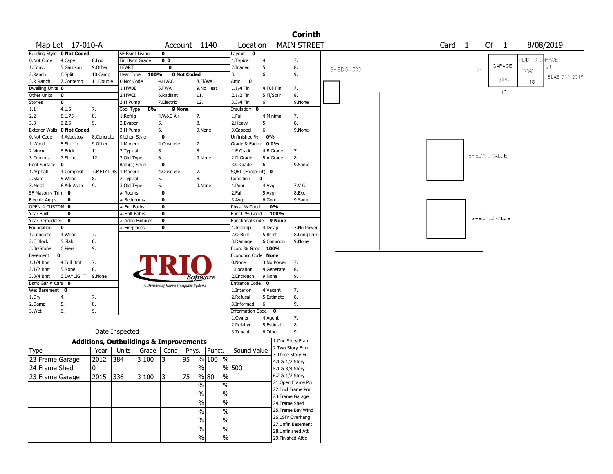|                       |                            |                                                   |                 |       |                         |                                       |                                |                        |              |                   | <b>Corinth</b>     |            |  |                   |               |              |        |       |                              |               |  |
|-----------------------|----------------------------|---------------------------------------------------|-----------------|-------|-------------------------|---------------------------------------|--------------------------------|------------------------|--------------|-------------------|--------------------|------------|--|-------------------|---------------|--------------|--------|-------|------------------------------|---------------|--|
|                       | Map Lot 17-010-A           |                                                   |                 |       |                         | Account 1140                          |                                | Location               |              |                   | <b>MAIN STREET</b> |            |  | Card <sub>1</sub> |               | Of 1         |        |       | 8/08/2019                    |               |  |
|                       | Building Style 0 Not Coded |                                                   | SF Bsmt Living  |       | $\mathbf 0$             |                                       |                                | Layout<br>$\mathbf{o}$ |              |                   |                    |            |  |                   |               |              |        |       |                              |               |  |
| 0.Not Code            | 4.Cape                     | 8.Log                                             | Fin Bsmt Grade  |       | 0 <sub>0</sub>          |                                       |                                | 1. Typical             | 4.           |                   | 7.                 |            |  |                   |               |              |        |       | ADD TO G <mark>a</mark> RAGE |               |  |
| 1.Conv.               | 5.Garrison                 | 9.0ther                                           | <b>HEARTH</b>   |       | 0                       |                                       |                                | 2.Inadeg               | 5.           |                   | 8.                 | SHED SM600 |  |                   | 21            |              | GARAGE |       | 21                           |               |  |
| 2.Ranch               | 6.Split                    | 10.Camp                                           | Heat Type       | 100%  |                         | 0 Not Coded                           |                                | 3.                     | 6.           |                   | 9.                 |            |  |                   |               |              |        | [336] |                              | SLABIONY 2015 |  |
| 3.R Ranch             | 7.Contemp                  | 11.Double                                         | 0.Not Code      |       | 4.HVAC                  |                                       | 8.Fl/Wall                      | Attic<br>$\bullet$     |              |                   |                    |            |  |                   |               |              | 336    | 16    |                              |               |  |
| Dwelling Units 0      |                            |                                                   | 1.HWBB          |       | 5.FWA                   |                                       | 9.No Heat                      | 1.1/4 Fin              | 4.Full Fin   |                   | 7.                 |            |  |                   |               |              | 16     |       |                              |               |  |
| Other Units           | 0                          |                                                   | 2.HWCI          |       | 6.Radiant               | 11.                                   |                                | 2.1/2 Fin              | 5.Fl/Stair   |                   | 8.                 |            |  |                   |               |              |        |       |                              |               |  |
| Stories               | 0                          |                                                   | 3.H Pump        |       | 7.Electric              | 12.                                   |                                | 3.3/4 Fin              | 6.           |                   | 9.None             |            |  |                   |               |              |        |       |                              |               |  |
| 1.1                   | 4.1.5                      | 7.                                                | Cool Type       | 0%    |                         | 9 None                                |                                | Insulation 0           |              |                   |                    |            |  |                   |               |              |        |       |                              |               |  |
| 2.2                   | 5.1.75                     | 8.                                                | 1.Refrig        |       | 4.W&C Air               | 7.                                    |                                | 1.Full                 | 4.Minimal    |                   | 7.                 |            |  |                   |               |              |        |       |                              |               |  |
| 3.3                   | 6.2.5                      | 9.                                                | 2.Evapor        |       | 5.                      | 8.                                    |                                | 2.Heavy                | 5.           |                   | 8.                 |            |  |                   |               |              |        |       |                              |               |  |
| <b>Exterior Walls</b> | 0 Not Coded                |                                                   | 3.H Pump        |       | 6.                      |                                       | 9.None                         | 3.Capped               | 6.           |                   | 9.None             |            |  |                   |               |              |        |       |                              |               |  |
| 0.Not Code            | 4.Asbestos                 | 8.Concrete                                        | Kitchen Style   |       | $\mathbf 0$             |                                       |                                | Unfinished %           | 0%           |                   |                    |            |  |                   |               |              |        |       |                              |               |  |
| 1.Wood                | 5.Stucco                   | 9.0ther                                           | 1.Modern        |       | 4.Obsolete              | 7.                                    |                                | Grade & Factor         | 00%          |                   |                    |            |  |                   |               |              |        |       |                              |               |  |
| 2.Vin/Al              | 6.Brick                    | 11.                                               | 2. Typical      |       | 5.                      | 8.                                    |                                | 1.E Grade              | 4.B Grade    |                   | 7.                 |            |  |                   | SHED NO VALUE |              |        |       |                              |               |  |
| 3.Compos.             | 7.Stone                    | 12.                                               | 3.Old Type      |       | 6.                      |                                       | 9.None                         | 2.D Grade              |              | 5.A Grade         | 8.                 |            |  |                   |               |              |        |       |                              |               |  |
| Roof Surface          | $\mathbf{o}$               |                                                   | Bath(s) Style   |       | $\bf{0}$                |                                       |                                | 3.C Grade              | 6.           |                   | 9.Same             |            |  |                   |               |              |        |       |                              |               |  |
| 1.Asphalt             | 4.Composit                 | 7.METAL RS                                        | 1.Modern        |       | 4.Obsolete              | 7.                                    |                                | SQFT (Footprint) 0     |              |                   |                    |            |  |                   |               |              |        |       |                              |               |  |
| 2.Slate               | 5.Wood                     | 8.                                                | 2. Typical      |       | 5.                      | 8.                                    |                                | Condition              | 0            |                   |                    |            |  |                   |               |              |        |       |                              |               |  |
| 3.Metal               | 6.Ark Asph                 | 9.                                                | 3.Old Type      |       | 6.                      |                                       | 9.None                         | 1.Poor                 | 4.Avg        |                   | 7.V G              |            |  |                   |               |              |        |       |                              |               |  |
| SF Masonry Trim 0     |                            |                                                   | $#$ Rooms       |       | $\bf{0}$                |                                       |                                | 2.Fair                 | $5.$ Avg $+$ |                   | 8.Exc              |            |  |                   |               |              |        |       |                              |               |  |
| <b>Electric Amps</b>  | 0                          |                                                   | # Bedrooms      |       | $\bf{0}$                |                                       |                                | $3.$ Avg-              | 6.Good       |                   | 9.Same             |            |  |                   |               |              |        |       |                              |               |  |
| OPEN-4-CUSTOM 0       |                            |                                                   | # Full Baths    |       | $\mathbf 0$             |                                       |                                | Phys. % Good           |              | 0%                |                    |            |  |                   |               |              |        |       |                              |               |  |
| Year Built            | 0                          |                                                   | # Half Baths    |       | $\mathbf 0$             |                                       |                                | Funct. % Good          |              | 100%              |                    |            |  |                   |               |              |        |       |                              |               |  |
| Year Remodeled 0      |                            |                                                   | # Addn Fixtures |       | $\overline{\mathbf{0}}$ |                                       |                                | Functional Code 9 None |              |                   |                    |            |  |                   |               | SHEDNO VALUE |        |       |                              |               |  |
| Foundation            | 0                          |                                                   | # Fireplaces    |       | $\mathbf 0$             |                                       |                                | 1.Incomp               | 4.Delap      |                   | 7.No Power         |            |  |                   |               |              |        |       |                              |               |  |
| 1.Concrete            | 4.Wood                     | 7.                                                |                 |       |                         |                                       |                                | 2.0-Built              | 5.Bsmt       |                   | 8.LongTerm         |            |  |                   |               |              |        |       |                              |               |  |
| 2.C Block             | 5.Slab                     | 8.                                                |                 |       |                         |                                       |                                | 3.Damage               |              | 6.Common          | 9.None             |            |  |                   |               |              |        |       |                              |               |  |
| 3.Br/Stone            | 6.Piers                    | 9.                                                |                 |       |                         |                                       |                                | Econ. % Good 100%      |              |                   |                    |            |  |                   |               |              |        |       |                              |               |  |
| Basement              | 0                          |                                                   |                 |       |                         |                                       |                                | Economic Code None     |              |                   |                    |            |  |                   |               |              |        |       |                              |               |  |
| 1.1/4 Bmt             | 4.Full Bmt                 | 7.                                                |                 |       |                         |                                       |                                | 0.None                 |              | 3.No Power        | 7.                 |            |  |                   |               |              |        |       |                              |               |  |
| $2.1/2$ Bmt           | 5.None                     | 8.                                                |                 |       |                         |                                       |                                | 1.Location             |              | 4.Generate        | 8.                 |            |  |                   |               |              |        |       |                              |               |  |
| 3.3/4 Bmt             | 6.DAYLIGHT 9.None          |                                                   |                 |       |                         | <i>Software</i>                       |                                | 2.Encroach             | 9.None       |                   | 9.                 |            |  |                   |               |              |        |       |                              |               |  |
| Bsmt Gar # Cars 0     |                            |                                                   |                 |       |                         | A Division of Harris Computer Systems |                                | Entrance Code          | $\mathbf 0$  |                   |                    |            |  |                   |               |              |        |       |                              |               |  |
| Wet Basement 0        |                            |                                                   |                 |       |                         |                                       |                                | 1.Interior             | 4.Vacant     |                   | 7.                 |            |  |                   |               |              |        |       |                              |               |  |
| 1.Dry                 | 4.                         | 7.                                                |                 |       |                         |                                       |                                | 2.Refusal              |              | 5.Estimate        | 8.                 |            |  |                   |               |              |        |       |                              |               |  |
| 2.Damp                | 5.                         | 8.                                                |                 |       |                         |                                       |                                | 3.Informed             | 6.           |                   | 9.                 |            |  |                   |               |              |        |       |                              |               |  |
| 3.Wet                 | 6.                         | 9.                                                |                 |       |                         |                                       |                                | Information Code 0     |              |                   |                    |            |  |                   |               |              |        |       |                              |               |  |
|                       |                            |                                                   |                 |       |                         |                                       |                                | 1.0wner                | 4.Agent      |                   | 7.                 |            |  |                   |               |              |        |       |                              |               |  |
|                       |                            |                                                   |                 |       |                         |                                       |                                | 2.Relative             |              | 5.Estimate        | 8.                 |            |  |                   |               |              |        |       |                              |               |  |
|                       |                            |                                                   | Date Inspected  |       |                         |                                       |                                | 3.Tenant               | 6.Other      |                   | 9.                 |            |  |                   |               |              |        |       |                              |               |  |
|                       |                            | <b>Additions, Outbuildings &amp; Improvements</b> |                 |       |                         |                                       |                                |                        |              |                   | 1.One Story Fram   |            |  |                   |               |              |        |       |                              |               |  |
| Type                  |                            | Year                                              | Units           | Grade | Cond                    | Phys.                                 | Funct.                         | Sound Value            |              |                   | 2. Two Story Fram  |            |  |                   |               |              |        |       |                              |               |  |
| 23 Frame Garage       |                            | 2012                                              | 384             | 3 100 | 13                      | 95                                    | % 100 %                        |                        |              | 3. Three Story Fr |                    |            |  |                   |               |              |        |       |                              |               |  |
|                       |                            |                                                   |                 |       |                         |                                       |                                |                        |              | 4.1 & 1/2 Story   |                    |            |  |                   |               |              |        |       |                              |               |  |
| 24 Frame Shed         |                            | 0                                                 |                 |       |                         | $\%$                                  |                                | % 500                  |              | 5.1 & 3/4 Story   |                    |            |  |                   |               |              |        |       |                              |               |  |
| 23 Frame Garage       |                            | 2015                                              | 336             | 3100  | $\overline{3}$          | $\overline{75}$                       | $\sqrt{8}$ 80<br>$\frac{9}{6}$ |                        |              | 6.2 & 1/2 Story   |                    |            |  |                   |               |              |        |       |                              |               |  |
|                       |                            |                                                   |                 |       |                         | $\%$                                  | $\%$                           |                        |              |                   | 21.Open Frame Por  |            |  |                   |               |              |        |       |                              |               |  |
|                       |                            |                                                   |                 |       |                         | $\frac{0}{6}$                         | $\overline{\frac{0}{6}}$       |                        |              |                   | 22.Encl Frame Por  |            |  |                   |               |              |        |       |                              |               |  |
|                       |                            |                                                   |                 |       |                         |                                       |                                |                        |              |                   | 23. Frame Garage   |            |  |                   |               |              |        |       |                              |               |  |
|                       |                            |                                                   |                 |       |                         | $\sqrt{6}$                            | $\%$                           |                        |              | 24.Frame Shed     |                    |            |  |                   |               |              |        |       |                              |               |  |
|                       |                            |                                                   |                 |       |                         | $\sqrt{20}$                           | $\%$                           |                        |              |                   | 25.Frame Bay Wind  |            |  |                   |               |              |        |       |                              |               |  |
|                       |                            |                                                   |                 |       |                         | $\%$                                  | $\%$                           |                        |              |                   | 26.1SFr Overhang   |            |  |                   |               |              |        |       |                              |               |  |
|                       |                            |                                                   |                 |       |                         | $\sqrt{6}$                            | $\frac{1}{2}$                  |                        |              |                   | 27.Unfin Basement  |            |  |                   |               |              |        |       |                              |               |  |
|                       |                            |                                                   |                 |       |                         |                                       |                                |                        |              |                   | 28.Unfinished Att  |            |  |                   |               |              |        |       |                              |               |  |
|                       |                            |                                                   |                 |       |                         | $\sqrt{20}$                           | $\sqrt{6}$                     |                        |              |                   | 29. Finished Attic |            |  |                   |               |              |        |       |                              |               |  |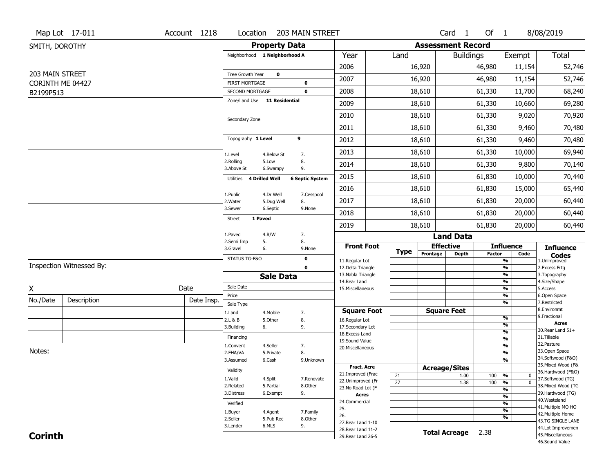|                               | Map Lot 17-011           | Account 1218 | Location                                 |                        | 203 MAIN STREET            |                                          |                       |                              | Card <sub>1</sub>    | Of 1          |                                                 | 8/08/2019                               |
|-------------------------------|--------------------------|--------------|------------------------------------------|------------------------|----------------------------|------------------------------------------|-----------------------|------------------------------|----------------------|---------------|-------------------------------------------------|-----------------------------------------|
| SMITH, DOROTHY                |                          |              |                                          | <b>Property Data</b>   |                            |                                          |                       | <b>Assessment Record</b>     |                      |               |                                                 |                                         |
|                               |                          |              | Neighborhood 1 Neighborhood A            |                        |                            | Year                                     | Land                  |                              | <b>Buildings</b>     |               | Exempt                                          | Total                                   |
|                               |                          |              |                                          |                        |                            | 2006                                     |                       | 16,920                       |                      | 46,980        | 11,154                                          | 52,746                                  |
| 203 MAIN STREET               |                          |              | Tree Growth Year                         | $\mathbf 0$            |                            | 2007                                     |                       | 16,920                       |                      | 46,980        | 11,154                                          | 52,746                                  |
| CORINTH ME 04427<br>B2199P513 |                          |              | <b>FIRST MORTGAGE</b><br>SECOND MORTGAGE |                        | $\mathbf 0$<br>$\mathbf 0$ | 2008                                     |                       | 18,610                       |                      | 61,330        | 11,700                                          | 68,240                                  |
|                               |                          |              | Zone/Land Use 11 Residential             |                        |                            | 2009                                     |                       | 18,610                       |                      | 61,330        | 10,660                                          | 69,280                                  |
|                               |                          |              |                                          |                        |                            | 2010                                     |                       | 18,610                       |                      | 61,330        | 9,020                                           | 70,920                                  |
|                               |                          |              | Secondary Zone                           |                        |                            | 2011                                     |                       | 18,610                       |                      | 61,330        | 9,460                                           | 70,480                                  |
|                               |                          |              | Topography 1 Level                       | 9                      |                            |                                          |                       |                              |                      |               |                                                 |                                         |
|                               |                          |              |                                          |                        |                            | 2012                                     |                       | 18,610                       |                      | 61,330        | 9,460                                           | 70,480                                  |
|                               |                          |              | 1.Level<br>2.Rolling                     | 4.Below St<br>5.Low    | 7.<br>8.                   | 2013                                     |                       | 18,610                       |                      | 61,330        | 10,000                                          | 69,940                                  |
|                               |                          |              | 3.Above St                               | 6.Swampy               | 9.                         | 2014                                     |                       | 18,610                       |                      | 61,330        | 9,800                                           | 70,140                                  |
|                               |                          |              | 4 Drilled Well<br>Utilities              |                        | <b>6 Septic System</b>     | 2015                                     |                       | 18,610                       |                      | 61,830        | 10,000                                          | 70,440                                  |
|                               |                          |              | 1.Public                                 | 4.Dr Well              | 7.Cesspool                 | 2016                                     |                       | 18,610                       |                      | 61,830        | 15,000                                          | 65,440                                  |
|                               |                          |              | 2. Water<br>3.Sewer                      | 5.Dug Well<br>6.Septic | 8.<br>9.None               | 2017                                     |                       | 18,610                       |                      | 61,830        | 20,000                                          | 60,440                                  |
|                               |                          |              | 1 Paved<br><b>Street</b>                 |                        |                            | 2018                                     |                       | 18,610                       |                      | 61,830        | 20,000                                          | 60,440                                  |
|                               |                          |              |                                          |                        |                            | 2019                                     |                       | 18,610                       |                      | 61,830        | 20,000                                          | 60,440                                  |
|                               |                          |              | 1.Paved<br>2.Semi Imp<br>5.              | 4.R/W                  | 7.<br>8.                   |                                          |                       |                              | <b>Land Data</b>     |               |                                                 |                                         |
|                               |                          |              | 3.Gravel                                 | 6.                     | 9.None                     | <b>Front Foot</b>                        | Type                  | <b>Effective</b><br>Frontage | <b>Depth</b>         | <b>Factor</b> | <b>Influence</b><br>Code                        | <b>Influence</b>                        |
|                               |                          |              | STATUS TG-F&O                            |                        | $\mathbf 0$                | 11.Regular Lot                           |                       |                              |                      |               | $\overline{\frac{9}{6}}$                        | <b>Codes</b><br>1.Unimproved            |
|                               | Inspection Witnessed By: |              |                                          |                        | $\mathbf 0$                | 12.Delta Triangle<br>13. Nabla Triangle  |                       |                              |                      |               | $\frac{9}{6}$<br>$\frac{9}{6}$                  | 2.Excess Frtg<br>3. Topography          |
|                               |                          |              |                                          | <b>Sale Data</b>       |                            | 14. Rear Land                            |                       |                              |                      |               | $\frac{9}{6}$                                   | 4.Size/Shape                            |
| Χ                             |                          | Date         | Sale Date                                |                        |                            | 15. Miscellaneous                        |                       |                              |                      |               |                                                 | 5.Access                                |
| No./Date                      | Description              |              |                                          |                        |                            |                                          |                       |                              |                      |               | $\frac{9}{6}$                                   |                                         |
|                               |                          | Date Insp.   | Price                                    |                        |                            |                                          |                       |                              |                      |               | %<br>%                                          | 6.Open Space<br>7.Restricted            |
|                               |                          |              | Sale Type<br>1.Land                      | 4. Mobile              | 7.                         | <b>Square Foot</b>                       |                       | <b>Square Feet</b>           |                      |               |                                                 | 8.Environmt                             |
|                               |                          |              | 2.L & B                                  | 5.Other                | 8.                         | 16.Regular Lot                           |                       |                              |                      |               | %                                               | 9. Fractional<br><b>Acres</b>           |
|                               |                          |              | 3.Building                               | 6.                     | 9.                         | 17.Secondary Lot                         |                       |                              |                      |               | %<br>$\frac{9}{6}$                              | 30. Rear Land 51+                       |
|                               |                          |              | Financing                                |                        |                            | 18. Excess Land<br>19.Sound Value        |                       |                              |                      |               | $\frac{9}{6}$                                   | 31.Tillable                             |
|                               |                          |              | 1.Convent                                | 4.Seller               | 7.                         | 20.Miscellaneous                         |                       |                              |                      |               | $\frac{9}{6}$                                   | 32.Pasture                              |
| Notes:                        |                          |              | 2.FHA/VA                                 | 5.Private              | 8.                         |                                          |                       |                              |                      |               | $\frac{9}{6}$                                   | 33.Open Space                           |
|                               |                          |              | 3.Assumed                                | 6.Cash                 | 9.Unknown                  |                                          |                       |                              |                      |               | %                                               | 34.Softwood (F&O)<br>35. Mixed Wood (F& |
|                               |                          |              | Validity                                 |                        |                            | <b>Fract. Acre</b><br>21.Improved (Frac  |                       | <b>Acreage/Sites</b>         |                      |               |                                                 | 36.Hardwood (F&O)                       |
|                               |                          |              | 1.Valid                                  | 4.Split                | 7.Renovate                 | 22.Unimproved (Fr                        | 21<br>$\overline{27}$ |                              | 1.00<br>1.38         | 100<br>100    | %<br>$\bf{0}$<br>$\overline{\mathfrak{o}}$<br>% | 37.Softwood (TG)                        |
|                               |                          |              | 2.Related                                | 5.Partial              | 8.Other                    | 23.No Road Lot (F                        |                       |                              |                      |               | %                                               | 38. Mixed Wood (TG                      |
|                               |                          |              | 3.Distress                               | 6.Exempt               | 9.                         | <b>Acres</b>                             |                       |                              |                      |               | $\frac{9}{6}$                                   | 39.Hardwood (TG)                        |
|                               |                          |              | Verified                                 |                        |                            | 24.Commercial                            |                       |                              |                      |               | %                                               | 40. Wasteland<br>41. Multiple MO HO     |
|                               |                          |              | 1.Buyer                                  | 4.Agent                | 7.Family                   | 25.<br>26.                               |                       |                              |                      |               | $\frac{9}{6}$                                   | 42. Multiple Home                       |
|                               |                          |              | 2.Seller                                 | 5.Pub Rec              | 8.Other                    | 27. Rear Land 1-10                       |                       |                              |                      |               | %                                               | 43.TG SINGLE LANE                       |
| <b>Corinth</b>                |                          |              | 3.Lender                                 | 6.MLS                  | 9.                         | 28. Rear Land 11-2<br>29. Rear Land 26-5 |                       |                              | <b>Total Acreage</b> | 2.38          |                                                 | 44.Lot Improvemen<br>45. Miscellaneous  |